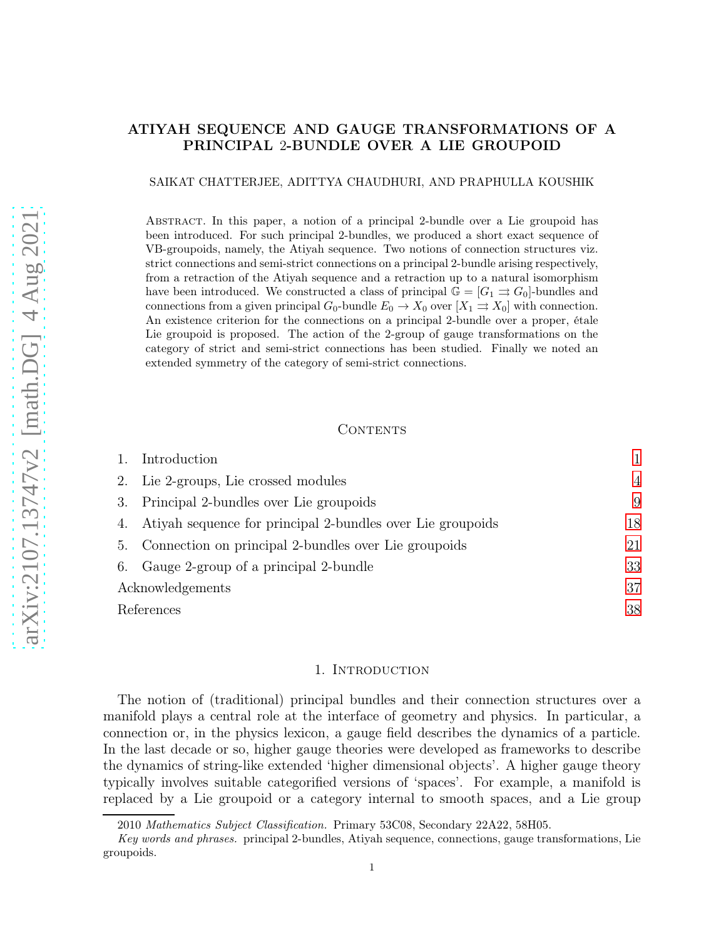# ATIYAH SEQUENCE AND GAUGE TRANSFORMATIONS OF A PRINCIPAL 2-BUNDLE OVER A LIE GROUPOID

### SAIKAT CHATTERJEE, ADITTYA CHAUDHURI, AND PRAPHULLA KOUSHIK

Abstract. In this paper, a notion of a principal 2-bundle over a Lie groupoid has been introduced. For such principal 2-bundles, we produced a short exact sequence of VB-groupoids, namely, the Atiyah sequence. Two notions of connection structures viz. strict connections and semi-strict connections on a principal 2-bundle arising respectively, from a retraction of the Atiyah sequence and a retraction up to a natural isomorphism have been introduced. We constructed a class of principal  $\mathbb{G} = [G_1 \rightrightarrows G_0]$ -bundles and connections from a given principal  $G_0$ -bundle  $E_0 \to X_0$  over  $[X_1 \rightrightarrows X_0]$  with connection. An existence criterion for the connections on a principal 2-bundle over a proper, étale Lie groupoid is proposed. The action of the 2-group of gauge transformations on the category of strict and semi-strict connections has been studied. Finally we noted an extended symmetry of the category of semi-strict connections.

### CONTENTS

|                  | Introduction                                               |                |
|------------------|------------------------------------------------------------|----------------|
| 2.               | Lie 2-groups, Lie crossed modules                          | $\overline{4}$ |
| 3.               | Principal 2-bundles over Lie groupoids                     | 9              |
| 4.               | Atiyah sequence for principal 2-bundles over Lie groupoids | 18             |
| $\mathbf{b}$ .   | Connection on principal 2-bundles over Lie groupoids       | 21             |
| 6.               | Gauge 2-group of a principal 2-bundle                      | 33             |
| Acknowledgements |                                                            | 37             |
| References       |                                                            | 38             |

### 1. INTRODUCTION

<span id="page-0-0"></span>The notion of (traditional) principal bundles and their connection structures over a manifold plays a central role at the interface of geometry and physics. In particular, a connection or, in the physics lexicon, a gauge field describes the dynamics of a particle. In the last decade or so, higher gauge theories were developed as frameworks to describe the dynamics of string-like extended 'higher dimensional objects'. A higher gauge theory typically involves suitable categorified versions of 'spaces'. For example, a manifold is replaced by a Lie groupoid or a category internal to smooth spaces, and a Lie group

<sup>2010</sup> Mathematics Subject Classification. Primary 53C08, Secondary 22A22, 58H05.

Key words and phrases. principal 2-bundles, Atiyah sequence, connections, gauge transformations, Lie groupoids.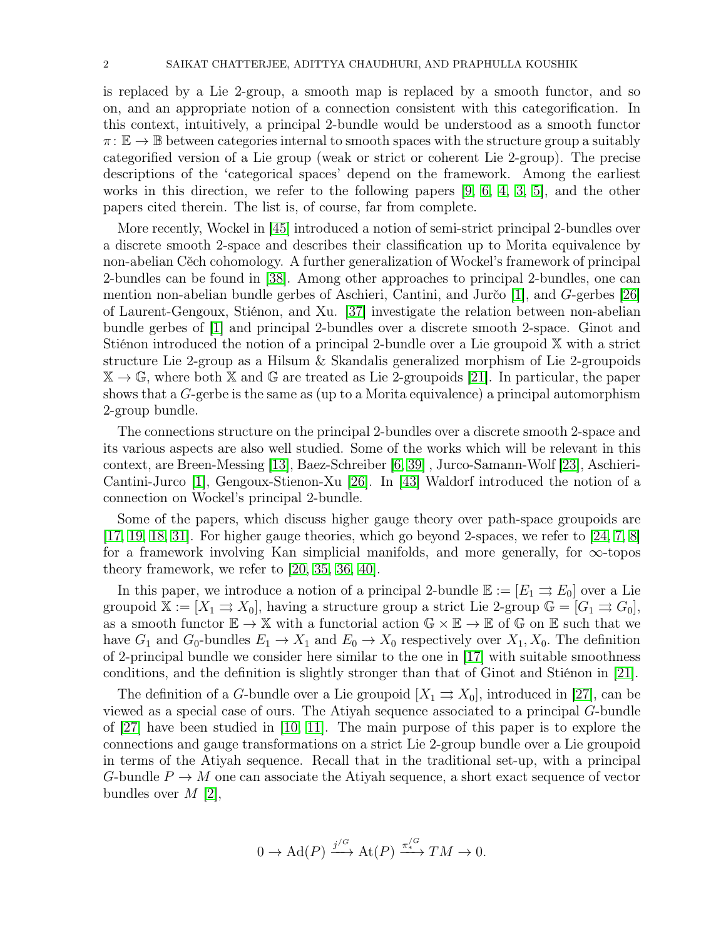is replaced by a Lie 2-group, a smooth map is replaced by a smooth functor, and so on, and an appropriate notion of a connection consistent with this categorification. In this context, intuitively, a principal 2-bundle would be understood as a smooth functor  $\pi: \mathbb{E} \to \mathbb{B}$  between categories internal to smooth spaces with the structure group a suitably categorified version of a Lie group (weak or strict or coherent Lie 2-group). The precise descriptions of the 'categorical spaces' depend on the framework. Among the earliest works in this direction, we refer to the following papers [\[9,](#page-37-1) [6,](#page-37-2) [4,](#page-37-3) [3,](#page-37-4) [5\]](#page-37-5), and the other papers cited therein. The list is, of course, far from complete.

More recently, Wockel in [\[45\]](#page-38-0) introduced a notion of semi-strict principal 2-bundles over a discrete smooth 2-space and describes their classification up to Morita equivalence by non-abelian Cěch cohomology. A further generalization of Wockel's framework of principal 2-bundles can be found in [\[38\]](#page-38-1). Among other approaches to principal 2-bundles, one can mention non-abelian bundle gerbes of Aschieri, Cantini, and Jurčo [\[1\]](#page-37-6), and G-gerbes [\[26\]](#page-37-7) of Laurent-Gengoux, Stiénon, and Xu. [\[37\]](#page-38-2) investigate the relation between non-abelian bundle gerbes of [\[1\]](#page-37-6) and principal 2-bundles over a discrete smooth 2-space. Ginot and Stiénon introduced the notion of a principal 2-bundle over a Lie groupoid X with a strict structure Lie 2-group as a Hilsum & Skandalis generalized morphism of Lie 2-groupoids  $\mathbb{X} \to \mathbb{G}$ , where both  $\mathbb{X}$  and  $\mathbb{G}$  are treated as Lie 2-groupoids [\[21\]](#page-37-8). In particular, the paper shows that a  $G$ -gerbe is the same as (up to a Morita equivalence) a principal automorphism 2-group bundle.

The connections structure on the principal 2-bundles over a discrete smooth 2-space and its various aspects are also well studied. Some of the works which will be relevant in this context, are Breen-Messing [\[13\]](#page-37-9), Baez-Schreiber [\[6,](#page-37-2) [39\]](#page-38-3) , Jurco-Samann-Wolf [\[23\]](#page-37-10), Aschieri-Cantini-Jurco [\[1\]](#page-37-6), Gengoux-Stienon-Xu [\[26\]](#page-37-7). In [\[43\]](#page-38-4) Waldorf introduced the notion of a connection on Wockel's principal 2-bundle.

Some of the papers, which discuss higher gauge theory over path-space groupoids are [\[17,](#page-37-11) [19,](#page-37-12) [18,](#page-37-13) [31\]](#page-38-5). For higher gauge theories, which go beyond 2-spaces, we refer to [\[24,](#page-37-14) [7,](#page-37-15) [8\]](#page-37-16) for a framework involving Kan simplicial manifolds, and more generally, for  $\infty$ -topos theory framework, we refer to [\[20,](#page-37-17) [35,](#page-38-6) [36,](#page-38-7) [40\]](#page-38-8).

In this paper, we introduce a notion of a principal 2-bundle  $\mathbb{E} := [E_1 \Rightarrow E_0]$  over a Lie groupoid  $\mathbb{X} := [X_1 \rightrightarrows X_0]$ , having a structure group a strict Lie 2-group  $\mathbb{G} = [G_1 \rightrightarrows G_0]$ , as a smooth functor  $\mathbb{E} \to \mathbb{X}$  with a functorial action  $\mathbb{G} \times \mathbb{E} \to \mathbb{E}$  of  $\mathbb{G}$  on  $\mathbb{E}$  such that we have  $G_1$  and  $G_0$ -bundles  $E_1 \to X_1$  and  $E_0 \to X_0$  respectively over  $X_1, X_0$ . The definition of 2-principal bundle we consider here similar to the one in [\[17\]](#page-37-11) with suitable smoothness conditions, and the definition is slightly stronger than that of Ginot and Stiénon in [\[21\]](#page-37-8).

The definition of a G-bundle over a Lie groupoid  $[X_1 \Rightarrow X_0]$ , introduced in [\[27\]](#page-37-18), can be viewed as a special case of ours. The Atiyah sequence associated to a principal G-bundle of [\[27\]](#page-37-18) have been studied in [\[10,](#page-37-19) [11\]](#page-37-20). The main purpose of this paper is to explore the connections and gauge transformations on a strict Lie 2-group bundle over a Lie groupoid in terms of the Atiyah sequence. Recall that in the traditional set-up, with a principal G-bundle  $P \to M$  one can associate the Atiyah sequence, a short exact sequence of vector bundles over  $M$  [\[2\]](#page-37-21),

$$
0 \to \mathrm{Ad}(P) \xrightarrow{j/G} \mathrm{At}(P) \xrightarrow{\pi/^G} TM \to 0.
$$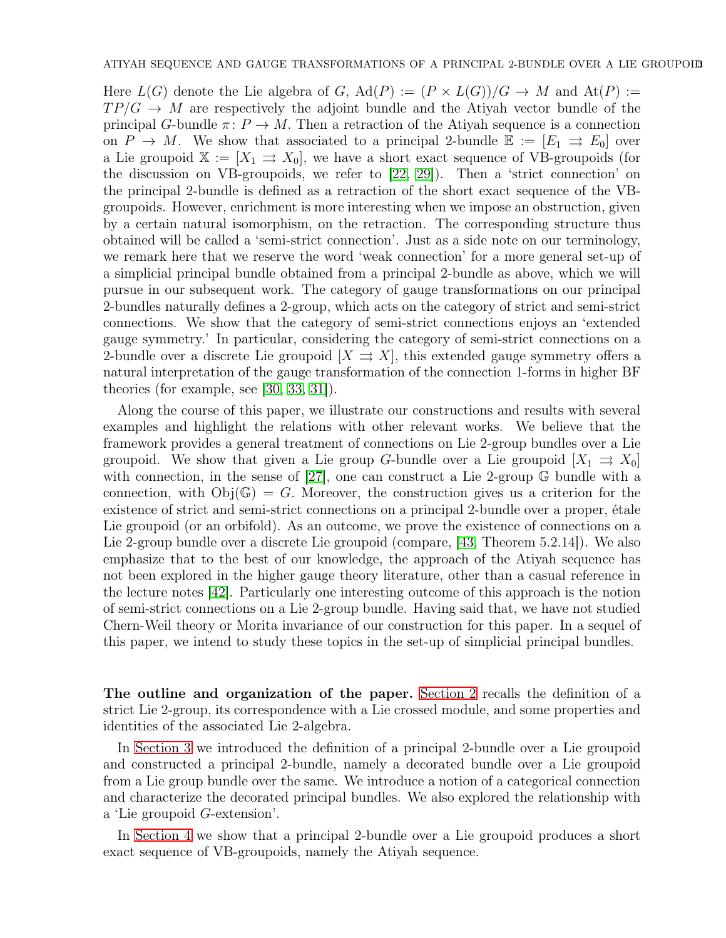Here  $L(G)$  denote the Lie algebra of G,  $Ad(P) := (P \times L(G))/G \rightarrow M$  and  $At(P) :=$  $TP/G \rightarrow M$  are respectively the adjoint bundle and the Atiyah vector bundle of the principal G-bundle  $\pi: P \to M$ . Then a retraction of the Atiyah sequence is a connection on  $P \to M$ . We show that associated to a principal 2-bundle  $\mathbb{E} := [E_1 \Rightarrow E_0]$  over a Lie groupoid  $\mathbb{X} := [X_1 \Rightarrow X_0]$ , we have a short exact sequence of VB-groupoids (for the discussion on VB-groupoids, we refer to [\[22,](#page-37-22) [29\]](#page-38-9)). Then a 'strict connection' on the principal 2-bundle is defined as a retraction of the short exact sequence of the VBgroupoids. However, enrichment is more interesting when we impose an obstruction, given by a certain natural isomorphism, on the retraction. The corresponding structure thus obtained will be called a 'semi-strict connection'. Just as a side note on our terminology, we remark here that we reserve the word 'weak connection' for a more general set-up of a simplicial principal bundle obtained from a principal 2-bundle as above, which we will pursue in our subsequent work. The category of gauge transformations on our principal 2-bundles naturally defines a 2-group, which acts on the category of strict and semi-strict connections. We show that the category of semi-strict connections enjoys an 'extended gauge symmetry.' In particular, considering the category of semi-strict connections on a 2-bundle over a discrete Lie groupoid  $[X \Rightarrow X]$ , this extended gauge symmetry offers a natural interpretation of the gauge transformation of the connection 1-forms in higher BF theories (for example, see [\[30,](#page-38-10) [33,](#page-38-11) [31\]](#page-38-5)).

Along the course of this paper, we illustrate our constructions and results with several examples and highlight the relations with other relevant works. We believe that the framework provides a general treatment of connections on Lie 2-group bundles over a Lie groupoid. We show that given a Lie group G-bundle over a Lie groupoid  $[X_1 \Rightarrow X_0]$ with connection, in the sense of [\[27\]](#page-37-18), one can construct a Lie 2-group  $\mathbb{G}$  bundle with a connection, with  $Obj(\mathbb{G}) = G$ . Moreover, the construction gives us a criterion for the existence of strict and semi-strict connections on a principal 2-bundle over a proper, étale Lie groupoid (or an orbifold). As an outcome, we prove the existence of connections on a Lie 2-group bundle over a discrete Lie groupoid (compare, [\[43,](#page-38-4) Theorem 5.2.14]). We also emphasize that to the best of our knowledge, the approach of the Atiyah sequence has not been explored in the higher gauge theory literature, other than a casual reference in the lecture notes [\[42\]](#page-38-12). Particularly one interesting outcome of this approach is the notion of semi-strict connections on a Lie 2-group bundle. Having said that, we have not studied Chern-Weil theory or Morita invariance of our construction for this paper. In a sequel of this paper, we intend to study these topics in the set-up of simplicial principal bundles.

The outline and organization of the paper. [Section 2](#page-3-0) recalls the definition of a strict Lie 2-group, its correspondence with a Lie crossed module, and some properties and identities of the associated Lie 2-algebra.

In [Section 3](#page-8-0) we introduced the definition of a principal 2-bundle over a Lie groupoid and constructed a principal 2-bundle, namely a decorated bundle over a Lie groupoid from a Lie group bundle over the same. We introduce a notion of a categorical connection and characterize the decorated principal bundles. We also explored the relationship with a 'Lie groupoid G-extension'.

In [Section 4](#page-17-0) we show that a principal 2-bundle over a Lie groupoid produces a short exact sequence of VB-groupoids, namely the Atiyah sequence.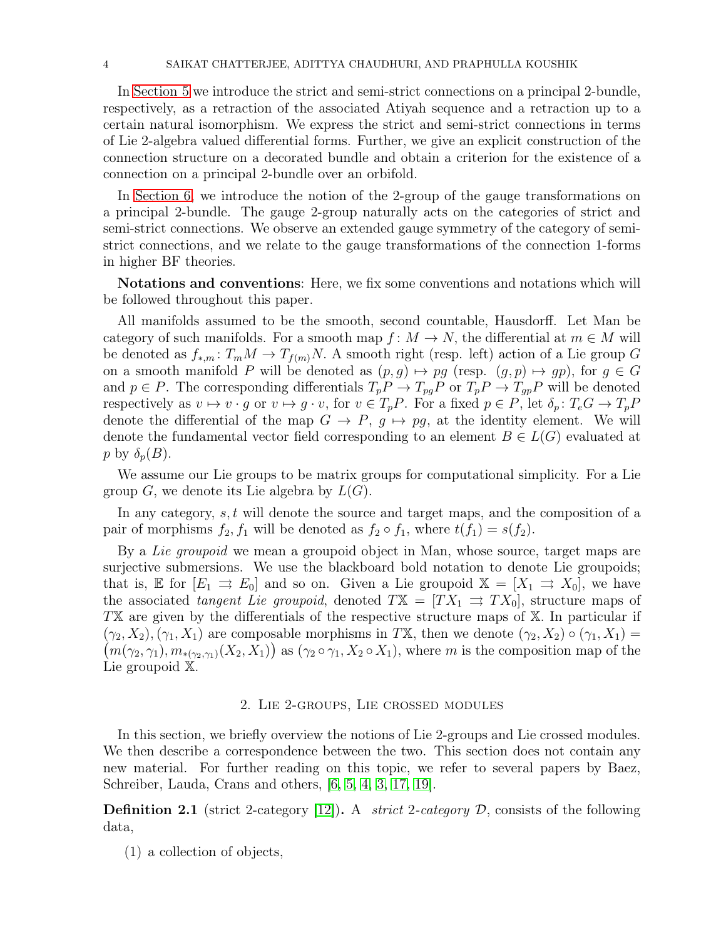In [Section 5](#page-20-0) we introduce the strict and semi-strict connections on a principal 2-bundle, respectively, as a retraction of the associated Atiyah sequence and a retraction up to a certain natural isomorphism. We express the strict and semi-strict connections in terms of Lie 2-algebra valued differential forms. Further, we give an explicit construction of the connection structure on a decorated bundle and obtain a criterion for the existence of a connection on a principal 2-bundle over an orbifold.

In [Section 6,](#page-32-0) we introduce the notion of the 2-group of the gauge transformations on a principal 2-bundle. The gauge 2-group naturally acts on the categories of strict and semi-strict connections. We observe an extended gauge symmetry of the category of semistrict connections, and we relate to the gauge transformations of the connection 1-forms in higher BF theories.

Notations and conventions: Here, we fix some conventions and notations which will be followed throughout this paper.

All manifolds assumed to be the smooth, second countable, Hausdorff. Let Man be category of such manifolds. For a smooth map  $f: M \to N$ , the differential at  $m \in M$  will be denoted as  $f_{*,m}$ :  $T_m M \to T_{f(m)} N$ . A smooth right (resp. left) action of a Lie group G on a smooth manifold P will be denoted as  $(p, g) \mapsto pg$  (resp.  $(g, p) \mapsto gp$ ), for  $g \in G$ and  $p \in P$ . The corresponding differentials  $T_p P \to T_{pg} P$  or  $T_p P \to T_{gp} P$  will be denoted respectively as  $v \mapsto v \cdot g$  or  $v \mapsto g \cdot v$ , for  $v \in T_pP$ . For a fixed  $p \in P$ , let  $\delta_p : T_eG \to T_pP$ denote the differential of the map  $G \to P$ ,  $g \mapsto pg$ , at the identity element. We will denote the fundamental vector field corresponding to an element  $B \in L(G)$  evaluated at p by  $\delta_p(B)$ .

We assume our Lie groups to be matrix groups for computational simplicity. For a Lie group G, we denote its Lie algebra by  $L(G)$ .

In any category, s, t will denote the source and target maps, and the composition of a pair of morphisms  $f_2, f_1$  will be denoted as  $f_2 \circ f_1$ , where  $t(f_1) = s(f_2)$ .

By a Lie groupoid we mean a groupoid object in Man, whose source, target maps are surjective submersions. We use the blackboard bold notation to denote Lie groupoids; that is, E for  $[E_1 \Rightarrow E_0]$  and so on. Given a Lie groupoid  $\mathbb{X} = [X_1 \Rightarrow X_0]$ , we have the associated tangent Lie groupoid, denoted  $TX = [TX_1 \Rightarrow TX_0]$ , structure maps of TX are given by the differentials of the respective structure maps of X. In particular if  $(m(\gamma_2, \gamma_1), m_{*(\gamma_2, \gamma_1)}(X_2, X_1))$  as  $(\gamma_2 \circ \gamma_1, X_2 \circ X_1)$ , where m is the composition map of the  $(\gamma_2, X_2), (\gamma_1, X_1)$  are composable morphisms in TX, then we denote  $(\gamma_2, X_2) \circ (\gamma_1, X_1) =$ Lie groupoid X.

### 2. Lie 2-groups, Lie crossed modules

<span id="page-3-0"></span>In this section, we briefly overview the notions of Lie 2-groups and Lie crossed modules. We then describe a correspondence between the two. This section does not contain any new material. For further reading on this topic, we refer to several papers by Baez, Schreiber, Lauda, Crans and others, [\[6,](#page-37-2) [5,](#page-37-5) [4,](#page-37-3) [3,](#page-37-4) [17,](#page-37-11) [19\]](#page-37-12).

**Definition 2.1** (strict 2-category [\[12\]](#page-37-23)). A *strict 2-category D*, consists of the following data,

(1) a collection of objects,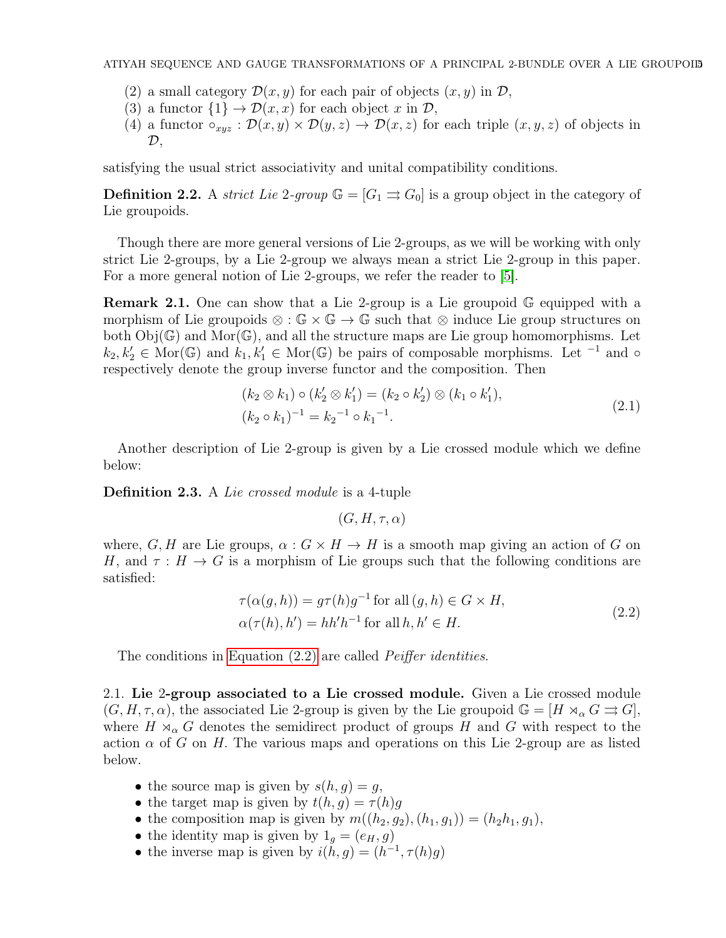- (2) a small category  $\mathcal{D}(x, y)$  for each pair of objects  $(x, y)$  in  $\mathcal{D}$ ,
- (3) a functor  $\{1\} \rightarrow \mathcal{D}(x, x)$  for each object x in  $\mathcal{D}$ ,
- (4) a functor  $\circ_{xyz} : \mathcal{D}(x, y) \times \mathcal{D}(y, z) \to \mathcal{D}(x, z)$  for each triple  $(x, y, z)$  of objects in  $\mathcal{D},$

satisfying the usual strict associativity and unital compatibility conditions.

**Definition 2.2.** A strict Lie 2-group  $\mathbb{G} = [G_1 \Rightarrow G_0]$  is a group object in the category of Lie groupoids.

Though there are more general versions of Lie 2-groups, as we will be working with only strict Lie 2-groups, by a Lie 2-group we always mean a strict Lie 2-group in this paper. For a more general notion of Lie 2-groups, we refer the reader to [\[5\]](#page-37-5).

Remark 2.1. One can show that a Lie 2-group is a Lie groupoid G equipped with a morphism of Lie groupoids ⊗ :  $\mathbb{G} \times \mathbb{G} \to \mathbb{G}$  such that ⊗ induce Lie group structures on both  $Obj(\mathbb{G})$  and  $Mor(\mathbb{G})$ , and all the structure maps are Lie group homomorphisms. Let  $k_2, k'_2 \in \text{Mor}(\mathbb{G})$  and  $k_1, k'_1 \in \text{Mor}(\mathbb{G})$  be pairs of composable morphisms. Let <sup>-1</sup> and  $\circ$ respectively denote the group inverse functor and the composition. Then

$$
(k_2 \otimes k_1) \circ (k'_2 \otimes k'_1) = (k_2 \circ k'_2) \otimes (k_1 \circ k'_1),
$$
  

$$
(k_2 \circ k_1)^{-1} = k_2^{-1} \circ k_1^{-1}.
$$
 (2.1)

Another description of Lie 2-group is given by a Lie crossed module which we define below:

Definition 2.3. A Lie crossed module is a 4-tuple

$$
(G, H, \tau, \alpha)
$$

<span id="page-4-0"></span>where, G, H are Lie groups,  $\alpha: G \times H \to H$  is a smooth map giving an action of G on H, and  $\tau : H \to G$  is a morphism of Lie groups such that the following conditions are satisfied:

$$
\tau(\alpha(g, h)) = g\tau(h)g^{-1} \text{ for all } (g, h) \in G \times H,
$$
  
\n
$$
\alpha(\tau(h), h') = hh'h^{-1} \text{ for all } h, h' \in H.
$$
\n(2.2)

The conditions in [Equation \(2.2\)](#page-4-0) are called *Peiffer identities*.

2.1. Lie 2-group associated to a Lie crossed module. Given a Lie crossed module  $(G, H, \tau, \alpha)$ , the associated Lie 2-group is given by the Lie groupoid  $\mathbb{G} = [H \rtimes_{\alpha} G \rightrightarrows G]$ , where  $H \rtimes_{\alpha} G$  denotes the semidirect product of groups H and G with respect to the action  $\alpha$  of G on H. The various maps and operations on this Lie 2-group are as listed below.

- the source map is given by  $s(h, g) = g$ ,
- the target map is given by  $t(h, g) = \tau(h)g$
- the composition map is given by  $m((h_2, g_2), (h_1, g_1)) = (h_2 h_1, g_1),$
- the identity map is given by  $1_q = (e_H, g)$
- the inverse map is given by  $i(h, g) = (h^{-1}, \tau(h)g)$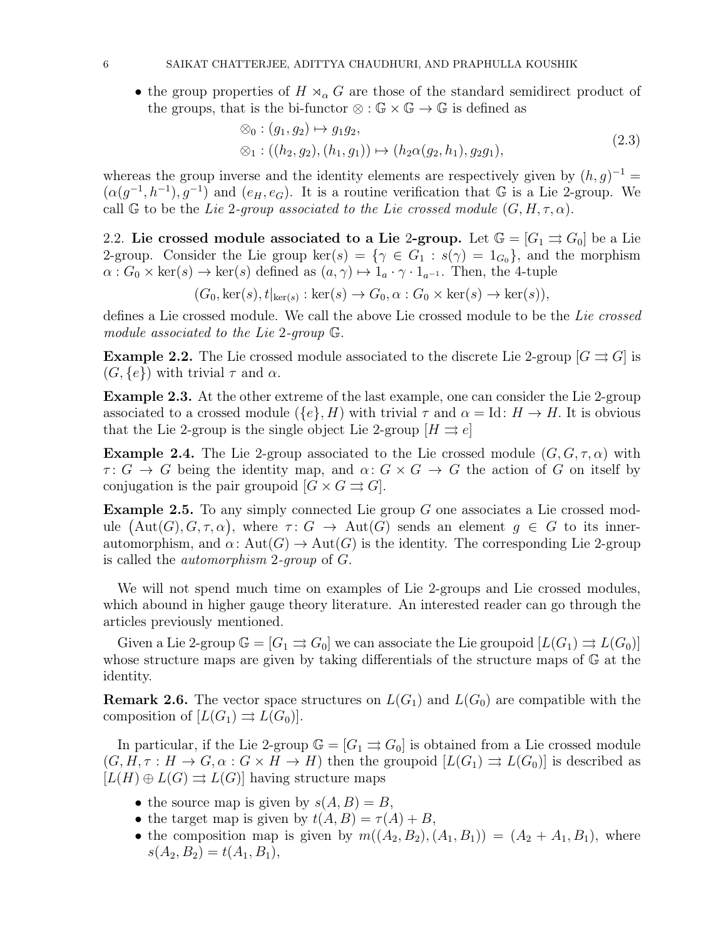• the group properties of  $H \rtimes_{\alpha} G$  are those of the standard semidirect product of the groups, that is the bi-functor  $\otimes : \mathbb{G} \times \mathbb{G} \to \mathbb{G}$  is defined as

<span id="page-5-0"></span>
$$
\otimes_0 : (g_1, g_2) \mapsto g_1 g_2, \n\otimes_1 : ((h_2, g_2), (h_1, g_1)) \mapsto (h_2 \alpha(g_2, h_1), g_2 g_1),
$$
\n(2.3)

whereas the group inverse and the identity elements are respectively given by  $(h, g)^{-1} =$  $(\alpha(g^{-1}, h^{-1}), g^{-1})$  and  $(e_H, e_G)$ . It is a routine verification that G is a Lie 2-group. We call G to be the Lie 2-group associated to the Lie crossed module  $(G, H, \tau, \alpha)$ .

2.2. Lie crossed module associated to a Lie 2-group. Let  $\mathbb{G} = [G_1 \rightrightarrows G_0]$  be a Lie 2-group. Consider the Lie group ker(s) = { $\gamma \in G_1 : s(\gamma) = 1_{G_0}$ }, and the morphism  $\alpha$ :  $G_0 \times \text{ker}(s) \rightarrow \text{ker}(s)$  defined as  $(a, \gamma) \mapsto 1_a \cdot \gamma \cdot 1_{a^{-1}}$ . Then, the 4-tuple

 $(G_0, \ker(s), t|_{\ker(s)} : \ker(s) \to G_0, \alpha : G_0 \times \ker(s) \to \ker(s)),$ 

defines a Lie crossed module. We call the above Lie crossed module to be the Lie crossed module associated to the Lie 2-group G.

**Example 2.2.** The Lie crossed module associated to the discrete Lie 2-group  $[G \rightrightarrows G]$  is  $(G, \{e\})$  with trivial  $\tau$  and  $\alpha$ .

<span id="page-5-1"></span>Example 2.3. At the other extreme of the last example, one can consider the Lie 2-group associated to a crossed module  $({e}, H)$  with trivial  $\tau$  and  $\alpha = \text{Id} : H \to H$ . It is obvious that the Lie 2-group is the single object Lie 2-group  $[H \Rightarrow e]$ 

**Example 2.4.** The Lie 2-group associated to the Lie crossed module  $(G, G, \tau, \alpha)$  with  $\tau: G \to G$  being the identity map, and  $\alpha: G \times G \to G$  the action of G on itself by conjugation is the pair groupoid  $[G \times G \rightrightarrows G]$ .

Example 2.5. To any simply connected Lie group G one associates a Lie crossed module  $(Aut(G), G, \tau, \alpha)$ , where  $\tau: G \to Aut(G)$  sends an element  $g \in G$  to its innerautomorphism, and  $\alpha$ : Aut $(G) \to \text{Aut}(G)$  is the identity. The corresponding Lie 2-group is called the automorphism 2-group of G.

We will not spend much time on examples of Lie 2-groups and Lie crossed modules, which abound in higher gauge theory literature. An interested reader can go through the articles previously mentioned.

Given a Lie 2-group  $\mathbb{G} = [G_1 \rightrightarrows G_0]$  we can associate the Lie groupoid  $[L(G_1) \rightrightarrows L(G_0)]$ whose structure maps are given by taking differentials of the structure maps of G at the identity.

<span id="page-5-2"></span>**Remark 2.6.** The vector space structures on  $L(G_1)$  and  $L(G_0)$  are compatible with the composition of  $[L(G_1) \rightrightarrows L(G_0)].$ 

In particular, if the Lie 2-group  $\mathbb{G} = [G_1 \Rightarrow G_0]$  is obtained from a Lie crossed module  $(G, H, \tau : H \to G, \alpha : G \times H \to H)$  then the groupoid  $[L(G_1) \rightrightarrows L(G_0)]$  is described as  $[L(H) \oplus L(G) \rightrightarrows L(G)]$  having structure maps

- the source map is given by  $s(A, B) = B$ ,
- the target map is given by  $t(A, B) = \tau(A) + B$ ,
- the composition map is given by  $m((A_2, B_2), (A_1, B_1)) = (A_2 + A_1, B_1)$ , where  $s(A_2, B_2) = t(A_1, B_1),$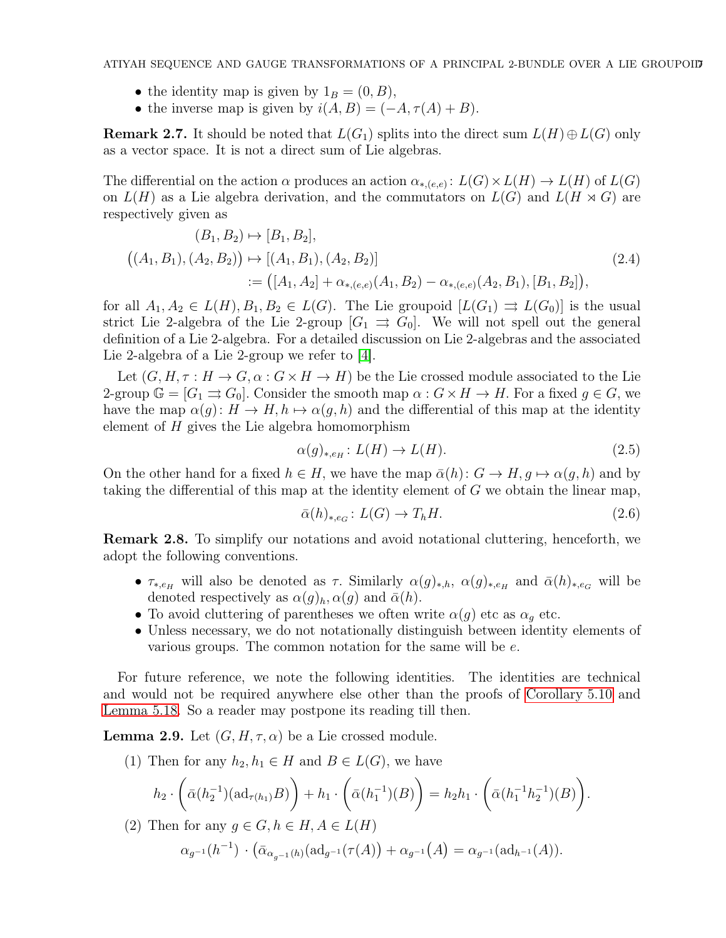- the identity map is given by  $1_B = (0, B)$ ,
- the inverse map is given by  $i(A, B) = (-A, \tau(A) + B)$ .

**Remark 2.7.** It should be noted that  $L(G_1)$  splits into the direct sum  $L(H) \oplus L(G)$  only as a vector space. It is not a direct sum of Lie algebras.

The differential on the action  $\alpha$  produces an action  $\alpha_{*,(e,e)}\colon L(G)\times L(H)\to L(H)$  of  $L(G)$ on  $L(H)$  as a Lie algebra derivation, and the commutators on  $L(G)$  and  $L(H \rtimes G)$  are respectively given as

$$
(B_1, B_2) \mapsto [B_1, B_2],
$$
  
\n
$$
((A_1, B_1), (A_2, B_2)) \mapsto [(A_1, B_1), (A_2, B_2)]
$$
  
\n
$$
:= ([A_1, A_2] + \alpha_{*, (e,e)} (A_1, B_2) - \alpha_{*, (e,e)} (A_2, B_1), [B_1, B_2]),
$$
\n
$$
(2.4)
$$

for all  $A_1, A_2 \in L(H), B_1, B_2 \in L(G)$ . The Lie groupoid  $[L(G_1) \Rightarrow L(G_0)]$  is the usual strict Lie 2-algebra of the Lie 2-group  $[G_1 \Rightarrow G_0]$ . We will not spell out the general definition of a Lie 2-algebra. For a detailed discussion on Lie 2-algebras and the associated Lie 2-algebra of a Lie 2-group we refer to [\[4\]](#page-37-3).

Let  $(G, H, \tau : H \to G, \alpha : G \times H \to H)$  be the Lie crossed module associated to the Lie 2-group  $\mathbb{G} = [G_1 \Rightarrow G_0]$ . Consider the smooth map  $\alpha : G \times H \to H$ . For a fixed  $g \in G$ , we have the map  $\alpha(g) : H \to H$ ,  $h \mapsto \alpha(g, h)$  and the differential of this map at the identity element of  $H$  gives the Lie algebra homomorphism

$$
\alpha(g)_{*,e_H}: L(H) \to L(H). \tag{2.5}
$$

On the other hand for a fixed  $h \in H$ , we have the map  $\bar{\alpha}(h): G \to H$ ,  $g \mapsto \alpha(g, h)$  and by taking the differential of this map at the identity element of G we obtain the linear map,

$$
\bar{\alpha}(h)_{*,e_G}: L(G) \to T_h H. \tag{2.6}
$$

<span id="page-6-0"></span>Remark 2.8. To simplify our notations and avoid notational cluttering, henceforth, we adopt the following conventions.

- $\tau_{*,e_H}$  will also be denoted as  $\tau$ . Similarly  $\alpha(g)_{*,h}$ ,  $\alpha(g)_{*,e_H}$  and  $\bar{\alpha}(h)_{*,e_G}$  will be denoted respectively as  $\alpha(g)_h, \alpha(g)$  and  $\bar{\alpha}(h)$ .
- To avoid cluttering of parentheses we often write  $\alpha(g)$  etc as  $\alpha_g$  etc.
- Unless necessary, we do not notationally distinguish between identity elements of various groups. The common notation for the same will be e.

For future reference, we note the following identities. The identities are technical and would not be required anywhere else other than the proofs of [Corollary 5.10](#page-25-0) and [Lemma 5.18.](#page-29-0) So a reader may postpone its reading till then.

<span id="page-6-1"></span>**Lemma 2.9.** Let  $(G, H, \tau, \alpha)$  be a Lie crossed module.

(1) Then for any  $h_2, h_1 \in H$  and  $B \in L(G)$ , we have

$$
h_2 \cdot \left( \bar{\alpha}(h_2^{-1})(\mathrm{ad}_{\tau(h_1)} B) \right) + h_1 \cdot \left( \bar{\alpha}(h_1^{-1})(B) \right) = h_2 h_1 \cdot \left( \bar{\alpha}(h_1^{-1} h_2^{-1})(B) \right).
$$

(2) Then for any  $g \in G, h \in H, A \in L(H)$ 

$$
\alpha_{g^{-1}}(h^{-1}) \cdot (\bar{\alpha}_{\alpha_{g^{-1}}(h)}(\mathrm{ad}_{g^{-1}}(\tau(A)) + \alpha_{g^{-1}}(A)) = \alpha_{g^{-1}}(\mathrm{ad}_{h^{-1}}(A)).
$$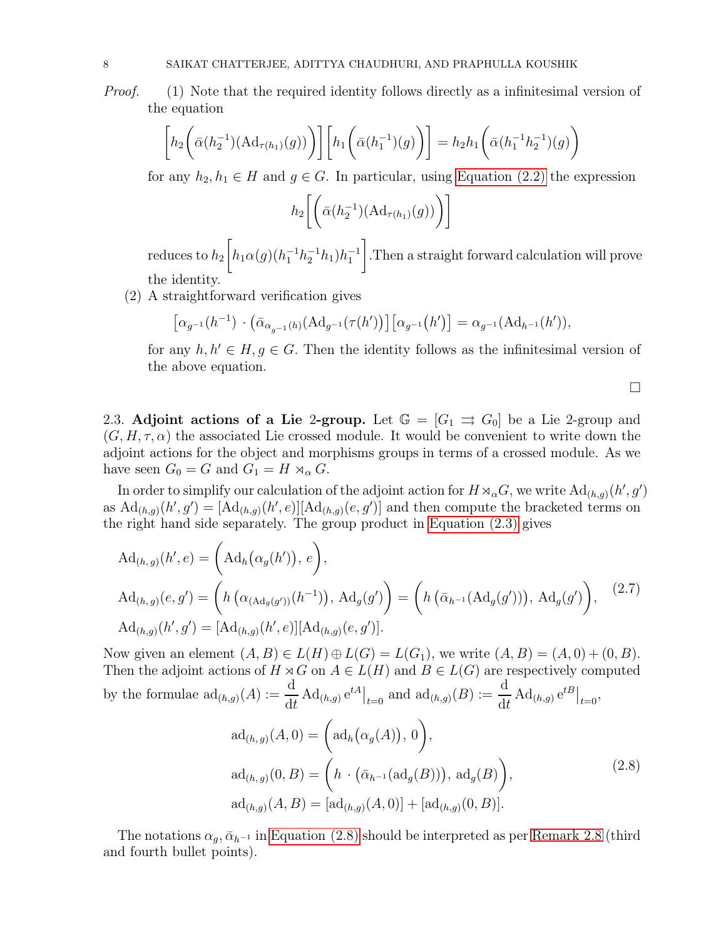Proof. (1) Note that the required identity follows directly as a infinitesimal version of the equation

$$
\[h_2\bigg(\bar{\alpha}(h_2^{-1})(\mathrm{Ad}_{\tau(h_1)}(g))\bigg)\]\bigg[h_1\bigg(\bar{\alpha}(h_1^{-1})(g)\bigg)\bigg] = h_2h_1\bigg(\bar{\alpha}(h_1^{-1}h_2^{-1})(g)\bigg)
$$

for any  $h_2, h_1 \in H$  and  $g \in G$ . In particular, using [Equation \(2.2\)](#page-4-0) the expression

$$
h_2\bigg[\bigg(\bar{\alpha}(h_2^{-1})(\mathrm{Ad}_{\tau(h_1)}(g))\bigg)\bigg]
$$

 $reduces to  $h_2$$  $\sqrt{ }$  $h_1 \alpha(g) (h_1^{-1} h_2^{-1} h_1) h_1^{-1}$ 1 .Then a straight forward calculation will prove the identity.

(2) A straightforward verification gives

$$
\left[\alpha_{g^{-1}}(h^{-1}) \cdot (\bar{\alpha}_{\alpha_{g^{-1}}(h)}(\text{Ad}_{g^{-1}}(\tau(h')))\right] \left[\alpha_{g^{-1}}(h')\right] = \alpha_{g^{-1}}(\text{Ad}_{h^{-1}}(h')),
$$

for any  $h, h' \in H, g \in G$ . Then the identity follows as the infinitesimal version of the above equation.

<span id="page-7-1"></span><span id="page-7-0"></span> $\Box$ 

2.3. Adjoint actions of a Lie 2-group. Let  $\mathbb{G} = [G_1 \Rightarrow G_0]$  be a Lie 2-group and  $(G, H, \tau, \alpha)$  the associated Lie crossed module. It would be convenient to write down the adjoint actions for the object and morphisms groups in terms of a crossed module. As we have seen  $G_0 = G$  and  $G_1 = H \rtimes_{\alpha} G$ .

In order to simplify our calculation of the adjoint action for  $H\rtimes_{\alpha}G$ , we write  $\mathrm{Ad}_{(h,g)}(h',g')$ as  $\mathrm{Ad}_{(h,g)}(h',g') = [\mathrm{Ad}_{(h,g)}(h',e)][\mathrm{Ad}_{(h,g)}(e,g')]$  and then compute the bracketed terms on the right hand side separately. The group product in [Equation \(2.3\)](#page-5-0) gives

$$
Ad_{(h,g)}(h',e) = (Ad_h(\alpha_g(h')), e),
$$
  
\n
$$
Ad_{(h,g)}(e,g') = (h(\alpha_{(Ad_g(g'))}(h^{-1})), Ad_g(g')) = (h(\bar{\alpha}_{h^{-1}}(Ad_g(g'))), Ad_g(g'))),
$$
\n
$$
Ad_{(h,g)}(h',g') = [Ad_{(h,g)}(h',e)][Ad_{(h,g)}(e,g')].
$$
\n(2.7)

Now given an element  $(A, B) \in L(H) \oplus L(G) = L(G_1)$ , we write  $(A, B) = (A, 0) + (0, B)$ . Then the adjoint actions of  $H \rtimes G$  on  $A \in L(H)$  and  $B \in L(G)$  are respectively computed by the formulae  $\mathrm{ad}_{(h,g)}(A) := \frac{\mathrm{d}}{\mathrm{d}t} \mathrm{Ad}_{(h,g)} e^{tA} \big|_{t=0}$  and  $\mathrm{ad}_{(h,g)}(B) := \frac{\mathrm{d}}{\mathrm{d}t} \mathrm{Ad}_{(h,g)} e^{tB} \big|_{t=0}$ ,

$$
ad_{(h,g)}(A,0) = \left(ad_h(\alpha_g(A)), 0\right),ad_{(h,g)}(0, B) = \left(h \cdot (\bar{\alpha}_{h^{-1}}(ad_g(B))), ad_g(B)\right),ad_{(h,g)}(A, B) = [ad_{(h,g)}(A, 0)] + [ad_{(h,g)}(0, B)].
$$
\n(2.8)

The notations  $\alpha_q$ ,  $\bar{\alpha}_{h^{-1}}$  in [Equation \(2.8\)](#page-7-0) should be interpreted as per [Remark 2.8](#page-6-0) (third and fourth bullet points).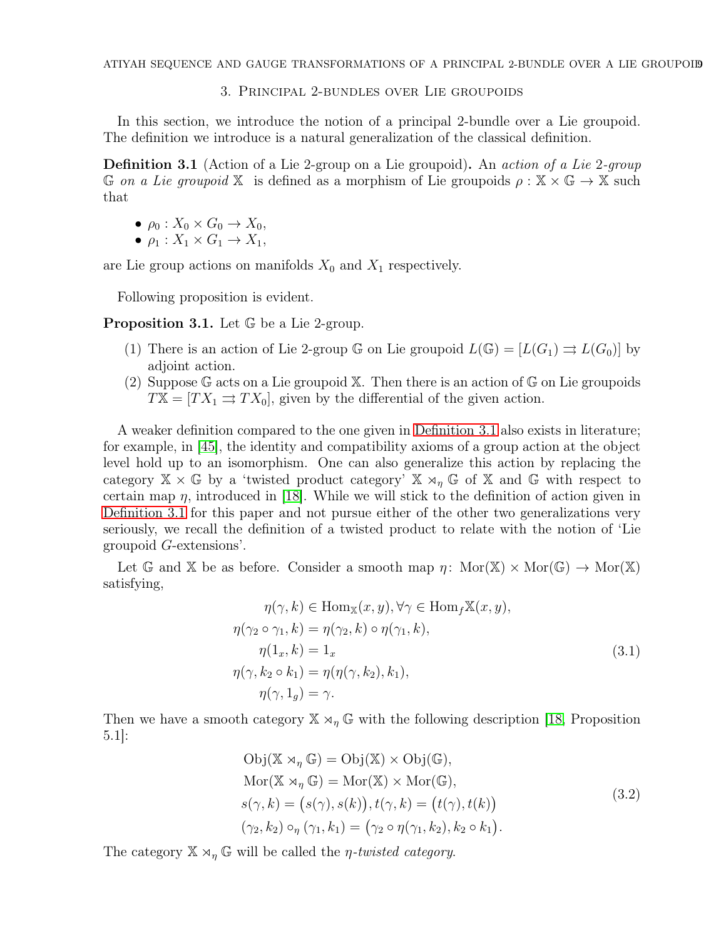## 3. Principal 2-bundles over Lie groupoids

<span id="page-8-1"></span><span id="page-8-0"></span>In this section, we introduce the notion of a principal 2-bundle over a Lie groupoid. The definition we introduce is a natural generalization of the classical definition.

**Definition 3.1** (Action of a Lie 2-group on a Lie groupoid). An action of a Lie 2-group G on a Lie groupoid X is defined as a morphism of Lie groupoids  $\rho : X \times \mathbb{G} \to X$  such that

- $\rho_0: X_0 \times G_0 \to X_0$
- $\rho_1: X_1 \times G_1 \rightarrow X_1$

are Lie group actions on manifolds  $X_0$  and  $X_1$  respectively.

Following proposition is evident.

Proposition 3.1. Let  $\mathbb G$  be a Lie 2-group.

- (1) There is an action of Lie 2-group  $\mathbb G$  on Lie groupoid  $L(\mathbb G) = [L(G_1) \rightrightarrows L(G_0)]$  by adjoint action.
- (2) Suppose G acts on a Lie groupoid X. Then there is an action of G on Lie groupoids  $TX = [TX_1 \rightrightarrows TX_0]$ , given by the differential of the given action.

A weaker definition compared to the one given in [Definition 3.1](#page-8-1) also exists in literature; for example, in [\[45\]](#page-38-0), the identity and compatibility axioms of a group action at the object level hold up to an isomorphism. One can also generalize this action by replacing the category  $\mathbb{X} \times \mathbb{G}$  by a 'twisted product category'  $\mathbb{X} \rtimes_{\eta} \mathbb{G}$  of  $\mathbb{X}$  and  $\mathbb{G}$  with respect to certain map  $\eta$ , introduced in [\[18\]](#page-37-13). While we will stick to the definition of action given in [Definition 3.1](#page-8-1) for this paper and not pursue either of the other two generalizations very seriously, we recall the definition of a twisted product to relate with the notion of 'Lie groupoid G-extensions'.

Let G and X be as before. Consider a smooth map  $\eta$ : Mor(X)  $\times$  Mor(G)  $\rightarrow$  Mor(X) satisfying,

<span id="page-8-2"></span>
$$
\eta(\gamma, k) \in \text{Hom}_{\mathbb{X}}(x, y), \forall \gamma \in \text{Hom}_{f} \mathbb{X}(x, y),
$$
  
\n
$$
\eta(\gamma_2 \circ \gamma_1, k) = \eta(\gamma_2, k) \circ \eta(\gamma_1, k),
$$
  
\n
$$
\eta(1_x, k) = 1_x
$$
  
\n
$$
\eta(\gamma, k_2 \circ k_1) = \eta(\eta(\gamma, k_2), k_1),
$$
  
\n
$$
\eta(\gamma, 1_g) = \gamma.
$$
\n(3.1)

Then we have a smooth category  $\mathbb{X} \rtimes_{\eta} \mathbb{G}$  with the following description [\[18,](#page-37-13) Proposition 5.1]:

$$
Obj(\mathbb{X} \rtimes_{\eta} \mathbb{G}) = Obj(\mathbb{X}) \times Obj(\mathbb{G}),\nMor(\mathbb{X} \rtimes_{\eta} \mathbb{G}) = Mor(\mathbb{X}) \times Mor(\mathbb{G}),\ns(\gamma, k) = (s(\gamma), s(k)), t(\gamma, k) = (t(\gamma), t(k))\n(\gamma_2, k_2) \circ_{\eta} (\gamma_1, k_1) = (\gamma_2 \circ \eta(\gamma_1, k_2), k_2 \circ k_1).
$$
\n(3.2)

<span id="page-8-3"></span>The category  $\mathbb{X} \rtimes_{\eta} \mathbb{G}$  will be called the *η-twisted category*.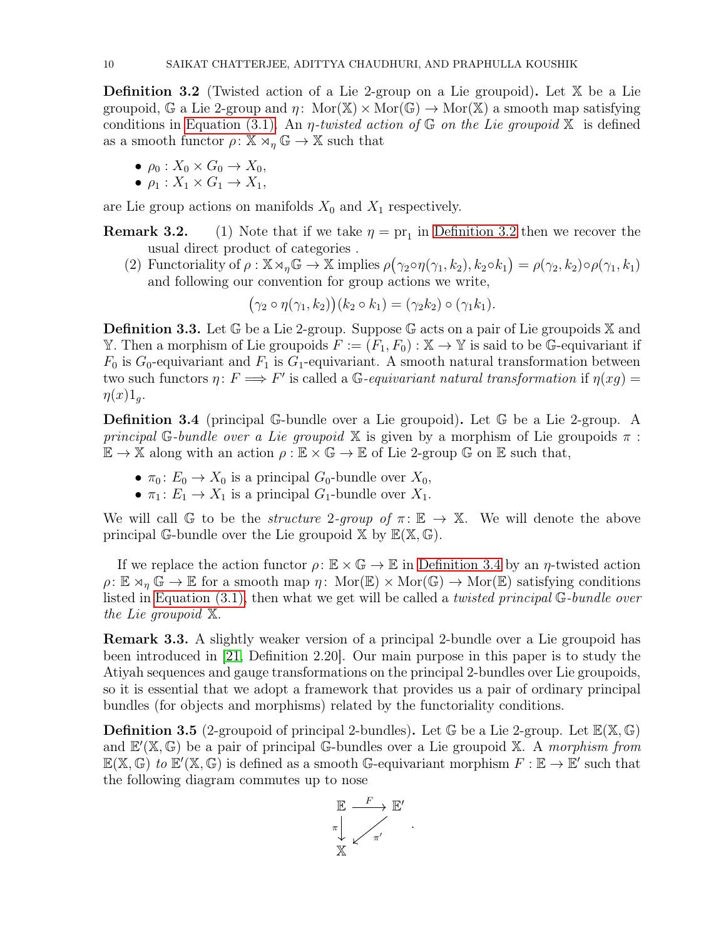**Definition 3.2** (Twisted action of a Lie 2-group on a Lie groupoid). Let  $X$  be a Lie groupoid, G a Lie 2-group and  $\eta$ : Mor( $\mathbb{X}) \times \text{Mor}(\mathbb{G}) \to \text{Mor}(\mathbb{X})$  a smooth map satisfying conditions in [Equation \(3.1\).](#page-8-2) An *η-twisted action of*  $\mathbb{G}$  *on the Lie groupoid*  $\mathbb{X}$  is defined as a smooth functor  $\rho: \mathbb{X} \rtimes_n \mathbb{G} \to \mathbb{X}$  such that

- $\rho_0: X_0 \times G_0 \to X_0$
- $\rho_1: X_1 \times G_1 \rightarrow X_1$ ,

<span id="page-9-1"></span>are Lie group actions on manifolds  $X_0$  and  $X_1$  respectively.

**Remark 3.2.** (1) Note that if we take  $\eta = \text{pr}_1$  in [Definition 3.2](#page-8-3) then we recover the usual direct product of categories .

(2) Functoriality of  $\rho : \mathbb{X} \rtimes_{\eta} \mathbb{G} \to \mathbb{X}$  implies  $\rho(\gamma_2 \circ \eta(\gamma_1, k_2), k_2 \circ k_1) = \rho(\gamma_2, k_2) \circ \rho(\gamma_1, k_1)$ and following our convention for group actions we write,

$$
(\gamma_2 \circ \eta(\gamma_1, k_2))(k_2 \circ k_1) = (\gamma_2 k_2) \circ (\gamma_1 k_1).
$$

**Definition 3.3.** Let  $\mathbb{G}$  be a Lie 2-group. Suppose  $\mathbb{G}$  acts on a pair of Lie groupoids  $\mathbb{X}$  and Y. Then a morphism of Lie groupoids  $F := (F_1, F_0) : \mathbb{X} \to \mathbb{Y}$  is said to be G-equivariant if  $F_0$  is  $G_0$ -equivariant and  $F_1$  is  $G_1$ -equivariant. A smooth natural transformation between two such functors  $\eta: F \Longrightarrow F'$  is called a G-equivariant natural transformation if  $\eta(xg) =$  $\eta(x)1_q$ .

<span id="page-9-0"></span>Definition 3.4 (principal G-bundle over a Lie groupoid). Let G be a Lie 2-group. A principal G-bundle over a Lie groupoid  $X$  is given by a morphism of Lie groupoids  $\pi$ :  $\mathbb{E} \to \mathbb{X}$  along with an action  $\rho : \mathbb{E} \times \mathbb{G} \to \mathbb{E}$  of Lie 2-group  $\mathbb{G}$  on  $\mathbb{E}$  such that,

- $\pi_0: E_0 \to X_0$  is a principal  $G_0$ -bundle over  $X_0$ ,
- $\pi_1: E_1 \to X_1$  is a principal  $G_1$ -bundle over  $X_1$ .

We will call G to be the *structure 2-group of*  $\pi: \mathbb{E} \to \mathbb{X}$ . We will denote the above principal G-bundle over the Lie groupoid  $\mathbb{X}$  by  $\mathbb{E}(\mathbb{X}, \mathbb{G})$ .

If we replace the action functor  $\rho: \mathbb{E} \times \mathbb{G} \to \mathbb{E}$  in [Definition 3.4](#page-9-0) by an  $\eta$ -twisted action  $\rho: \mathbb{E} \rtimes_{\eta} \mathbb{G} \to \mathbb{E}$  for a smooth map  $\eta: \text{Mor}(\mathbb{E}) \times \text{Mor}(\mathbb{G}) \to \text{Mor}(\mathbb{E})$  satisfying conditions listed in [Equation \(3.1\),](#page-8-2) then what we get will be called a twisted principal G-bundle over the Lie groupoid X.

Remark 3.3. A slightly weaker version of a principal 2-bundle over a Lie groupoid has been introduced in [\[21,](#page-37-8) Definition 2.20]. Our main purpose in this paper is to study the Atiyah sequences and gauge transformations on the principal 2-bundles over Lie groupoids, so it is essential that we adopt a framework that provides us a pair of ordinary principal bundles (for objects and morphisms) related by the functoriality conditions.

**Definition 3.5** (2-groupoid of principal 2-bundles). Let  $\mathbb{G}$  be a Lie 2-group. Let  $\mathbb{E}(\mathbb{X}, \mathbb{G})$ and  $E'(\mathbb{X}, \mathbb{G})$  be a pair of principal G-bundles over a Lie groupoid  $\mathbb{X}$ . A morphism from  $\mathbb{E}(\mathbb{X}, \mathbb{G})$  to  $\mathbb{E}'(\mathbb{X}, \mathbb{G})$  is defined as a smooth G-equivariant morphism  $F : \mathbb{E} \to \mathbb{E}'$  such that the following diagram commutes up to nose

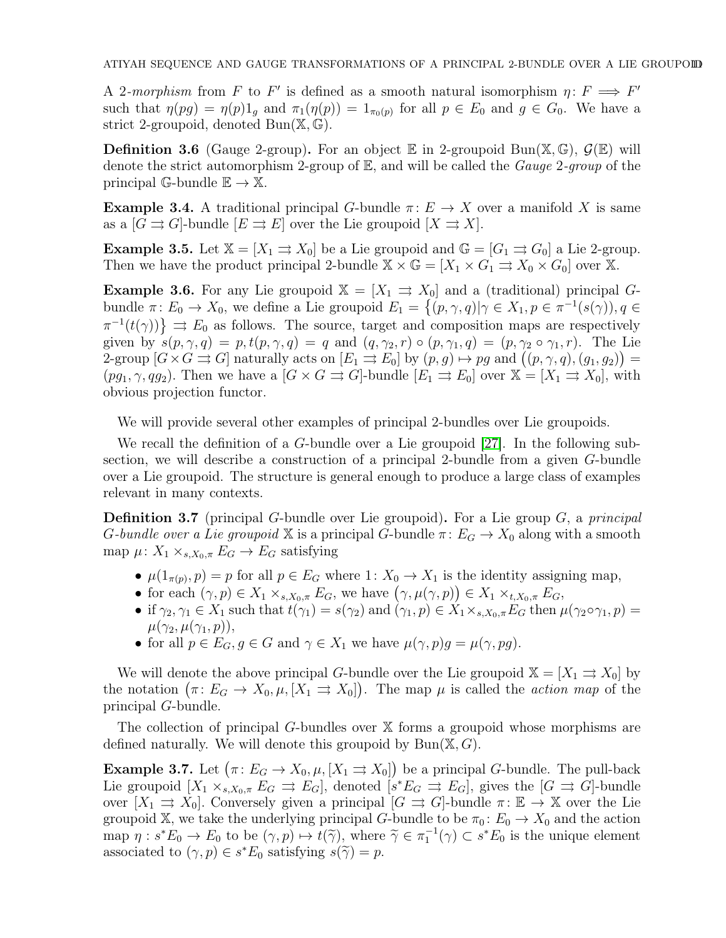A 2-morphism from F to F' is defined as a smooth natural isomorphism  $\eta: F \implies F'$ such that  $\eta(pg) = \eta(p)1_g$  and  $\pi_1(\eta(p)) = 1_{\pi_0(p)}$  for all  $p \in E_0$  and  $g \in G_0$ . We have a strict 2-groupoid, denoted  $Bun(\mathbb{X}, \mathbb{G})$ .

<span id="page-10-4"></span>**Definition 3.6** (Gauge 2-group). For an object  $\mathbb E$  in 2-groupoid Bun( $\mathbb X$ ,  $\mathbb G$ ),  $\mathcal G(\mathbb E)$  will denote the strict automorphism 2-group of  $\mathbb{E}$ , and will be called the *Gauge* 2-group of the principal G-bundle  $\mathbb{E} \to \mathbb{X}$ .

**Example 3.4.** A traditional principal G-bundle  $\pi: E \to X$  over a manifold X is same as a  $[G \rightrightarrows G]$ -bundle  $[E \rightrightarrows E]$  over the Lie groupoid  $[X \rightrightarrows X]$ .

<span id="page-10-1"></span>**Example 3.5.** Let  $\mathbb{X} = [X_1 \Rightarrow X_0]$  be a Lie groupoid and  $\mathbb{G} = [G_1 \Rightarrow G_0]$  a Lie 2-group. Then we have the product principal 2-bundle  $\mathbb{X} \times \mathbb{G} = [X_1 \times G_1 \Rightarrow X_0 \times G_0]$  over X.

<span id="page-10-2"></span>**Example 3.6.** For any Lie groupoid  $X = [X_1 \Rightarrow X_0]$  and a (traditional) principal Gbundle  $\pi: E_0 \to X_0$ , we define a Lie groupoid  $E_1 = \{ (p, \gamma, q) | \gamma \in X_1, p \in \pi^{-1}(s(\gamma)), q \in X_1 \}$  $\pi^{-1}(t(\gamma))\} \Rightarrow E_0$  as follows. The source, target and composition maps are respectively given by  $s(p, \gamma, q) = p$ ,  $t(p, \gamma, q) = q$  and  $(q, \gamma_2, r) \circ (p, \gamma_1, q) = (p, \gamma_2 \circ \gamma_1, r)$ . The Lie  $2\text{-group }[G\times G\Rightarrow G]$  naturally acts on  $[E_1\Rightarrow E_0]$  by  $(p,g)\mapsto pg$  and  $((p,\gamma,q),(g_1,g_2))=$  $(pg_1, \gamma, qg_2)$ . Then we have a  $[G \times G \rightrightarrows G]$ -bundle  $[E_1 \rightrightarrows E_0]$  over  $\mathbb{X} = [X_1 \rightrightarrows X_0]$ , with obvious projection functor.

We will provide several other examples of principal 2-bundles over Lie groupoids.

We recall the definition of a G-bundle over a Lie groupoid [\[27\]](#page-37-18). In the following subsection, we will describe a construction of a principal 2-bundle from a given G-bundle over a Lie groupoid. The structure is general enough to produce a large class of examples relevant in many contexts.

**Definition 3.7** (principal G-bundle over Lie groupoid). For a Lie group  $G$ , a principal G-bundle over a Lie groupoid X is a principal G-bundle  $\pi: E_G \to X_0$  along with a smooth map  $\mu: X_1 \times_{s,X_0,\pi} E_G \to E_G$  satisfying

- $\mu(1_{\pi(p)}, p) = p$  for all  $p \in E_G$  where  $1: X_0 \to X_1$  is the identity assigning map,
- for each  $(\gamma, p) \in X_1 \times_{s, X_0, \pi} E_G$ , we have  $(\gamma, \mu(\gamma, p)) \in X_1 \times_{t, X_0, \pi} E_G$ ,
- if  $\gamma_2, \gamma_1 \in X_1$  such that  $t(\gamma_1) = s(\gamma_2)$  and  $(\gamma_1, p) \in X_1 \times_{s, X_0, \pi} E_G$  then  $\mu(\gamma_2 \circ \gamma_1, p) =$  $\mu(\gamma_2, \mu(\gamma_1, p)),$
- for all  $p \in E_G$ ,  $g \in G$  and  $\gamma \in X_1$  we have  $\mu(\gamma, p)g = \mu(\gamma, pq)$ .

We will denote the above principal G-bundle over the Lie groupoid  $\mathbb{X} = [X_1 \Rightarrow X_0]$  by the notation  $(\pi: E_G \to X_0, \mu, [X_1 \Rightarrow X_0])$ . The map  $\mu$  is called the *action map* of the principal G-bundle.

<span id="page-10-3"></span>The collection of principal G-bundles over X forms a groupoid whose morphisms are defined naturally. We will denote this groupoid by  $Bun(\mathbb{X}, G)$ .

<span id="page-10-0"></span>**Example 3.7.** Let  $(\pi: E_G \to X_0, \mu, [X_1 \rightrightarrows X_0])$  be a principal G-bundle. The pull-back Lie groupoid  $[X_1 \times_{s,X_0,\pi} E_G \Rightarrow E_G]$ , denoted  $[s^*E_G \Rightarrow E_G]$ , gives the  $[G \Rightarrow G]$ -bundle over  $[X_1 \rightrightarrows X_0]$ . Conversely given a principal  $[G \rightrightarrows G]$ -bundle  $\pi: \mathbb{E} \to \mathbb{X}$  over the Lie groupoid X, we take the underlying principal G-bundle to be  $\pi_0: E_0 \to X_0$  and the action map  $\eta : s^*E_0 \to E_0$  to be  $(\gamma, p) \mapsto t(\widetilde{\gamma})$ , where  $\widetilde{\gamma} \in \pi_1^{-1}(\gamma) \subset s^*E_0$  is the unique element associated to  $(\gamma, p) \in s^*E_0$  satisfying  $s(\tilde{\gamma}) = p$ .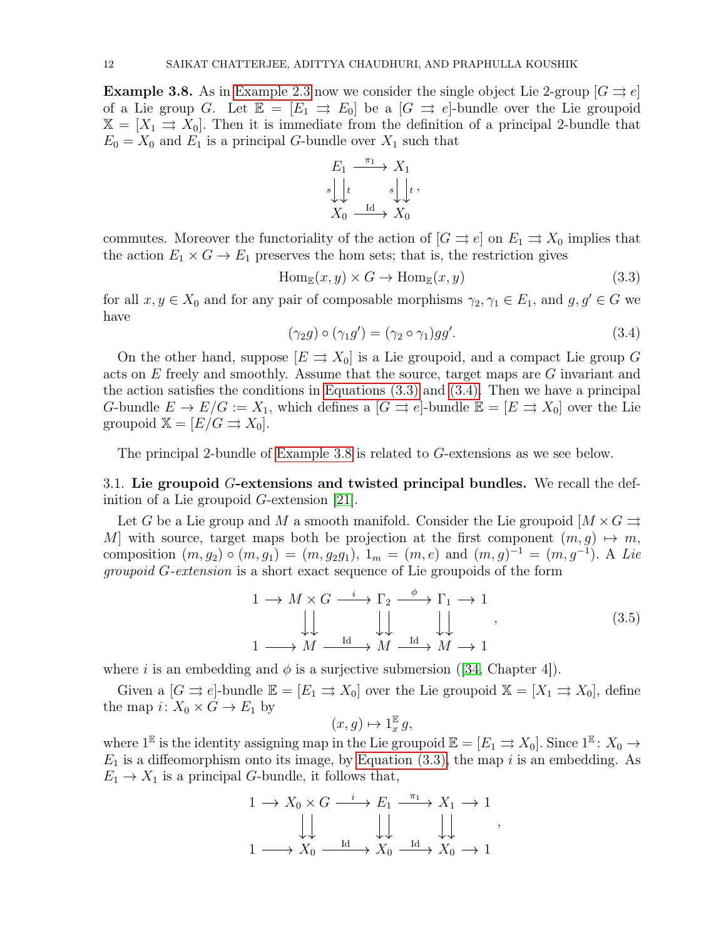**Example 3.8.** As in [Example 2.3](#page-5-1) now we consider the single object Lie 2-group  $[G \rightrightarrows e]$ of a Lie group G. Let  $\mathbb{E} = [E_1 \Rightarrow E_0]$  be a  $[G \Rightarrow e]$ -bundle over the Lie groupoid  $X = [X_1 \rightrightarrows X_0]$ . Then it is immediate from the definition of a principal 2-bundle that  $E_0 = X_0$  and  $E_1$  is a principal G-bundle over  $X_1$  such that

<span id="page-11-0"></span>
$$
E_1 \xrightarrow{\pi_1} X_1
$$
  

$$
s \downarrow \downarrow t \qquad s \downarrow \downarrow t
$$
  

$$
X_0 \xrightarrow{\text{Id}} X_0
$$

commutes. Moreover the functoriality of the action of  $[G \rightrightarrows e]$  on  $E_1 \rightrightarrows X_0$  implies that the action  $E_1 \times G \to E_1$  preserves the hom sets; that is, the restriction gives

$$
Hom_{\mathbb{E}}(x, y) \times G \to Hom_{\mathbb{E}}(x, y)
$$
\n(3.3)

<span id="page-11-1"></span>for all  $x, y \in X_0$  and for any pair of composable morphisms  $\gamma_2, \gamma_1 \in E_1$ , and  $g, g' \in G$  we have

$$
(\gamma_2 g) \circ (\gamma_1 g') = (\gamma_2 \circ \gamma_1) g g'. \tag{3.4}
$$

On the other hand, suppose  $[E \rightrightarrows X_0]$  is a Lie groupoid, and a compact Lie group G acts on E freely and smoothly. Assume that the source, target maps are G invariant and the action satisfies the conditions in [Equations \(3.3\)](#page-11-0) and [\(3.4\).](#page-11-1) Then we have a principal G-bundle  $E \to E/G := X_1$ , which defines a  $[G \rightrightarrows e]$ -bundle  $\mathbb{E} = [E \rightrightarrows X_0]$  over the Lie groupoid  $\mathbb{X} = [E/G \rightrightarrows X_0].$ 

The principal 2-bundle of [Example 3.8](#page-10-0) is related to G-extensions as we see below.

3.1. Lie groupoid G-extensions and twisted principal bundles. We recall the definition of a Lie groupoid G-extension [\[21\]](#page-37-8).

Let G be a Lie group and M a smooth manifold. Consider the Lie groupoid  $\left[ M \times G \right]$ M with source, target maps both be projection at the first component  $(m, g) \mapsto m$ , composition  $(m, g_2) \circ (m, g_1) = (m, g_2 g_1), \ 1_m = (m, e)$  and  $(m, g)^{-1} = (m, g^{-1})$ . A Lie *groupoid G-extension* is a short exact sequence of Lie groupoids of the form

$$
\begin{array}{ccc}\n1 \to M \times G \xrightarrow{i} \Gamma_2 \xrightarrow{\phi} \Gamma_1 \to 1 \\
\downarrow \downarrow & \downarrow \downarrow & \downarrow \downarrow \\
1 \longrightarrow M \xrightarrow{\text{Id}} M \xrightarrow{\text{Id}} M \to 1\n\end{array} \tag{3.5}
$$

where i is an embedding and  $\phi$  is a surjective submersion ([\[34,](#page-38-13) Chapter 4]).

Given a  $[G \rightrightarrows e]$ -bundle  $\mathbb{E} = [E_1 \rightrightarrows X_0]$  over the Lie groupoid  $\mathbb{X} = [X_1 \rightrightarrows X_0]$ , define the map  $i: X_0 \times G \to E_1$  by

<span id="page-11-2"></span>
$$
(x,g)\mapsto 1_x^{\mathbb{E}}g,
$$

where  $1^{\mathbb{E}}$  is the identity assigning map in the Lie groupoid  $\mathbb{E} = [E_1 \rightrightarrows X_0]$ . Since  $1^{\mathbb{E}}: X_0 \to$  $E_1$  is a diffeomorphism onto its image, by [Equation \(3.3\),](#page-11-0) the map i is an embedding. As  $E_1 \rightarrow X_1$  is a principal G-bundle, it follows that,

$$
\begin{array}{ccc}\n1 & \longrightarrow X_0 \times G \xrightarrow{i} & E_1 \xrightarrow{\pi_1} X_1 \to 1 \\
\downarrow \downarrow & \downarrow \downarrow & \downarrow \downarrow \\
1 & \longrightarrow X_0 \xrightarrow{\text{Id}} X_0 \xrightarrow{\text{Id}} X_0 \xrightarrow{\text{Id}} X_0 \to 1\n\end{array}
$$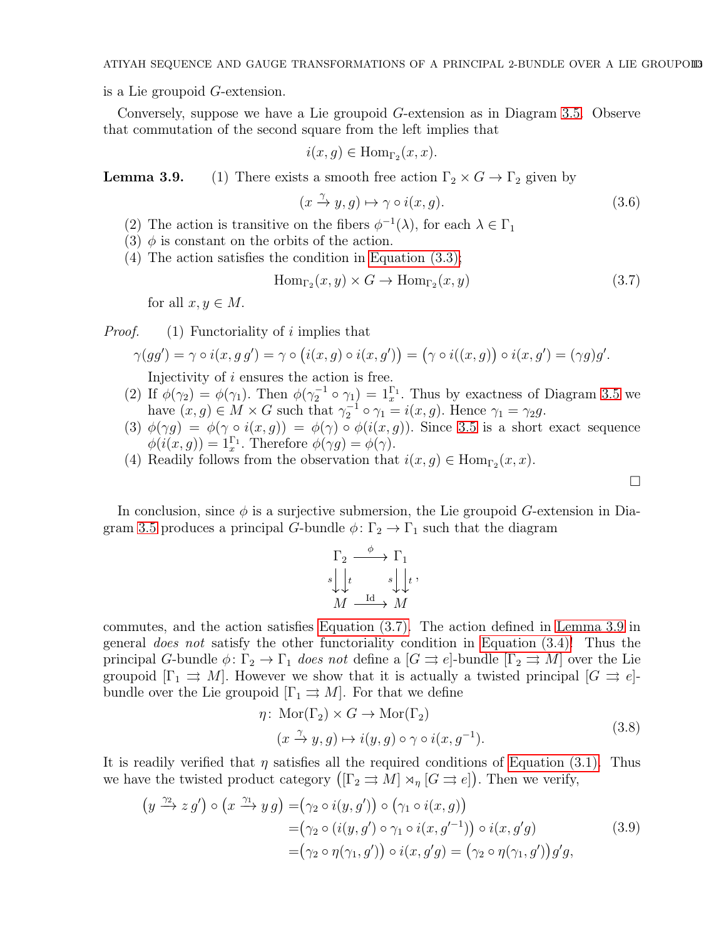is a Lie groupoid G-extension.

Conversely, suppose we have a Lie groupoid G-extension as in Diagram [3.5.](#page-11-2) Observe that commutation of the second square from the left implies that

<span id="page-12-2"></span>
$$
i(x, g) \in \text{Hom}_{\Gamma_2}(x, x).
$$

<span id="page-12-1"></span>**Lemma 3.9.** (1) There exists a smooth free action  $\Gamma_2 \times G \to \Gamma_2$  given by

<span id="page-12-0"></span>
$$
(x \xrightarrow{\gamma} y, g) \mapsto \gamma \circ i(x, g). \tag{3.6}
$$

- (2) The action is transitive on the fibers  $\phi^{-1}(\lambda)$ , for each  $\lambda \in \Gamma_1$
- (3)  $\phi$  is constant on the orbits of the action.
- (4) The action satisfies the condition in [Equation \(3.3\);](#page-11-0)

$$
\text{Hom}_{\Gamma_2}(x, y) \times G \to \text{Hom}_{\Gamma_2}(x, y) \tag{3.7}
$$

for all  $x, y \in M$ .

*Proof.* (1) Functoriality of i implies that

$$
\gamma(gg') = \gamma \circ i(x, g g') = \gamma \circ (i(x, g) \circ i(x, g')) = (\gamma \circ i((x, g)) \circ i(x, g') = (\gamma g)g'.
$$

Injectivity of i ensures the action is free.

- (2) If  $\phi(\gamma_2) = \phi(\gamma_1)$ . Then  $\phi(\gamma_2^{-1} \circ \gamma_1) = 1_x^{\Gamma_1}$ . Thus by exactness of Diagram [3.5](#page-11-2) we have  $(x, g) \in M \times G$  such that  $\gamma_2^{-1} \circ \gamma_1 = i(x, g)$ . Hence  $\gamma_1 = \gamma_2 g$ .
- (3)  $\phi(\gamma g) = \phi(\gamma \circ i(x, g)) = \phi(\gamma) \circ \phi(i(x, g))$ . Since [3.5](#page-11-2) is a short exact sequence  $\phi(i(x,g)) = 1_x^{\Gamma_1}$ . Therefore  $\phi(\gamma g) = \phi(\gamma)$ .
- (4) Readily follows from the observation that  $i(x, g) \in \text{Hom}_{\Gamma_2}(x, x)$ .

In conclusion, since  $\phi$  is a surjective submersion, the Lie groupoid G-extension in Dia-gram [3.5](#page-11-2) produces a principal G-bundle  $\phi: \Gamma_2 \to \Gamma_1$  such that the diagram

$$
\Gamma_2 \xrightarrow{\phi} \Gamma_1
$$
  

$$
s \downarrow \downarrow t \qquad s \downarrow \downarrow t
$$
  

$$
M \xrightarrow{\text{Id}} M
$$

commutes, and the action satisfies [Equation \(3.7\).](#page-12-0) The action defined in [Lemma 3.9](#page-12-1) in general does not satisfy the other functoriality condition in [Equation \(3.4\)!](#page-11-1) Thus the principal G-bundle  $\phi \colon \Gamma_2 \to \Gamma_1$  does not define a  $[G \rightrightarrows e]$ -bundle  $[\Gamma_2 \rightrightarrows M]$  over the Lie groupoid  $[\Gamma_1 \rightrightarrows M]$ . However we show that it is actually a twisted principal  $[G \rightrightarrows e]$ bundle over the Lie groupoid  $[\Gamma_1 \rightrightarrows M]$ . For that we define

$$
\eta \colon \operatorname{Mor}(\Gamma_2) \times G \to \operatorname{Mor}(\Gamma_2)
$$
  
\n
$$
(x \stackrel{\gamma}{\to} y, g) \mapsto i(y, g) \circ \gamma \circ i(x, g^{-1}).
$$
\n(3.8)

It is readily verified that  $\eta$  satisfies all the required conditions of [Equation \(3.1\).](#page-8-2) Thus we have the twisted product category  $([\Gamma_2 \rightrightarrows M] \rtimes_{\eta} [G \rightrightarrows e])$ . Then we verify,

$$
\begin{aligned} \left(y \xrightarrow{\gamma_2} z g'\right) \circ \left(x \xrightarrow{\gamma_1} y g\right) &= \left(\gamma_2 \circ i(y, g')\right) \circ \left(\gamma_1 \circ i(x, g)\right) \\ &= \left(\gamma_2 \circ (i(y, g') \circ \gamma_1 \circ i(x, g'^{-1})) \circ i(x, g'g)\right) \\ &= \left(\gamma_2 \circ \eta(\gamma_1, g')\right) \circ i(x, g'g) = \left(\gamma_2 \circ \eta(\gamma_1, g')\right) g'g, \end{aligned} \tag{3.9}
$$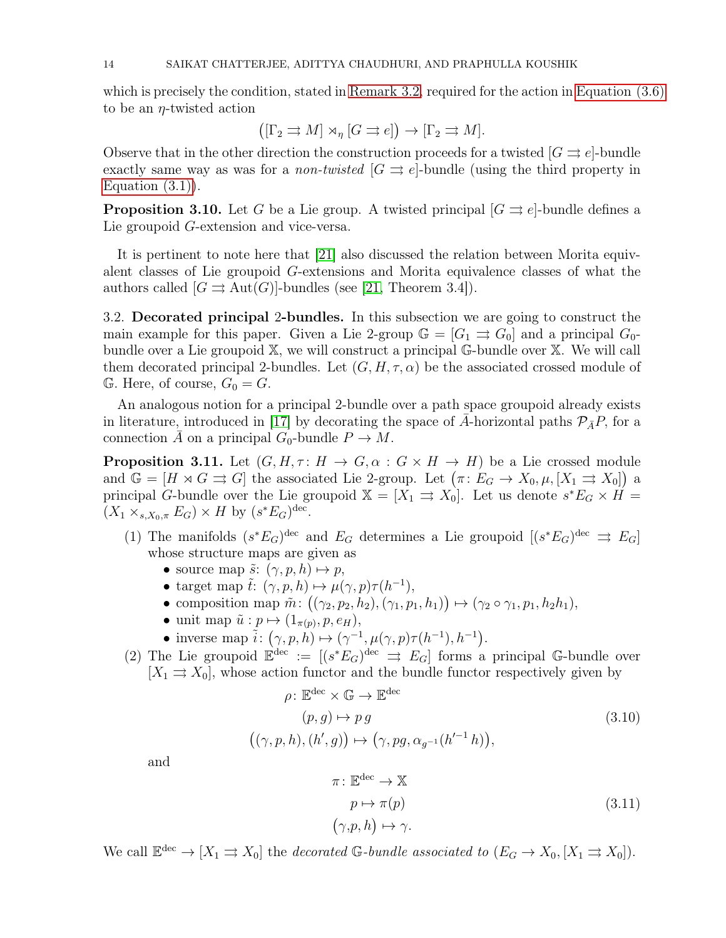which is precisely the condition, stated in [Remark 3.2,](#page-9-1) required for the action in [Equation \(3.6\)](#page-12-2) to be an  $\eta$ -twisted action

$$
([\Gamma_2 \rightrightarrows M] \rtimes_{\eta} [G \rightrightarrows e]) \to [\Gamma_2 \rightrightarrows M].
$$

Observe that in the other direction the construction proceeds for a twisted  $|G \rightrightarrows e|$ -bundle exactly same way as was for a *non-twisted*  $[G \rightrightarrows e]$ -bundle (using the third property in Equation  $(3.1)$ ).

**Proposition 3.10.** Let G be a Lie group. A twisted principal  $[G \rightrightarrows e]$ -bundle defines a Lie groupoid G-extension and vice-versa.

It is pertinent to note here that [\[21\]](#page-37-8) also discussed the relation between Morita equivalent classes of Lie groupoid G-extensions and Morita equivalence classes of what the authors called  $[G \rightrightarrows \text{Aut}(G)]$ -bundles (see [\[21,](#page-37-8) Theorem 3.4]).

3.2. Decorated principal 2-bundles. In this subsection we are going to construct the main example for this paper. Given a Lie 2-group  $\mathbb{G} = [G_1 \Rightarrow G_0]$  and a principal  $G_0$ bundle over a Lie groupoid X, we will construct a principal G-bundle over X. We will call them decorated principal 2-bundles. Let  $(G, H, \tau, \alpha)$  be the associated crossed module of  $G$ . Here, of course,  $G_0 = G$ .

An analogous notion for a principal 2-bundle over a path space groupoid already exists in literature, introduced in [\[17\]](#page-37-11) by decorating the space of A-horizontal paths  $\mathcal{P}_{\bar{A}}P$ , for a connection  $\overline{A}$  on a principal  $G_0$ -bundle  $P \to M$ .

<span id="page-13-1"></span>**Proposition 3.11.** Let  $(G, H, \tau : H \to G, \alpha : G \times H \to H)$  be a Lie crossed module and  $\mathbb{G} = [H \rtimes G \rightrightarrows G]$  the associated Lie 2-group. Let  $(\pi: E_G \to X_0, \mu, [X_1 \rightrightarrows X_0])$  a principal G-bundle over the Lie groupoid  $\mathbb{X} = [X_1 \Rightarrow X_0]$ . Let us denote  $s^*E_G \times H =$  $(X_1 \times_{s,X_0,\pi} E_G) \times H$  by  $(s^*E_G)^{\text{dec}}$ .

- (1) The manifolds  $(s^*E_G)^{\text{dec}}$  and  $E_G$  determines a Lie groupoid  $[(s^*E_G)^{\text{dec}} \Rightarrow E_G]$ whose structure maps are given as
	- source map  $\tilde{s}$ :  $(\gamma, p, h) \mapsto p$ ,

 $\left($ 

- target map  $\tilde{t}$ :  $(\gamma, p, h) \mapsto \mu(\gamma, p)\tau(h^{-1}),$
- composition map  $\tilde{m}$ :  $((\gamma_2, p_2, h_2), (\gamma_1, p_1, h_1)) \mapsto (\gamma_2 \circ \gamma_1, p_1, h_2 h_1),$
- unit map  $\tilde{u}: p \mapsto (1_{\pi(p)}, p, e_H),$
- inverse map  $\tilde{i}: (\gamma, p, h) \mapsto (\gamma^{-1}, \mu(\gamma, p)\tau(h^{-1}), h^{-1}).$
- (2) The Lie groupoid  $\mathbb{E}^{\text{dec}} := [(s^*E_G)^{\text{dec}} \Rightarrow E_G]$  forms a principal G-bundle over  $[X_1 \rightrightarrows X_0]$ , whose action functor and the bundle functor respectively given by

$$
\rho: \mathbb{E}^{\text{dec}} \times \mathbb{G} \to \mathbb{E}^{\text{dec}}
$$
  
\n
$$
(p, g) \mapsto pg
$$
  
\n
$$
(\gamma, p, h), (h', g)) \mapsto (\gamma, pg, \alpha_{g^{-1}}(h'^{-1}h)),
$$
\n(3.10)

and

<span id="page-13-0"></span>
$$
\pi: \mathbb{E}^{\text{dec}} \to \mathbb{X}
$$
\n
$$
p \mapsto \pi(p)
$$
\n
$$
(\gamma, p, h) \mapsto \gamma.
$$
\n(3.11)

We call  $\mathbb{E}^{\text{dec}} \to [X_1 \rightrightarrows X_0]$  the *decorated* G-bundle associated to  $(E_G \to X_0, [X_1 \rightrightarrows X_0])$ .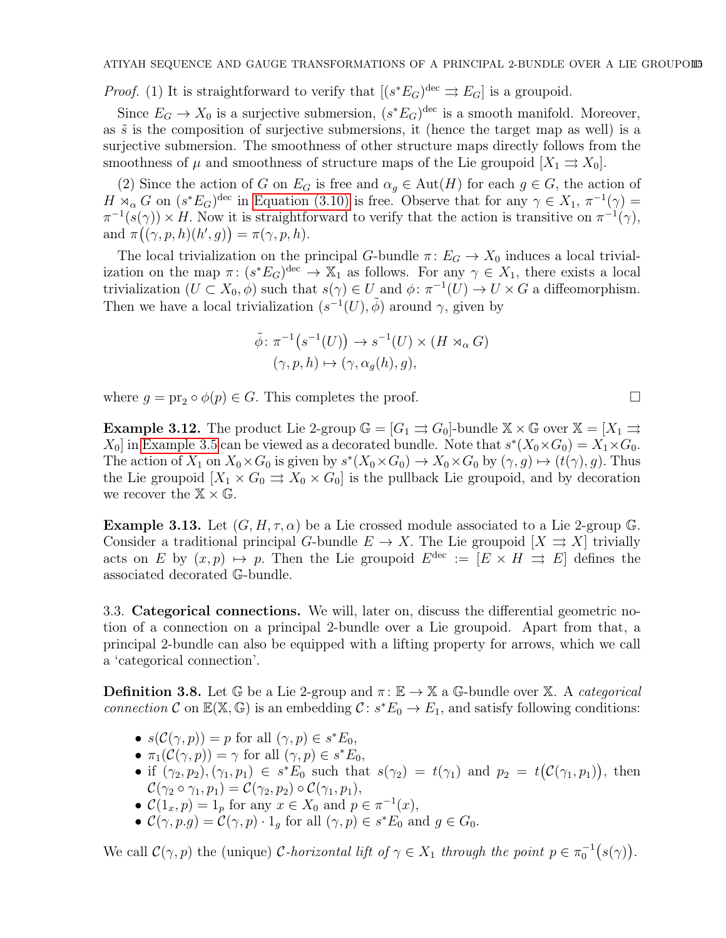*Proof.* (1) It is straightforward to verify that  $[(s^*E_G)^{\text{dec}} \rightrightarrows E_G]$  is a groupoid.

Since  $E_G \to X_0$  is a surjective submersion,  $(s^*E_G)^{\text{dec}}$  is a smooth manifold. Moreover, as  $\tilde{s}$  is the composition of surjective submersions, it (hence the target map as well) is a surjective submersion. The smoothness of other structure maps directly follows from the smoothness of  $\mu$  and smoothness of structure maps of the Lie groupoid  $[X_1 \rightrightarrows X_0]$ .

(2) Since the action of G on  $E_G$  is free and  $\alpha_q \in \text{Aut}(H)$  for each  $g \in G$ , the action of  $H \rtimes_{\alpha} G$  on  $(s^*E_G)^{\text{dec}}$  in [Equation \(3.10\)](#page-13-0) is free. Observe that for any  $\gamma \in X_1$ ,  $\pi^{-1}(\gamma) =$  $\pi^{-1}(s(\gamma)) \times H$ . Now it is straightforward to verify that the action is transitive on  $\pi^{-1}(\gamma)$ , and  $\pi((\gamma, p, h)(h', g)) = \pi(\gamma, p, h).$ 

The local trivialization on the principal G-bundle  $\pi: E_G \to X_0$  induces a local trivialization on the map  $\pi: (s^*E_G)^{\text{dec}} \to X_1$  as follows. For any  $\gamma \in X_1$ , there exists a local trivialization  $(U \subset X_0, \phi)$  such that  $s(\gamma) \in U$  and  $\phi: \pi^{-1}(U) \to U \times G$  a diffeomorphism. Then we have a local trivialization  $(s^{-1}(U), \tilde{\phi})$  around  $\gamma$ , given by

$$
\tilde{\phi} \colon \pi^{-1}(s^{-1}(U)) \to s^{-1}(U) \times (H \rtimes_{\alpha} G)
$$

$$
(\gamma, p, h) \mapsto (\gamma, \alpha_g(h), g),
$$

where  $g = \text{pr}_2 \circ \phi(p) \in G$ . This completes the proof.

**Example 3.12.** The product Lie 2-group  $\mathbb{G} = [G_1 \Rightarrow G_0]$ -bundle  $\mathbb{X} \times \mathbb{G}$  over  $\mathbb{X} = [X_1 \Rightarrow$  $X_0$  in [Example 3.5](#page-10-1) can be viewed as a decorated bundle. Note that  $s^*(X_0 \times G_0) = X_1 \times G_0$ . The action of  $X_1$  on  $X_0 \times G_0$  is given by  $s^*(X_0 \times G_0) \to X_0 \times G_0$  by  $(\gamma, g) \mapsto (t(\gamma), g)$ . Thus the Lie groupoid  $[X_1 \times G_0 \Rightarrow X_0 \times G_0]$  is the pullback Lie groupoid, and by decoration we recover the  $\mathbb{X} \times \mathbb{G}$ .

<span id="page-14-1"></span>**Example 3.13.** Let  $(G, H, \tau, \alpha)$  be a Lie crossed module associated to a Lie 2-group G. Consider a traditional principal G-bundle  $E \to X$ . The Lie groupoid  $[X \rightrightarrows X]$  trivially acts on E by  $(x, p) \mapsto p$ . Then the Lie groupoid  $E^{\text{dec}} := [E \times H \Rightarrow E]$  defines the associated decorated G-bundle.

<span id="page-14-2"></span>3.3. Categorical connections. We will, later on, discuss the differential geometric notion of a connection on a principal 2-bundle over a Lie groupoid. Apart from that, a principal 2-bundle can also be equipped with a lifting property for arrows, which we call a 'categorical connection'.

<span id="page-14-0"></span>**Definition 3.8.** Let G be a Lie 2-group and  $\pi: \mathbb{E} \to \mathbb{X}$  a G-bundle over X. A *categorical* connection C on  $\mathbb{E}(\mathbb{X}, \mathbb{G})$  is an embedding  $\mathcal{C}: s^*E_0 \to E_1$ , and satisfy following conditions:

- $s(\mathcal{C}(\gamma, p)) = p$  for all  $(\gamma, p) \in s^*E_0$ ,
- $\pi_1(\mathcal{C}(\gamma, p)) = \gamma$  for all  $(\gamma, p) \in s^*E_0$ ,
- if  $(\gamma_2, p_2), (\gamma_1, p_1) \in s^*E_0$  such that  $s(\gamma_2) = t(\gamma_1)$  and  $p_2 = t(C(\gamma_1, p_1)),$  then  $\mathcal{C}(\gamma_2 \circ \gamma_1, p_1) = \mathcal{C}(\gamma_2, p_2) \circ \mathcal{C}(\gamma_1, p_1),$
- $\mathcal{C}(1_x, p) = 1_p$  for any  $x \in X_0$  and  $p \in \pi^{-1}(x)$ ,
- $\mathcal{C}(\gamma, p.g) = \mathcal{C}(\gamma, p) \cdot 1_g$  for all  $(\gamma, p) \in s^*E_0$  and  $g \in G_0$ .

We call  $\mathcal{C}(\gamma, p)$  the (unique) C-horizontal lift of  $\gamma \in X_1$  through the point  $p \in \pi_0^{-1}(s(\gamma))$ .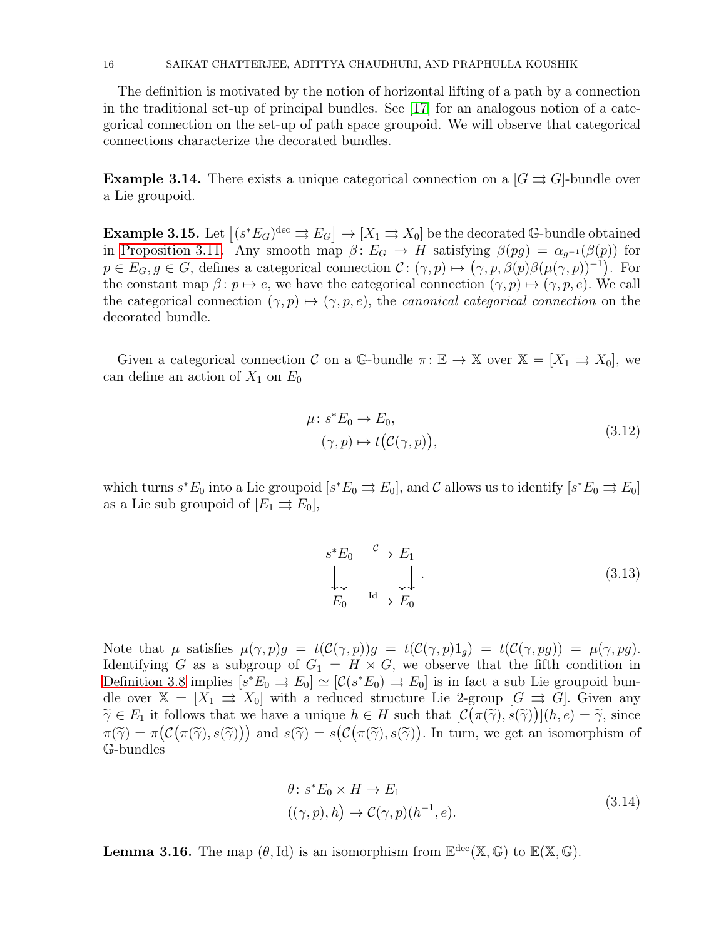#### 16 SAIKAT CHATTERJEE, ADITTYA CHAUDHURI, AND PRAPHULLA KOUSHIK

The definition is motivated by the notion of horizontal lifting of a path by a connection in the traditional set-up of principal bundles. See [\[17\]](#page-37-11) for an analogous notion of a categorical connection on the set-up of path space groupoid. We will observe that categorical connections characterize the decorated bundles.

**Example 3.14.** There exists a unique categorical connection on a  $[G \rightrightarrows G]$ -bundle over a Lie groupoid.

**Example 3.15.** Let  $[(s^*E_G)^{\text{dec}} \rightrightarrows E_G] \to [X_1 \rightrightarrows X_0]$  be the decorated G-bundle obtained in [Proposition 3.11.](#page-13-1) Any smooth map  $\beta: E_G \to H$  satisfying  $\beta(pg) = \alpha_{g^{-1}}(\beta(p))$  for  $p \in E_G, g \in G$ , defines a categorical connection  $\mathcal{C} : (\gamma, p) \mapsto (\gamma, p, \beta(p)\beta(\mu(\gamma, p))^{-1})$ . For the constant map  $\beta: p \mapsto e$ , we have the categorical connection  $(\gamma, p) \mapsto (\gamma, p, e)$ . We call the categorical connection  $(\gamma, p) \mapsto (\gamma, p, e)$ , the *canonical categorical connection* on the decorated bundle.

Given a categorical connection C on a G-bundle  $\pi: \mathbb{E} \to \mathbb{X}$  over  $\mathbb{X} = [X_1 \Rightarrow X_0]$ , we can define an action of  $X_1$  on  $E_0$ 

$$
\mu: s^* E_0 \to E_0,
$$
  
\n
$$
(\gamma, p) \mapsto t(C(\gamma, p)),
$$
\n(3.12)

which turns  $s^*E_0$  into a Lie groupoid  $[s^*E_0 \rightrightarrows E_0]$ , and C allows us to identify  $[s^*E_0 \rightrightarrows E_0]$ as a Lie sub groupoid of  $[E_1 \rightrightarrows E_0],$ 

$$
s^* E_0 \xrightarrow{\mathcal{C}} E_1
$$
  
\n
$$
\downarrow \qquad \qquad \downarrow \qquad \qquad \downarrow \qquad \qquad (3.13)
$$
  
\n
$$
E_0 \xrightarrow{\text{Id}} E_0
$$

Note that  $\mu$  satisfies  $\mu(\gamma, p)g = t(\mathcal{C}(\gamma, p))g = t(\mathcal{C}(\gamma, p)1_g) = t(\mathcal{C}(\gamma, pg)) = \mu(\gamma, pg).$ Identifying G as a subgroup of  $G_1 = H \rtimes G$ , we observe that the fifth condition in [Definition 3.8](#page-14-0) implies  $[s^*E_0 \rightrightarrows E_0] \simeq [\mathcal{C}(s^*E_0) \rightrightarrows E_0]$  is in fact a sub Lie groupoid bundle over  $\mathbb{X} = [X_1 \Rightarrow X_0]$  with a reduced structure Lie 2-group  $[G \Rightarrow G]$ . Given any  $\widetilde{\gamma} \in E_1$  it follows that we have a unique  $h \in H$  such that  $[\mathcal{C}(\pi(\widetilde{\gamma}), s(\widetilde{\gamma}))](h, e) = \widetilde{\gamma}$ , since  $\pi(\widetilde{\gamma}) = \pi(\mathcal{C}(\pi(\widetilde{\gamma}), s(\widetilde{\gamma})))$  and  $s(\widetilde{\gamma}) = s(\mathcal{C}(\pi(\widetilde{\gamma}), s(\widetilde{\gamma})).$  In turn, we get an isomorphism of G-bundles

$$
\theta: s^* E_0 \times H \to E_1
$$
  

$$
((\gamma, p), h) \to \mathcal{C}(\gamma, p)(h^{-1}, e).
$$
 (3.14)

<span id="page-15-0"></span>**Lemma 3.16.** The map  $(\theta, Id)$  is an isomorphism from  $\mathbb{E}^{\text{dec}}(\mathbb{X}, \mathbb{G})$  to  $\mathbb{E}(\mathbb{X}, \mathbb{G})$ .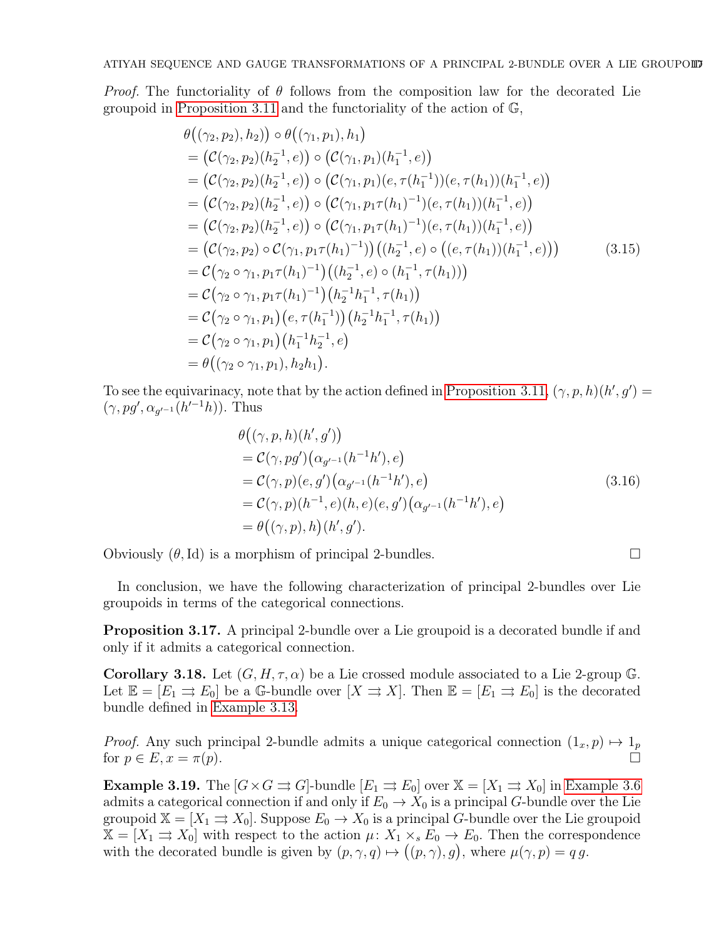*Proof.* The functoriality of  $\theta$  follows from the composition law for the decorated Lie groupoid in [Proposition 3.11](#page-13-1) and the functoriality of the action of G,

$$
\theta((\gamma_2, p_2), h_2)) \circ \theta((\gamma_1, p_1), h_1)
$$
\n=  $(\mathcal{C}(\gamma_2, p_2)(h_2^{-1}, e)) \circ (\mathcal{C}(\gamma_1, p_1)(h_1^{-1}, e))$   
\n=  $(\mathcal{C}(\gamma_2, p_2)(h_2^{-1}, e)) \circ (\mathcal{C}(\gamma_1, p_1)(e, \tau(h_1^{-1}))(e, \tau(h_1))(h_1^{-1}, e))$   
\n=  $(\mathcal{C}(\gamma_2, p_2)(h_2^{-1}, e)) \circ (\mathcal{C}(\gamma_1, p_1 \tau(h_1)^{-1})(e, \tau(h_1))(h_1^{-1}, e))$   
\n=  $(\mathcal{C}(\gamma_2, p_2)(h_2^{-1}, e)) \circ (\mathcal{C}(\gamma_1, p_1 \tau(h_1)^{-1})(e, \tau(h_1))(h_1^{-1}, e))$   
\n=  $(\mathcal{C}(\gamma_2, p_2) \circ \mathcal{C}(\gamma_1, p_1 \tau(h_1)^{-1}))((h_2^{-1}, e) \circ ((e, \tau(h_1))(h_1^{-1}, e)))$   
\n=  $\mathcal{C}(\gamma_2 \circ \gamma_1, p_1 \tau(h_1)^{-1})((h_2^{-1}, e) \circ (h_1^{-1}, \tau(h_1)))$   
\n=  $\mathcal{C}(\gamma_2 \circ \gamma_1, p_1 \tau(h_1)^{-1})(h_2^{-1} h_1^{-1}, \tau(h_1))$   
\n=  $\mathcal{C}(\gamma_2 \circ \gamma_1, p_1) (e, \tau(h_1^{-1}))((h_2^{-1} h_1^{-1}, \tau(h_1))$   
\n=  $\mathcal{C}(\gamma_2 \circ \gamma_1, p_1) (h_1^{-1} h_2^{-1}, e)$   
\n=  $\theta((\gamma_2 \circ \gamma_1, p_1), h_2 h_1).$ 

To see the equivarinacy, note that by the action defined in [Proposition 3.11,](#page-13-1)  $(\gamma, p, h)(h', g') =$  $(\gamma, pg', \alpha_{g'-1}(h'^{-1}h)).$  Thus

$$
\theta((\gamma, p, h)(h', g'))\n= C(\gamma, pg')(\alpha_{g'-1}(h^{-1}h'), e)\n= C(\gamma, p)(e, g')(\alpha_{g'-1}(h^{-1}h'), e)\n= C(\gamma, p)(h^{-1}, e)(h, e)(e, g')(\alpha_{g'-1}(h^{-1}h'), e)\n= \theta((\gamma, p), h)(h', g').
$$
\n(3.16)

Obviously  $(\theta, \text{Id})$  is a morphism of principal 2-bundles.

<span id="page-16-1"></span>In conclusion, we have the following characterization of principal 2-bundles over Lie groupoids in terms of the categorical connections.

Proposition 3.17. A principal 2-bundle over a Lie groupoid is a decorated bundle if and only if it admits a categorical connection.

<span id="page-16-0"></span>**Corollary 3.18.** Let  $(G, H, \tau, \alpha)$  be a Lie crossed module associated to a Lie 2-group G. Let  $\mathbb{E} = [E_1 \Rightarrow E_0]$  be a G-bundle over  $[X \Rightarrow X]$ . Then  $\mathbb{E} = [E_1 \Rightarrow E_0]$  is the decorated bundle defined in [Example 3.13.](#page-14-1)

*Proof.* Any such principal 2-bundle admits a unique categorical connection  $(1_x, p) \mapsto 1_p$ for  $p \in E$ ,  $x = \pi(p)$ .

**Example 3.19.** The  $[G \times G \rightrightarrows G]$ -bundle  $[E_1 \rightrightarrows E_0]$  over  $\mathbb{X} = [X_1 \rightrightarrows X_0]$  in [Example 3.6](#page-10-2) admits a categorical connection if and only if  $E_0 \to X_0$  is a principal G-bundle over the Lie groupoid  $\mathbb{X} = [X_1 \rightrightarrows X_0]$ . Suppose  $E_0 \to X_0$  is a principal G-bundle over the Lie groupoid  $\mathbb{X} = [X_1 \rightrightarrows X_0]$  with respect to the action  $\mu: X_1 \times_s E_0 \to E_0$ . Then the correspondence with the decorated bundle is given by  $(p, \gamma, q) \mapsto ((p, \gamma), g)$ , where  $\mu(\gamma, p) = q g$ .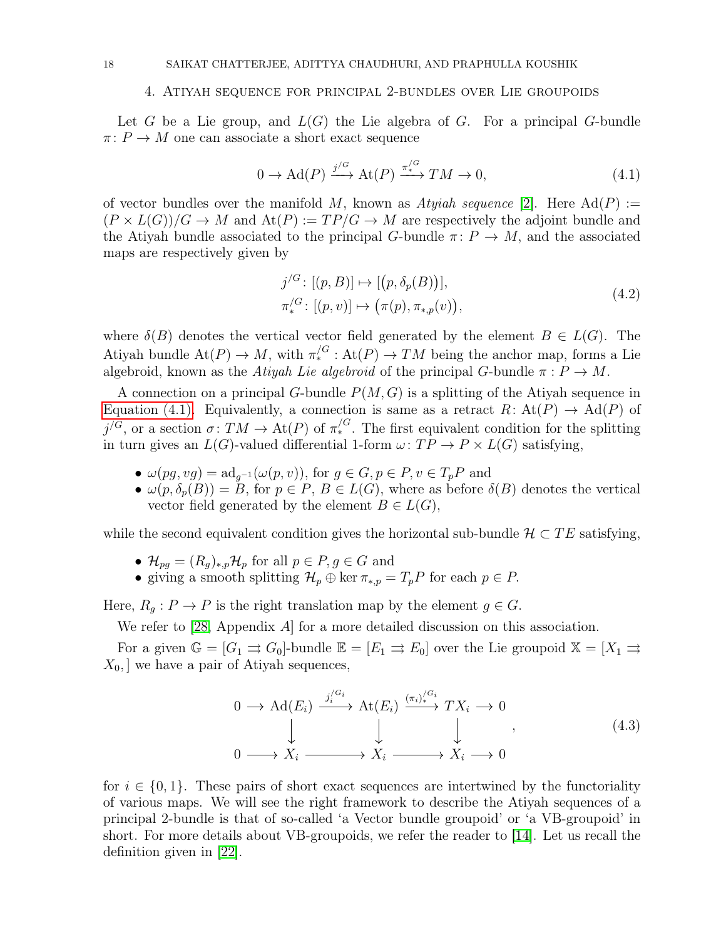### <span id="page-17-0"></span>4. Atiyah sequence for principal 2-bundles over Lie groupoids

Let G be a Lie group, and  $L(G)$  the Lie algebra of G. For a principal G-bundle  $\pi: P \to M$  one can associate a short exact sequence

<span id="page-17-1"></span>
$$
0 \to \mathrm{Ad}(P) \xrightarrow{j/G} \mathrm{At}(P) \xrightarrow{\pi^{/G}} TM \to 0,
$$
\n(4.1)

of vector bundles over the manifold M, known as Atyiah sequence [\[2\]](#page-37-21). Here  $\text{Ad}(P) :=$  $(P \times L(G))/G \rightarrow M$  and  $\text{At}(P) := TP/G \rightarrow M$  are respectively the adjoint bundle and the Atiyah bundle associated to the principal G-bundle  $\pi: P \to M$ , and the associated maps are respectively given by

$$
j^{G}: [(p, B)] \mapsto [(p, \delta_{p}(B))],
$$
  
\n
$$
\pi^{G}_{*}: [(p, v)] \mapsto (\pi(p), \pi_{*,p}(v)),
$$
\n(4.2)

where  $\delta(B)$  denotes the vertical vector field generated by the element  $B \in L(G)$ . The Atiyah bundle  $\text{At}(P) \to M$ , with  $\pi^{/G}_* : \text{At}(P) \to TM$  being the anchor map, forms a Lie algebroid, known as the Atiyah Lie algebroid of the principal G-bundle  $\pi : P \to M$ .

A connection on a principal G-bundle  $P(M, G)$  is a splitting of the Atiyah sequence in [Equation \(4.1\).](#page-17-1) Equivalently, a connection is same as a retract  $R: At(P) \to Ad(P)$  of  $j^{/G}$ , or a section  $\sigma: TM \to \text{At}(P)$  of  $\pi^{/G}_*$ . The first equivalent condition for the splitting in turn gives an  $L(G)$ -valued differential 1-form  $\omega:TP\to P\times L(G)$  satisfying,

- $\omega(pq, vq) = \mathrm{ad}_{q^{-1}}(\omega(p, v)),$  for  $q \in G, p \in P, v \in T_pP$  and
- $\omega(p, \delta_p(B)) = B$ , for  $p \in P$ ,  $B \in L(G)$ , where as before  $\delta(B)$  denotes the vertical vector field generated by the element  $B \in L(G)$ ,

while the second equivalent condition gives the horizontal sub-bundle  $\mathcal{H} \subset TE$  satisfying,

- $\mathcal{H}_{pg} = (R_g)_{*,p} \mathcal{H}_p$  for all  $p \in P, g \in G$  and
- giving a smooth splitting  $\mathcal{H}_p \oplus \ker \pi_{*,p} = T_p P$  for each  $p \in P$ .

Here,  $R_q: P \to P$  is the right translation map by the element  $g \in G$ .

We refer to [\[28,](#page-38-14) Appendix A] for a more detailed discussion on this association.

For a given  $\mathbb{G} = [G_1 \rightrightarrows G_0]$ -bundle  $\mathbb{E} = [E_1 \rightrightarrows E_0]$  over the Lie groupoid  $\mathbb{X} = [X_1 \rightrightarrows E_0]$  $X_0$ , we have a pair of Atiyah sequences,

<span id="page-17-2"></span>
$$
0 \longrightarrow \operatorname{Ad}(E_i) \xrightarrow{j_i^{G_i}} \operatorname{At}(E_i) \xrightarrow{(\pi_i)^{G_i}} TX_i \longrightarrow 0
$$
  
\n
$$
\downarrow \qquad \qquad \downarrow \qquad \qquad ,
$$
  
\n
$$
0 \longrightarrow X_i \longrightarrow X_i \longrightarrow X_i \longrightarrow 0
$$
  
\n
$$
(4.3)
$$

for  $i \in \{0,1\}$ . These pairs of short exact sequences are intertwined by the functoriality of various maps. We will see the right framework to describe the Atiyah sequences of a principal 2-bundle is that of so-called 'a Vector bundle groupoid' or 'a VB-groupoid' in short. For more details about VB-groupoids, we refer the reader to [\[14\]](#page-37-24). Let us recall the definition given in [\[22\]](#page-37-22).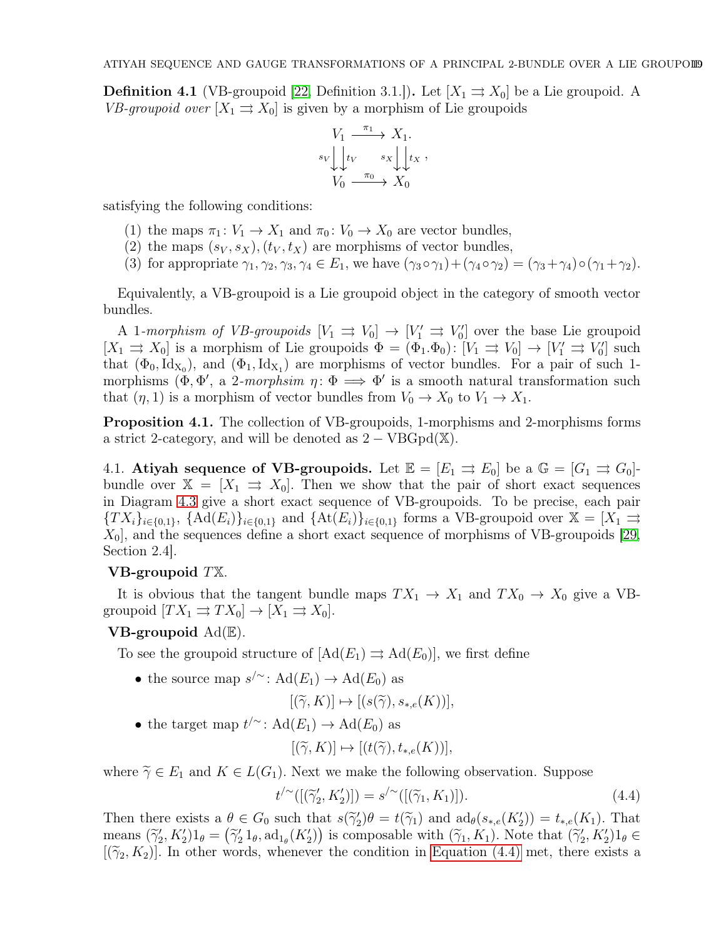**Definition 4.1** (VB-groupoid [\[22,](#page-37-22) Definition 3.1.]). Let  $[X_1 \Rightarrow X_0]$  be a Lie groupoid. A VB-groupoid over  $[X_1 \rightrightarrows X_0]$  is given by a morphism of Lie groupoids

$$
V_1 \xrightarrow{\pi_1} X_1.
$$
  

$$
s_V \downarrow \downarrow t_V \xrightarrow{s_X} \downarrow \downarrow t_X,
$$
  

$$
V_0 \xrightarrow{\pi_0} X_0
$$

satisfying the following conditions:

- (1) the maps  $\pi_1: V_1 \to X_1$  and  $\pi_0: V_0 \to X_0$  are vector bundles,
- (2) the maps  $(s_V, s_X)$ ,  $(t_V, t_X)$  are morphisms of vector bundles,
- (3) for appropriate  $\gamma_1, \gamma_2, \gamma_3, \gamma_4 \in E_1$ , we have  $(\gamma_3 \circ \gamma_1) + (\gamma_4 \circ \gamma_2) = (\gamma_3 + \gamma_4) \circ (\gamma_1 + \gamma_2)$ .

Equivalently, a VB-groupoid is a Lie groupoid object in the category of smooth vector bundles.

A 1-morphism of VB-groupoids  $[V_1 \Rightarrow V_0] \rightarrow [V'_1 \Rightarrow V'_0]$  over the base Lie groupoid  $[X_1 \rightrightarrows X_0]$  is a morphism of Lie groupoids  $\Phi = (\Phi_1 \cdot \Phi_0) : [V_1 \rightrightarrows V_0] \rightarrow [V_1' \rightrightarrows V_0']$  such that  $(\Phi_0, \text{Id}_{X_0})$ , and  $(\Phi_1, \text{Id}_{X_1})$  are morphisms of vector bundles. For a pair of such 1morphisms  $(\Phi, \Phi', a \text{ 2-morphism } \eta : \Phi \implies \Phi'$  is a smooth natural transformation such that  $(\eta, 1)$  is a morphism of vector bundles from  $V_0 \to X_0$  to  $V_1 \to X_1$ .

<span id="page-18-1"></span>Proposition 4.1. The collection of VB-groupoids, 1-morphisms and 2-morphisms forms a strict 2-category, and will be denoted as  $2 - \text{VBGpd}(\mathbb{X})$ .

4.1. Atiyah sequence of VB-groupoids. Let  $\mathbb{E} = [E_1 \Rightarrow E_0]$  be a  $\mathbb{G} = [G_1 \Rightarrow G_0]$ bundle over  $\mathbb{X} = [X_1 \Rightarrow X_0]$ . Then we show that the pair of short exact sequences in Diagram [4.3](#page-17-2) give a short exact sequence of VB-groupoids. To be precise, each pair  ${T X_i}_{i \in \{0,1\}}, \ \{ \mathrm{Ad}(E_i) \}_{i \in \{0,1\}} \ \text{and} \ \{ \mathrm{At}(E_i) \}_{i \in \{0,1\}} \ \text{forms a VB-groupoid over } \mathbb{X} = [X_1 \rightrightarrows Y_1]$  $X_0$ , and the sequences define a short exact sequence of morphisms of VB-groupoids [\[29,](#page-38-9) Section 2.4].

### VB-groupoid TX.

It is obvious that the tangent bundle maps  $TX_1 \to X_1$  and  $TX_0 \to X_0$  give a VBgroupoid  $[T X_1 \rightrightarrows TX_0] \to [X_1 \rightrightarrows X_0]$ .

# **VB-groupoid**  $\text{Ad}(\mathbb{E})$ .

To see the groupoid structure of  $[Ad(E_1) \rightrightarrows Ad(E_0)],$  we first define

• the source map  $s'$  :  $Ad(E_1) \rightarrow Ad(E_0)$  as

$$
[(\widetilde{\gamma},K)]\mapsto [(s(\widetilde{\gamma}),s_{*,e}(K))],
$$

• the target map  $t'^{\sim}$ : Ad $(E_1) \rightarrow \text{Ad}(E_0)$  as

<span id="page-18-0"></span>
$$
[(\widetilde{\gamma}, K)] \mapsto [(t(\widetilde{\gamma}), t_{*,e}(K))],
$$

where  $\tilde{\gamma} \in E_1$  and  $K \in L(G_1)$ . Next we make the following observation. Suppose

$$
t^{\prime} \sim ([(\widetilde{\gamma}_2', K_2')] ) = s^{\prime} \sim ([(\widetilde{\gamma}_1, K_1)] ). \tag{4.4}
$$

Then there exists a  $\theta \in G_0$  such that  $s(\widetilde{\gamma}_2')\theta = t(\widetilde{\gamma}_1)$  and  $\text{ad}_{\theta}(s_{*,e}(K_2')) = t_{*,e}(K_1)$ . That means  $(\widetilde{\gamma}'_2, K'_2)1_\theta = (\widetilde{\gamma}'_2 1_\theta, \mathrm{ad}_{1_\theta}(K'_2))$  is composable with  $(\widetilde{\gamma}_1, K_1)$ . Note that  $(\widetilde{\gamma}'_2, K'_2)1_\theta \in$  $[(\widetilde{\gamma}_2, K_2)]$ . In other words, whenever the condition in [Equation \(4.4\)](#page-18-0) met, there exists a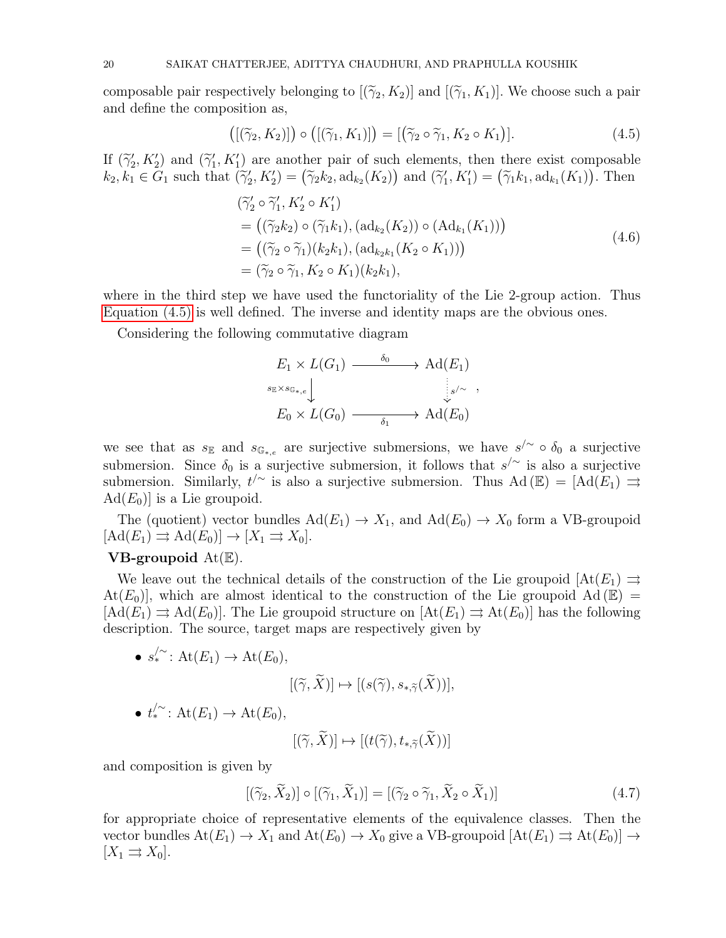composable pair respectively belonging to  $[(\widetilde{\gamma}_2, K_2)]$  and  $[(\widetilde{\gamma}_1, K_1)]$ . We choose such a pair and define the composition as,

<span id="page-19-0"></span>
$$
\left(\left[\left(\widetilde{\gamma}_2, K_2\right)\right]\right) \circ \left(\left[\left(\widetilde{\gamma}_1, K_1\right)\right]\right) = \left[\left(\widetilde{\gamma}_2 \circ \widetilde{\gamma}_1, K_2 \circ K_1\right)\right].\tag{4.5}
$$

If  $(\tilde{\gamma}'_2, K'_2)$  and  $(\tilde{\gamma}'_1, K'_1)$  are another pair of such elements, then there exist composable  $k_2, k_1 \in G_1$  such that  $(\widetilde{\gamma}_2', K_2') = (\widetilde{\gamma}_2 k_2, \text{ad}_{k_2}(K_2))$  and  $(\widetilde{\gamma}_1', K_1') = (\widetilde{\gamma}_1 k_1, \text{ad}_{k_1}(K_1))$ . Then

$$
(\widetilde{\gamma}'_2 \circ \widetilde{\gamma}'_1, K'_2 \circ K'_1)
$$
  
= 
$$
((\widetilde{\gamma}_2 k_2) \circ (\widetilde{\gamma}_1 k_1), (\mathrm{ad}_{k_2}(K_2)) \circ (\mathrm{Ad}_{k_1}(K_1)))
$$
  
= 
$$
((\widetilde{\gamma}_2 \circ \widetilde{\gamma}_1)(k_2 k_1), (\mathrm{ad}_{k_2 k_1}(K_2 \circ K_1)))
$$
  
= 
$$
(\widetilde{\gamma}_2 \circ \widetilde{\gamma}_1, K_2 \circ K_1)(k_2 k_1),
$$
 (4.6)

where in the third step we have used the functoriality of the Lie 2-group action. Thus [Equation \(4.5\)](#page-19-0) is well defined. The inverse and identity maps are the obvious ones.

Considering the following commutative diagram

$$
E_1 \times L(G_1) \xrightarrow{\delta_0} \text{Ad}(E_1)
$$
  
\n
$$
{}_{s_{\mathbb{E}} \times s_{\mathbb{G}_{*,e}}}\downarrow \qquad \qquad \downarrow \qquad \qquad \downarrow s/ \sim
$$
  
\n
$$
E_0 \times L(G_0) \xrightarrow{\delta_1} \text{Ad}(E_0)
$$

we see that as  $s_{\mathbb{E}}$  and  $s_{\mathbb{G}_{*,e}}$  are surjective submersions, we have  $s'^{\sim} \circ \delta_0$  a surjective submersion. Since  $\delta_0$  is a surjective submersion, it follows that  $s^{\prime\prime}$  is also a surjective submersion. Similarly,  $t^{\prime\sim}$  is also a surjective submersion. Thus Ad ( $\mathbb{E}$ ) = [Ad( $E_1$ )  $\Rightarrow$  $\text{Ad}(E_0)$ ] is a Lie groupoid.

The (quotient) vector bundles  $\text{Ad}(E_1) \to X_1$ , and  $\text{Ad}(E_0) \to X_0$  form a VB-groupoid  $[Ad(E_1) \rightrightarrows Ad(E_0)] \rightarrow [X_1 \rightrightarrows X_0].$ 

### **VB-groupoid**  $At(E)$ .

We leave out the technical details of the construction of the Lie groupoid  $[At(E_1) \Rightarrow$  $\text{At}(E_0)$ , which are almost identical to the construction of the Lie groupoid Ad (E) =  $[\text{Ad}(E_1) \rightrightarrows \text{Ad}(E_0)]$ . The Lie groupoid structure on  $[\text{At}(E_1) \rightrightarrows \text{At}(E_0)]$  has the following description. The source, target maps are respectively given by

• 
$$
s^{\prime\sim}_{*}
$$
: At $(E_1)$   $\rightarrow$  At $(E_0)$ ,

$$
[(\widetilde{\gamma}, \widetilde{X})] \mapsto [(s(\widetilde{\gamma}), s_{*, \widetilde{\gamma}}(\widetilde{X}))],
$$
  

$$
t_*^{\prime \sim}: \text{At}(E_1) \to \text{At}(E_0),
$$
  

$$
[(\widetilde{\gamma}, \widetilde{X})] \mapsto [(t(\widetilde{\gamma}), t_{*, \widetilde{\gamma}}(\widetilde{X}))]
$$

and composition is given by

 $\bullet$ 

$$
[(\widetilde{\gamma}_2, \widetilde{X}_2)] \circ [(\widetilde{\gamma}_1, \widetilde{X}_1)] = [(\widetilde{\gamma}_2 \circ \widetilde{\gamma}_1, \widetilde{X}_2 \circ \widetilde{X}_1)] \tag{4.7}
$$

for appropriate choice of representative elements of the equivalence classes. Then the vector bundles  $At(E_1) \to X_1$  and  $At(E_0) \to X_0$  give a VB-groupoid  $[At(E_1) \to At(E_0)] \to$  $[X_1 \rightrightarrows X_0].$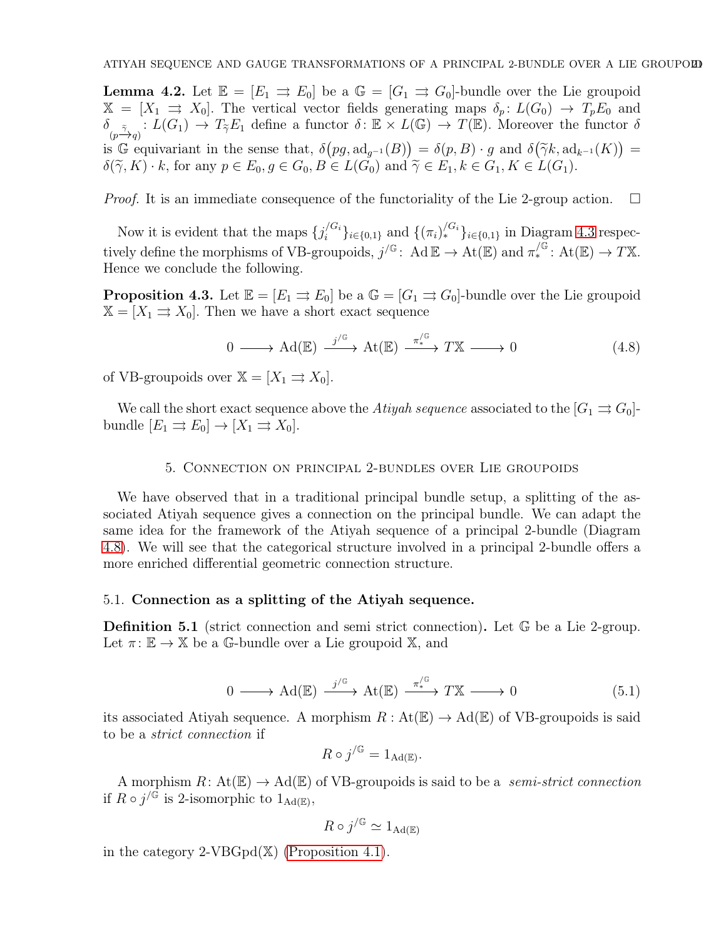**Lemma 4.2.** Let  $\mathbb{E} = [E_1 \Rightarrow E_0]$  be a  $\mathbb{G} = [G_1 \Rightarrow G_0]$ -bundle over the Lie groupoid  $\mathbb{X} = [X_1 \Rightarrow X_0]$ . The vertical vector fields generating maps  $\delta_p: L(G_0) \to T_pE_0$  and  $\delta_{(p\tilde{\to}_{q})}: L(G_1) \to T_{\tilde{\gamma}}E_1$  define a functor  $\delta: \mathbb{E} \times L(\mathbb{G}) \to T(\mathbb{E})$ . Moreover the functor  $\delta$ is  $\mathbb{G}$  equivariant in the sense that,  $\delta(pg, \mathrm{ad}_{g^{-1}}(B)) = \delta(p, B) \cdot g$  and  $\delta(\widetilde{\gamma}k, \mathrm{ad}_{k^{-1}}(K)) =$  $\delta(\widetilde{\gamma}, K) \cdot k$ , for any  $p \in E_0, g \in G_0, B \in L(G_0)$  and  $\widetilde{\gamma} \in E_1, k \in G_1, K \in L(G_1)$ .

*Proof.* It is an immediate consequence of the functoriality of the Lie 2-group action.  $\Box$ 

Now it is evident that the maps  $\{j_i^{/G_i}\}$  ${}_{i}^{G_{i}}\rbrace_{i\in\{0,1\}}$  and  $\{(\pi_{i})_{*}^{G_{i}}\}_{i\in\{0,1\}}$  in Diagram [4.3](#page-17-2) respectively define the morphisms of VB-groupoids,  $j^{/\mathbb{G}}$ : Ad  $\mathbb{E} \to \text{At}(\mathbb{E})$  and  $\pi^{/\mathbb{G}}_*$ : At $(\mathbb{E}) \to T\mathbb{X}$ . Hence we conclude the following.

**Proposition 4.3.** Let  $\mathbb{E} = [E_1 \Rightarrow E_0]$  be a  $\mathbb{G} = [G_1 \Rightarrow G_0]$ -bundle over the Lie groupoid  $\mathbb{X} = [X_1 \rightrightarrows X_0].$  Then we have a short exact sequence

<span id="page-20-1"></span>
$$
0 \longrightarrow \mathrm{Ad}(\mathbb{E}) \xrightarrow{j/\mathbb{G}} \mathrm{At}(\mathbb{E}) \xrightarrow{\pi^{/\mathbb{G}}_*} TX \longrightarrow 0 \tag{4.8}
$$

of VB-groupoids over  $\mathbb{X} = [X_1 \rightrightarrows X_0].$ 

<span id="page-20-0"></span>We call the short exact sequence above the Atiyah sequence associated to the  $[G_1 \rightrightarrows G_0]$ bundle  $[E_1 \rightrightarrows E_0] \rightarrow [X_1 \rightrightarrows X_0].$ 

### 5. Connection on principal 2-bundles over Lie groupoids

We have observed that in a traditional principal bundle setup, a splitting of the associated Atiyah sequence gives a connection on the principal bundle. We can adapt the same idea for the framework of the Atiyah sequence of a principal 2-bundle (Diagram [4.8\)](#page-20-1). We will see that the categorical structure involved in a principal 2-bundle offers a more enriched differential geometric connection structure.

### <span id="page-20-2"></span>5.1. Connection as a splitting of the Atiyah sequence.

<span id="page-20-3"></span>Definition 5.1 (strict connection and semi strict connection). Let  $\mathbb{G}$  be a Lie 2-group. Let  $\pi: \mathbb{E} \to \mathbb{X}$  be a G-bundle over a Lie groupoid  $\mathbb{X}$ , and

$$
0 \longrightarrow \mathrm{Ad}(\mathbb{E}) \xrightarrow{j/\mathbb{G}} \mathrm{At}(\mathbb{E}) \xrightarrow{\pi^{/\mathbb{G}}_*} TX \longrightarrow 0 \tag{5.1}
$$

its associated Atiyah sequence. A morphism  $R: At(\mathbb{E}) \to \text{Ad}(\mathbb{E})$  of VB-groupoids is said to be a strict connection if

$$
R \circ j^{\sqrt{\mathbb{G}}} = 1_{\text{Ad}(\mathbb{E})}.
$$

A morphism  $R: At(\mathbb{E}) \to \text{Ad}(\mathbb{E})$  of VB-groupoids is said to be a *semi-strict connection* if  $R \circ j^{\sqrt{G}}$  is 2-isomorphic to  $1_{\text{Ad}(\mathbb{E})}$ ,

$$
R \circ j^{\sqrt{G}} \simeq 1_{\text{Ad}(\mathbb{E})}
$$

in the category 2-VBGpd(X) [\(Proposition 4.1\)](#page-18-1).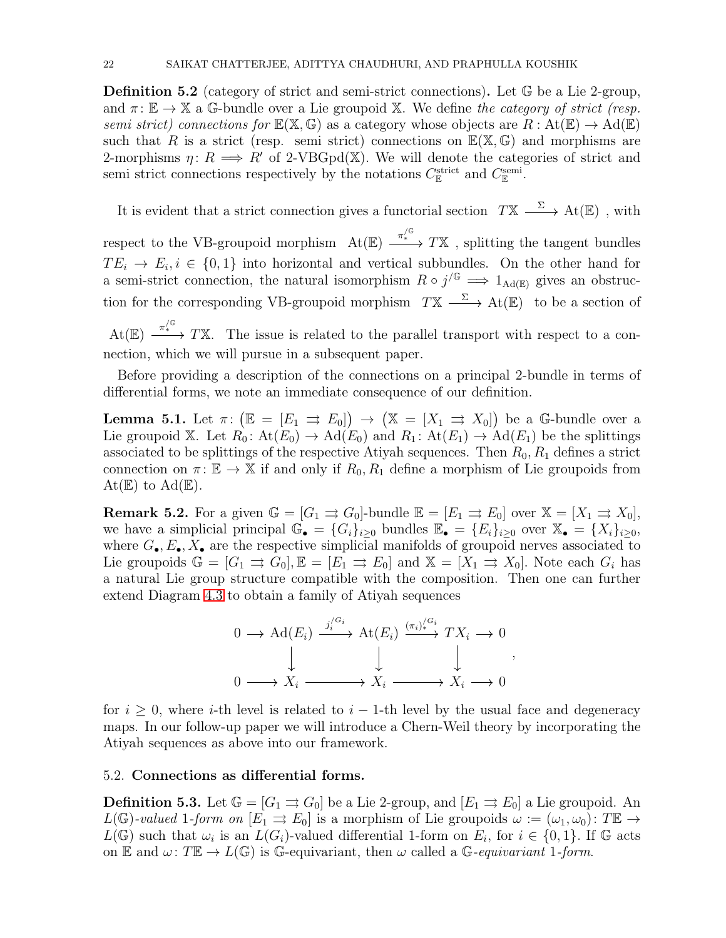**Definition 5.2** (category of strict and semi-strict connections). Let  $\mathbb{G}$  be a Lie 2-group, and  $\pi: \mathbb{E} \to \mathbb{X}$  a G-bundle over a Lie groupoid X. We define the category of strict (resp. semi strict) connections for  $\mathbb{E}(\mathbb{X}, \mathbb{G})$  as a category whose objects are  $R : \mathrm{At}(\mathbb{E}) \to \mathrm{Ad}(\mathbb{E})$ such that R is a strict (resp. semi-strict) connections on  $\mathbb{E}(\mathbb{X},\mathbb{G})$  and morphisms are 2-morphisms  $\eta: R \implies R'$  of 2-VBGpd(X). We will denote the categories of strict and semi strict connections respectively by the notations  $C_{\mathbb{E}}^{\text{strict}}$  and  $C_{\mathbb{E}}^{\text{semi}}$ .

It is evident that a strict connection gives a functorial section  $TX \xrightarrow{\Sigma} At(\mathbb{E})$ , with

respect to the VB-groupoid morphism  $\mathrm{At}(\mathbb{E}) \xrightarrow{\pi^{/\mathbb{G}}}_{*} TX$ , splitting the tangent bundles  $TE_i \rightarrow E_i, i \in \{0,1\}$  into horizontal and vertical subbundles. On the other hand for a semi-strict connection, the natural isomorphism  $R \circ j^{/\mathbb{G}} \implies 1_{\text{Ad}(\mathbb{E})}$  gives an obstruction for the corresponding VB-groupoid morphism  $TX \longrightarrow At(\mathbb{E})$  to be a section of

 $At(\mathbb{E}) \xrightarrow{\pi^{/\mathbb{G}} T\mathbb{X}} T\mathbb{X}$ . The issue is related to the parallel transport with respect to a connection, which we will pursue in a subsequent paper.

Before providing a description of the connections on a principal 2-bundle in terms of differential forms, we note an immediate consequence of our definition.

**Lemma 5.1.** Let  $\pi: (\mathbb{E} = [E_1 \Rightarrow E_0]) \rightarrow (\mathbb{X} = [X_1 \Rightarrow X_0])$  be a G-bundle over a Lie groupoid X. Let  $R_0: \text{At}(E_0) \to \text{Ad}(E_0)$  and  $R_1: \text{At}(E_1) \to \text{Ad}(E_1)$  be the splittings associated to be splittings of the respective Atiyah sequences. Then  $R_0, R_1$  defines a strict connection on  $\pi: \mathbb{E} \to \mathbb{X}$  if and only if  $R_0, R_1$  define a morphism of Lie groupoids from  $\mathrm{At}(\mathbb{E})$  to  $\mathrm{Ad}(\mathbb{E}).$ 

**Remark 5.2.** For a given  $\mathbb{G} = [G_1 \Rightarrow G_0]$ -bundle  $\mathbb{E} = [E_1 \Rightarrow E_0]$  over  $\mathbb{X} = [X_1 \Rightarrow X_0]$ , we have a simplicial principal  $\mathbb{G}_{\bullet} = \{G_i\}_{i\geq 0}$  bundles  $\mathbb{E}_{\bullet} = \{E_i\}_{i\geq 0}$  over  $\mathbb{X}_{\bullet} = \{X_i\}_{i\geq 0}$ , where  $G_{\bullet}, E_{\bullet}, X_{\bullet}$  are the respective simplicial manifolds of groupoid nerves associated to Lie groupoids  $\mathbb{G} = [G_1 \implies G_0], \mathbb{E} = [E_1 \implies E_0]$  and  $\mathbb{X} = [X_1 \implies X_0].$  Note each  $G_i$  has a natural Lie group structure compatible with the composition. Then one can further extend Diagram [4.3](#page-17-2) to obtain a family of Atiyah sequences



for  $i \geq 0$ , where *i*-th level is related to  $i - 1$ -th level by the usual face and degeneracy maps. In our follow-up paper we will introduce a Chern-Weil theory by incorporating the Atiyah sequences as above into our framework.

## <span id="page-21-0"></span>5.2. Connections as differential forms.

**Definition 5.3.** Let  $\mathbb{G} = [G_1 \Rightarrow G_0]$  be a Lie 2-group, and  $[E_1 \Rightarrow E_0]$  a Lie groupoid. An  $L(\mathbb{G})$ -valued 1-form on  $[E_1 \rightrightarrows E_0]$  is a morphism of Lie groupoids  $\omega := (\omega_1, \omega_0)$ : T $\mathbb{E} \rightarrow$  $L(\mathbb{G})$  such that  $\omega_i$  is an  $L(G_i)$ -valued differential 1-form on  $E_i$ , for  $i \in \{0,1\}$ . If  $\mathbb{G}$  acts on E and  $\omega: T\mathbb{E} \to L(\mathbb{G})$  is G-equivariant, then  $\omega$  called a G-equivariant 1-form.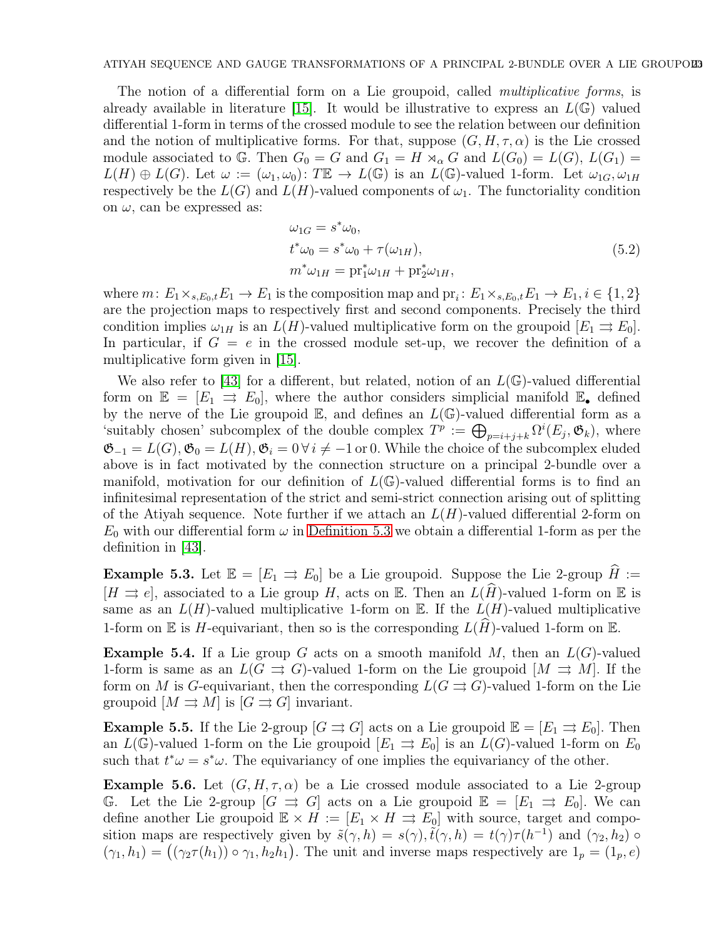The notion of a differential form on a Lie groupoid, called *multiplicative forms*, is already available in literature [\[15\]](#page-37-25). It would be illustrative to express an  $L(\mathbb{G})$  valued differential 1-form in terms of the crossed module to see the relation between our definition and the notion of multiplicative forms. For that, suppose  $(G, H, \tau, \alpha)$  is the Lie crossed module associated to G. Then  $G_0 = G$  and  $G_1 = H \rtimes_{\alpha} G$  and  $L(G_0) = L(G), L(G_1) =$  $L(H) \oplus L(G)$ . Let  $\omega := (\omega_1, \omega_0)$ : TE  $\to L(\mathbb{G})$  is an  $L(\mathbb{G})$ -valued 1-form. Let  $\omega_{1G}, \omega_{1H}$ respectively be the  $L(G)$  and  $L(H)$ -valued components of  $\omega_1$ . The functoriality condition on  $\omega$ , can be expressed as:

$$
\omega_{1G} = s^* \omega_0,\nt^* \omega_0 = s^* \omega_0 + \tau(\omega_{1H}),\nm^* \omega_{1H} = pr_1^* \omega_{1H} + pr_2^* \omega_{1H},
$$
\n(5.2)

where  $m: E_1 \times_{s,E_0,t} E_1 \to E_1$  is the composition map and  $\text{pr}_i: E_1 \times_{s,E_0,t} E_1 \to E_1, i \in \{1,2\}$ are the projection maps to respectively first and second components. Precisely the third condition implies  $\omega_{1H}$  is an  $L(H)$ -valued multiplicative form on the groupoid  $[E_1 \rightrightarrows E_0]$ . In particular, if  $G = e$  in the crossed module set-up, we recover the definition of a multiplicative form given in [\[15\]](#page-37-25).

We also refer to [\[43\]](#page-38-4) for a different, but related, notion of an  $L(\mathbb{G})$ -valued differential form on  $\mathbb{E} = [E_1 \implies E_0]$ , where the author considers simplicial manifold  $\mathbb{E}_{\bullet}$  defined by the nerve of the Lie groupoid  $\mathbb{E}$ , and defines an  $L(\mathbb{G})$ -valued differential form as a 'suitably chosen' subcomplex of the double complex  $T^p := \bigoplus_{p=i+j+k} \Omega^i(E_j, \mathfrak{G}_k)$ , where  $\mathfrak{G}_{-1} = L(G), \mathfrak{G}_0 = L(H), \mathfrak{G}_i = 0 \,\forall i \neq -1 \text{ or } 0.$  While the choice of the subcomplex eluded above is in fact motivated by the connection structure on a principal 2-bundle over a manifold, motivation for our definition of  $L(\mathbb{G})$ -valued differential forms is to find an infinitesimal representation of the strict and semi-strict connection arising out of splitting of the Atiyah sequence. Note further if we attach an  $L(H)$ -valued differential 2-form on  $E_0$  with our differential form  $\omega$  in [Definition 5.3](#page-21-0) we obtain a differential 1-form as per the definition in [\[43\]](#page-38-4).

<span id="page-22-0"></span>**Example 5.3.** Let  $\mathbb{E} = [E_1 \Rightarrow E_0]$  be a Lie groupoid. Suppose the Lie 2-group  $H :=$  $[H \rightrightarrows e]$ , associated to a Lie group H, acts on E. Then an  $L(\widehat{H})$ -valued 1-form on E is same as an  $L(H)$ -valued multiplicative 1-form on E. If the  $L(H)$ -valued multiplicative 1-form on  $\mathbb E$  is H-equivariant, then so is the corresponding  $L(\widehat{H})$ -valued 1-form on  $\mathbb E$ .

**Example 5.4.** If a Lie group G acts on a smooth manifold M, then an  $L(G)$ -valued 1-form is same as an  $L(G \rightrightarrows G)$ -valued 1-form on the Lie groupoid  $[M \rightrightarrows M]$ . If the form on M is G-equivariant, then the corresponding  $L(G \rightrightarrows G)$ -valued 1-form on the Lie groupoid  $[M \rightrightarrows M]$  is  $[G \rightrightarrows G]$  invariant.

**Example 5.5.** If the Lie 2-group  $[G \rightrightarrows G]$  acts on a Lie groupoid  $\mathbb{E} = [E_1 \rightrightarrows E_0]$ . Then an  $L(\mathbb{G})$ -valued 1-form on the Lie groupoid  $[E_1 \Rightarrow E_0]$  is an  $L(G)$ -valued 1-form on  $E_0$ such that  $t^*\omega = s^*\omega$ . The equivariancy of one implies the equivariancy of the other.

**Example 5.6.** Let  $(G, H, \tau, \alpha)$  be a Lie crossed module associated to a Lie 2-group G. Let the Lie 2-group  $[G \rightrightarrows G]$  acts on a Lie groupoid  $\mathbb{E} = [E_1 \rightrightarrows E_0]$ . We can define another Lie groupoid  $\mathbb{E} \times H := [E_1 \times H \Rightarrow E_0]$  with source, target and composition maps are respectively given by  $\tilde{s}(\gamma, h) = s(\gamma), \tilde{t}(\gamma, h) = t(\gamma)\tau(h^{-1})$  and  $(\gamma_2, h_2)$  $(\gamma_1, h_1) = ((\gamma_2 \tau(h_1)) \circ \gamma_1, h_2 h_1)$ . The unit and inverse maps respectively are  $1_p = (1_p, e)$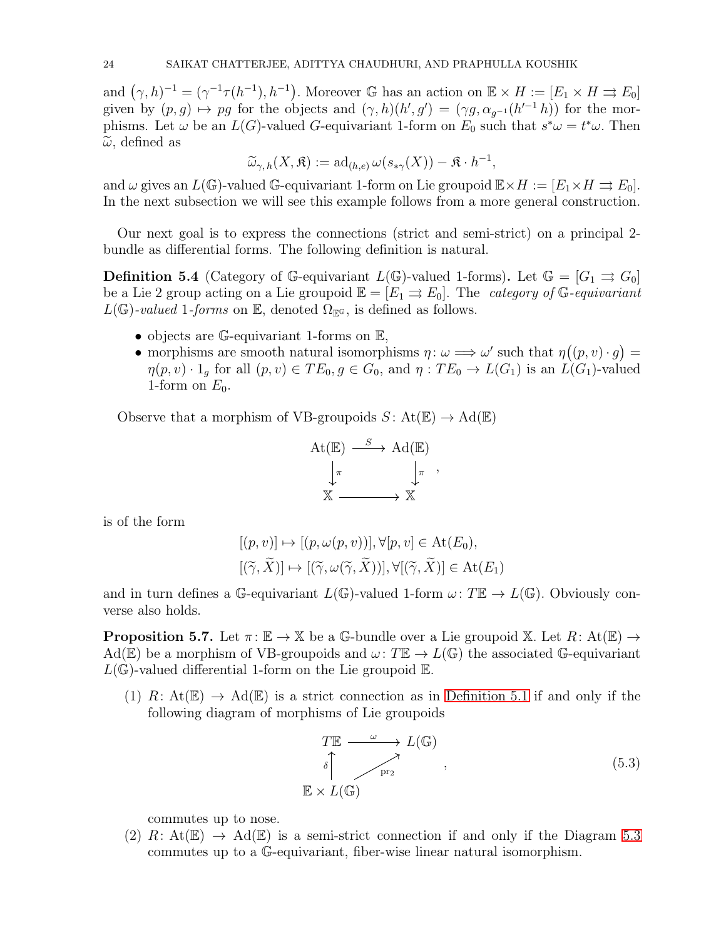and  $(\gamma, h)^{-1} = (\gamma^{-1}\tau(h^{-1}), h^{-1})$ . Moreover G has an action on  $\mathbb{E} \times H := [E_1 \times H \rightrightarrows E_0]$ given by  $(p, g) \mapsto pg$  for the objects and  $(\gamma, h)(h', g') = (\gamma g, \alpha_{g^{-1}}(h'^{-1}h))$  for the morphisms. Let  $\omega$  be an  $L(G)$ -valued G-equivariant 1-form on  $E_0$  such that  $s^*\omega = t^*\omega$ . Then  $\tilde{\omega}$ , defined as

$$
\widetilde{\omega}_{\gamma,h}(X,\mathfrak{K}) := \mathrm{ad}_{(h,e)} \,\omega(s_{*\gamma}(X)) - \mathfrak{K} \cdot h^{-1},
$$

and  $\omega$  gives an  $L(\mathbb{G})$ -valued  $\mathbb{G}$ -equivariant 1-form on Lie groupoid  $\mathbb{E}\times H := [E_1 \times H \rightrightarrows E_0].$ In the next subsection we will see this example follows from a more general construction.

Our next goal is to express the connections (strict and semi-strict) on a principal 2 bundle as differential forms. The following definition is natural.

**Definition 5.4** (Category of G-equivariant  $L(\mathbb{G})$ -valued 1-forms). Let  $\mathbb{G} = [G_1 \Rightarrow G_0]$ be a Lie 2 group acting on a Lie groupoid  $\mathbb{E} = [E_1 \Rightarrow E_0]$ . The *category of* G-equivariant  $L(\mathbb{G})$ -valued 1-forms on E, denoted  $\Omega_{\mathbb{E}^{\mathbb{G}}}$ , is defined as follows.

- objects are G-equivariant 1-forms on E,
- morphisms are smooth natural isomorphisms  $\eta : \omega \Longrightarrow \omega'$  such that  $\eta((p, v) \cdot g) =$  $\eta(p, v) \cdot 1_g$  for all  $(p, v) \in TE_0, g \in G_0$ , and  $\eta: TE_0 \to L(G_1)$  is an  $L(G_1)$ -valued 1-form on  $E_0$ .

Observe that a morphism of VB-groupoids  $S: At(\mathbb{E}) \to \mathrm{Ad}(\mathbb{E})$ 

At(E) 
$$
\xrightarrow{S}
$$
 Ad(E)  
\n $\downarrow_{\pi}$   $\downarrow_{\pi}$ ,  
\n $\mathbb{X}$   $\longrightarrow$   $\mathbb{X}$ 

is of the form

$$
[(p, v)] \mapsto [(p, \omega(p, v))], \forall [p, v] \in \text{At}(E_0),
$$
  

$$
[(\widetilde{\gamma}, \widetilde{X})] \mapsto [(\widetilde{\gamma}, \omega(\widetilde{\gamma}, \widetilde{X}))], \forall [(\widetilde{\gamma}, \widetilde{X})] \in \text{At}(E_1)
$$

<span id="page-23-1"></span>and in turn defines a G-equivariant  $L(\mathbb{G})$ -valued 1-form  $\omega: T\mathbb{E} \to L(\mathbb{G})$ . Obviously converse also holds.

**Proposition 5.7.** Let  $\pi: \mathbb{E} \to \mathbb{X}$  be a G-bundle over a Lie groupoid X. Let  $R: At(\mathbb{E}) \to$ Ad(E) be a morphism of VB-groupoids and  $\omega: T\mathbb{E} \to L(\mathbb{G})$  the associated G-equivariant  $L(\mathbb{G})$ -valued differential 1-form on the Lie groupoid  $\mathbb{E}$ .

(1) R: At( $\mathbb{E}$ )  $\rightarrow$  Ad( $\mathbb{E}$ ) is a strict connection as in [Definition 5.1](#page-20-2) if and only if the following diagram of morphisms of Lie groupoids

<span id="page-23-0"></span>
$$
TE \xrightarrow{\omega} L(\mathbb{G})
$$
  
\n
$$
\uparrow \qquad \qquad \uparrow \qquad \qquad \uparrow
$$
  
\n
$$
\mathbb{E} \times L(\mathbb{G})
$$
 (5.3)

commutes up to nose.

(2) R: At( $\mathbb{E}$ )  $\rightarrow$  Ad( $\mathbb{E}$ ) is a semi-strict connection if and only if the Diagram [5.3](#page-23-0) commutes up to a G-equivariant, fiber-wise linear natural isomorphism.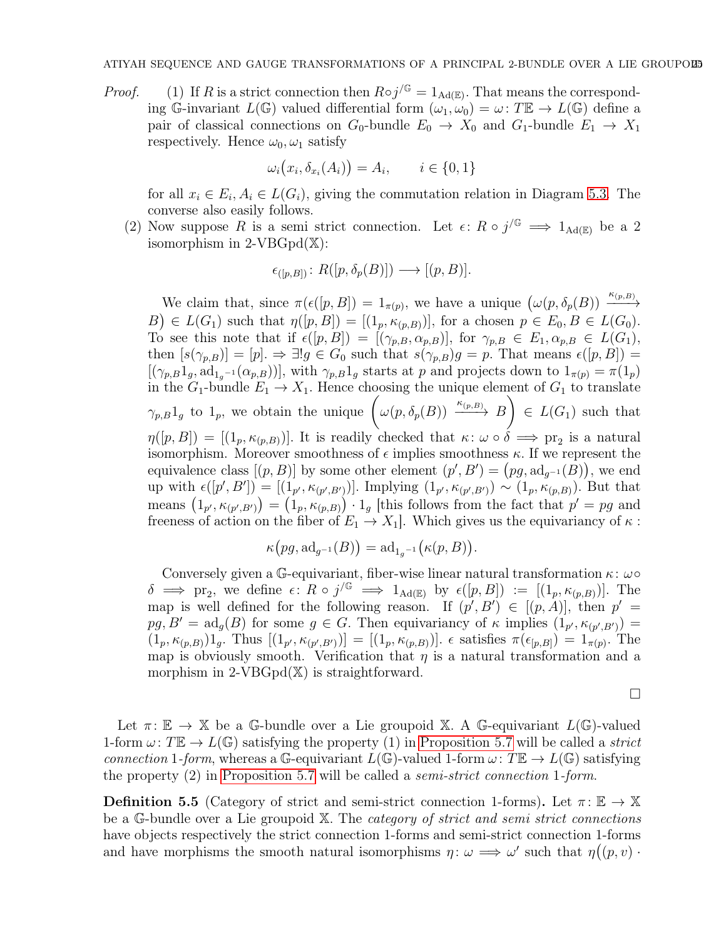*Proof.* (1) If R is a strict connection then  $R \circ j^{/\mathbb{G}} = 1_{\text{Ad}(\mathbb{E})}$ . That means the corresponding G-invariant  $L(\mathbb{G})$  valued differential form  $(\omega_1, \omega_0) = \omega : T\mathbb{E} \to L(\mathbb{G})$  define a pair of classical connections on  $G_0$ -bundle  $E_0 \rightarrow X_0$  and  $G_1$ -bundle  $E_1 \rightarrow X_1$ respectively. Hence  $\omega_0, \omega_1$  satisfy

$$
\omega_i(x_i, \delta_{x_i}(A_i)) = A_i, \qquad i \in \{0, 1\}
$$

for all  $x_i \in E_i, A_i \in L(G_i)$ , giving the commutation relation in Diagram [5.3.](#page-23-0) The converse also easily follows.

(2) Now suppose R is a semi strict connection. Let  $\epsilon: R \circ j^{\sqrt{G}} \implies 1_{\text{Ad}(\mathbb{E})}$  be a 2 isomorphism in  $2$ -VBGpd $(\mathbb{X})$ :

$$
\epsilon_{([p,B])} \colon R([p,\delta_p(B)]) \longrightarrow [(p,B)].
$$

We claim that, since  $\pi(\epsilon([p, B]) = 1_{\pi(p)}$ , we have a unique  $(\omega(p, \delta_p(B)) \xrightarrow{\kappa_{(p,B)}}$  $(B) \in L(G_1)$  such that  $\eta([p, B]) = [(1_p, \kappa_{(p, B)})]$ , for a chosen  $p \in E_0, B \in L(G_0)$ . To see this note that if  $\epsilon([p, B]) = [(\gamma_{p,B}, \alpha_{p,B})]$ , for  $\gamma_{p,B} \in E_1, \alpha_{p,B} \in L(G_1)$ , then  $[s(\gamma_{p,B})] = [p] \Rightarrow \exists! g \in G_0$  such that  $s(\gamma_{p,B})g = p$ . That means  $\epsilon([p,B]) =$  $[(\gamma_{p,B}1_g, \mathrm{ad}_{1_g-1}(\alpha_{p,B}))],$  with  $\gamma_{p,B}1_g$  starts at p and projects down to  $1_{\pi(p)} = \pi(1_p)$ in the  $G_1$ -bundle  $E_1 \to X_1$ . Hence choosing the unique element of  $G_1$  to translate  $\gamma_{p,B}1_g$  to  $1_p$ , we obtain the unique  $\left(\omega(p,\delta_p(B))\xrightarrow{\kappa_{(p,B)}} B\right)$  $\overline{ }$  $\in L(G_1)$  such that  $\eta([p, B]) = [(1_p, \kappa_{(p,B)})]$ . It is readily checked that  $\kappa: \omega \circ \delta \implies \text{pr}_2$  is a natural isomorphism. Moreover smoothness of  $\epsilon$  implies smoothness  $\kappa$ . If we represent the equivalence class  $[(p, B)]$  by some other element  $(p', B') = (pg, \mathrm{ad}_{g^{-1}}(B))$ , we end up with  $\epsilon([p', B']) = [(1_{p'}, \kappa_{(p', B')})]$ . Implying  $(1_{p'}, \kappa_{(p', B')}) \sim (1_p, \kappa_{(p, B)})$ . But that means  $(1_{p'}, \kappa_{(p',B)}) = (1_p, \kappa_{(p,B)}) \cdot 1_g$  [this follows from the fact that  $p' = pg$  and freeness of action on the fiber of  $E_1 \to X_1$ . Which gives us the equivariancy of  $\kappa$ :

$$
\kappa\bigl(pg,\mathrm{ad}_{g^{-1}}(B)\bigr)=\mathrm{ad}_{1g^{-1}}\bigl(\kappa(p,B)\bigr).
$$

Conversely given a G-equivariant, fiber-wise linear natural transformation  $\kappa$ :  $\omega \circ$  $\delta \implies \text{pr}_2$ , we define  $\epsilon: R \circ j^{\text{(G)}} \implies 1_{\text{Ad}(\mathbb{E})}$  by  $\epsilon([p, B]) := [(1_p, \kappa_{(p,B)})]$ . The map is well defined for the following reason. If  $(p', B') \in [(p, A)]$ , then  $p' =$  $pg, B' = \text{ad}_g(B)$  for some  $g \in G$ . Then equivariancy of  $\kappa$  implies  $(1_{p'}, \kappa_{(p', B')}) =$  $(1_p, \kappa_{(p,B)})1_g$ . Thus  $[(1_{p'}, \kappa_{(p',B')})] = [(1_p, \kappa_{(p,B)})]$ .  $\epsilon$  satisfies  $\pi(\epsilon_{[p,B]}) = 1_{\pi(p)}$ . The map is obviously smooth. Verification that  $\eta$  is a natural transformation and a morphism in  $2$ -VBGpd $(\mathbb{X})$  is straightforward.

 $\Box$ 

Let  $\pi: \mathbb{E} \to \mathbb{X}$  be a G-bundle over a Lie groupoid X. A G-equivariant  $L(\mathbb{G})$ -valued 1-form  $\omega: T\mathbb{E} \to L(\mathbb{G})$  satisfying the property (1) in [Proposition 5.7](#page-23-1) will be called a strict connection 1-form, whereas a G-equivariant  $L(\mathbb{G})$ -valued 1-form  $\omega: T\mathbb{E} \to L(\mathbb{G})$  satisfying the property (2) in [Proposition 5.7](#page-23-1) will be called a semi-strict connection 1-form.

**Definition 5.5** (Category of strict and semi-strict connection 1-forms). Let  $\pi: \mathbb{E} \to \mathbb{X}$ be a G-bundle over a Lie groupoid X. The *category of strict and semi strict connections* have objects respectively the strict connection 1-forms and semi-strict connection 1-forms and have morphisms the smooth natural isomorphisms  $\eta: \omega \Longrightarrow \omega'$  such that  $\eta((p, v) \cdot$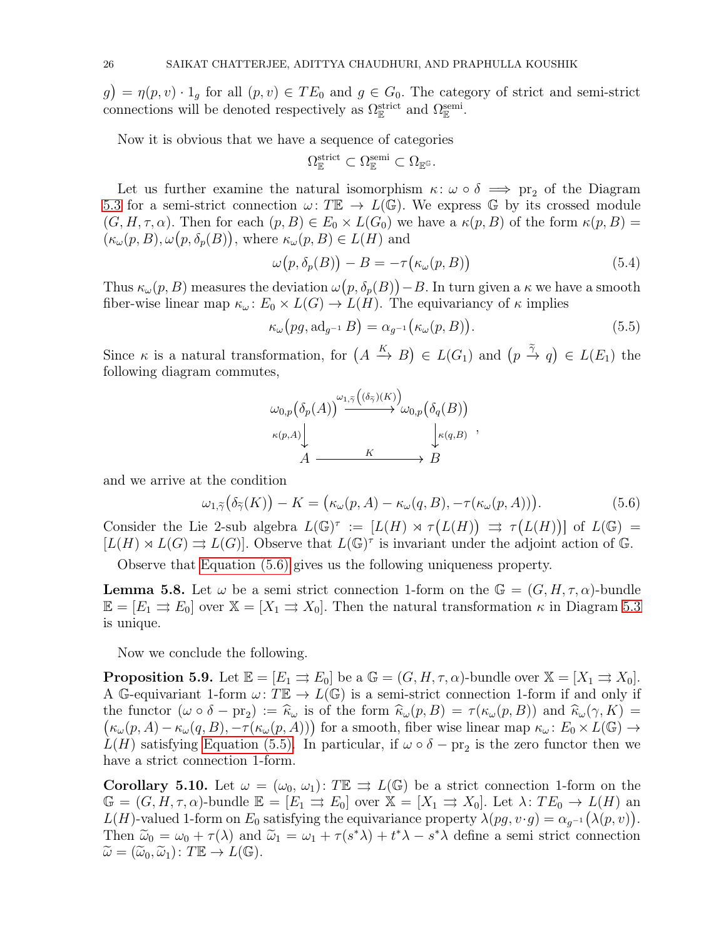$g = \eta(p, v) \cdot 1_g$  for all  $(p, v) \in TE_0$  and  $g \in G_0$ . The category of strict and semi-strict connections will be denoted respectively as  $\Omega_{\mathbb{E}}^{\text{strict}}$  and  $\Omega_{\mathbb{E}}^{\text{semi}}$ .

Now it is obvious that we have a sequence of categories

$$
\Omega^{\text{strict}}_{\mathbb{E}} \subset \Omega^{\text{semi}}_{\mathbb{E}} \subset \Omega_{\mathbb{E}^{\mathbb{G}}}.
$$

Let us further examine the natural isomorphism  $\kappa: \omega \circ \delta \implies \text{pr}_2$  of the Diagram [5.3](#page-23-0) for a semi-strict connection  $\omega: T\mathbb{E} \to L(\mathbb{G})$ . We express  $\mathbb{G}$  by its crossed module  $(G, H, \tau, \alpha)$ . Then for each  $(p, B) \in E_0 \times L(G_0)$  we have a  $\kappa(p, B)$  of the form  $\kappa(p, B)$  $(\kappa_\omega(p,B), \omega(p,\delta_p(B)),$  where  $\kappa_\omega(p,B) \in L(H)$  and

$$
\omega(p, \delta_p(B)) - B = -\tau(\kappa_\omega(p, B)) \tag{5.4}
$$

Thus  $\kappa_\omega(p, B)$  measures the deviation  $\omega(p, \delta_p(B)) - B$ . In turn given a  $\kappa$  we have a smooth fiber-wise linear map  $\kappa_{\omega}$ :  $E_0 \times L(G) \rightarrow L(H)$ . The equivariancy of  $\kappa$  implies

$$
\kappa_{\omega}(pg, \mathrm{ad}_{g^{-1}}B) = \alpha_{g^{-1}}(\kappa_{\omega}(p, B)). \tag{5.5}
$$

<span id="page-25-2"></span>,

Since  $\kappa$  is a natural transformation, for  $(A \xrightarrow{K} B) \in L(G_1)$  and  $(p \xrightarrow{\tilde{\gamma}} q) \in L(E_1)$  the following diagram commutes,

<span id="page-25-1"></span>
$$
\omega_{0,p}(\delta_p(A))^{\omega_{1,\tilde{\gamma}}((\delta_{\tilde{\gamma}})(K))} \omega_{0,p}(\delta_q(B))
$$
  
\n
$$
\kappa(p,A) \downarrow \qquad K \searrow B
$$

and we arrive at the condition

$$
\omega_{1,\tilde{\gamma}}(\delta_{\tilde{\gamma}}(K)) - K = \big(\kappa_{\omega}(p, A) - \kappa_{\omega}(q, B), -\tau(\kappa_{\omega}(p, A))\big). \tag{5.6}
$$

Consider the Lie 2-sub algebra  $L(\mathbb{G})^{\tau} := [L(H) \rtimes \tau(L(H))] \Rightarrow \tau(L(H))]$  of  $L(\mathbb{G}) =$  $[L(H) \rtimes L(G)] \rightrightarrows L(G)$ . Observe that  $L(\mathbb{G})^{\tau}$  is invariant under the adjoint action of G.

Observe that [Equation \(5.6\)](#page-25-1) gives us the following uniqueness property.

**Lemma 5.8.** Let  $\omega$  be a semi strict connection 1-form on the  $\mathbb{G} = (G, H, \tau, \alpha)$ -bundle  $\mathbb{E} = [E_1 \Rightarrow E_0]$  over  $\mathbb{X} = [X_1 \Rightarrow X_0]$ . Then the natural transformation  $\kappa$  in Diagram [5.3](#page-23-0) is unique.

<span id="page-25-3"></span>Now we conclude the following.

**Proposition 5.9.** Let  $\mathbb{E} = [E_1 \Rightarrow E_0]$  be a  $\mathbb{G} = (G, H, \tau, \alpha)$ -bundle over  $\mathbb{X} = [X_1 \Rightarrow X_0]$ . A G-equivariant 1-form  $\omega: T\mathbb{E} \to L(\mathbb{G})$  is a semi-strict connection 1-form if and only if the functor  $(\omega \circ \delta - \text{pr}_2) := \hat{\kappa}_{\omega}$  is of the form  $\hat{\kappa}_{\omega}(p, B) = \tau(\kappa_{\omega}(p, B))$  and  $\hat{\kappa}_{\omega}(\gamma, K) =$  $(\kappa_{\omega}(p, A) - \kappa_{\omega}(q, B), -\tau(\kappa_{\omega}(p, A)))$  for a smooth, fiber wise linear map  $\kappa_{\omega} \colon E_0 \times L(\mathbb{G}) \to$  $L(H)$  satisfying [Equation \(5.5\).](#page-25-2) In particular, if  $\omega \circ \delta - \text{pr}_2$  is the zero functor then we have a strict connection 1-form.

<span id="page-25-0"></span>**Corollary 5.10.** Let  $\omega = (\omega_0, \omega_1): T \mathbb{E} \implies L(\mathbb{G})$  be a strict connection 1-form on the  $\mathbb{G} = (G, H, \tau, \alpha)$ -bundle  $\mathbb{E} = [E_1 \Rightarrow E_0]$  over  $\mathbb{X} = [X_1 \Rightarrow X_0]$ . Let  $\lambda: TE_0 \to L(H)$  an  $L(H)$ -valued 1-form on  $E_0$  satisfying the equivariance property  $\lambda(pg, v \cdot g) = \alpha_{g^{-1}}(\lambda(p, v)).$ Then  $\tilde{\omega}_0 = \omega_0 + \tau(\lambda)$  and  $\tilde{\omega}_1 = \omega_1 + \tau(s^*\lambda) + t^*\lambda - s^*\lambda$  define a semi-strict connection  $\widetilde{\omega} = (\widetilde{\omega}_0, \widetilde{\omega}_1): T \mathbb{E} \to L(\mathbb{G}).$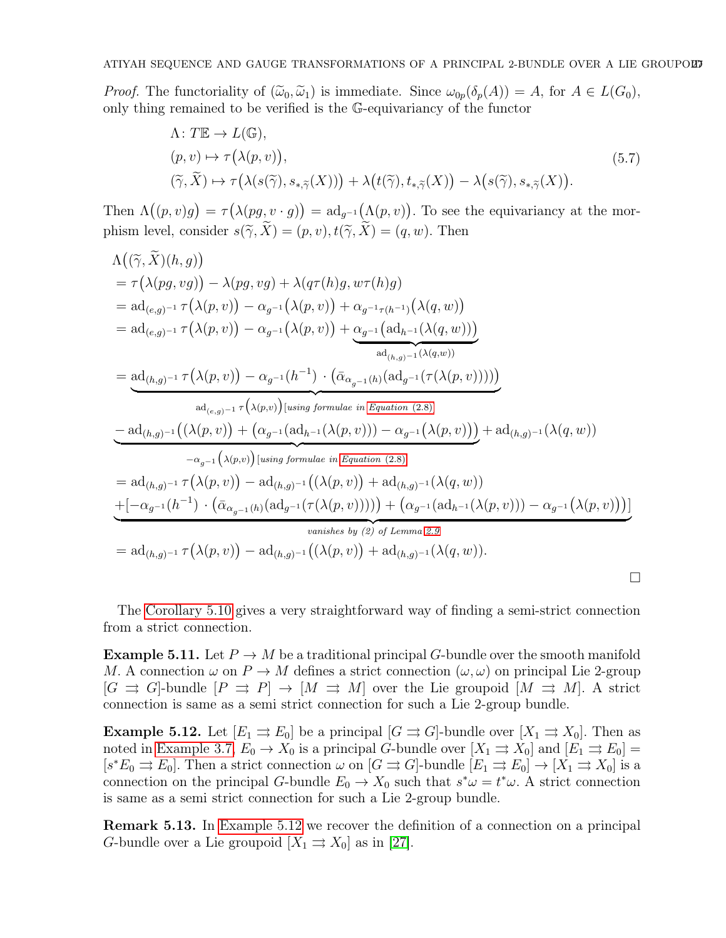*Proof.* The functoriality of  $(\widetilde{\omega}_0, \widetilde{\omega}_1)$  is immediate. Since  $\omega_{0p}(\delta_p(A)) = A$ , for  $A \in L(G_0)$ , only thing remained to be verified is the G-equivariancy of the functor

$$
\Lambda: T\mathbb{E} \to L(\mathbb{G}),
$$
  
\n
$$
(p, v) \mapsto \tau(\lambda(p, v)),
$$
  
\n
$$
(\widetilde{\gamma}, \widetilde{X}) \mapsto \tau(\lambda(s(\widetilde{\gamma}), s_{*, \widetilde{\gamma}}(X))) + \lambda(t(\widetilde{\gamma}), t_{*, \widetilde{\gamma}}(X)) - \lambda(s(\widetilde{\gamma}), s_{*, \widetilde{\gamma}}(X)).
$$
\n
$$
(5.7)
$$

Then  $\Lambda((p,v)g) = \tau(\lambda(pg, v \cdot g)) = \text{ad}_{g^{-1}}(\Lambda(p,v))$ . To see the equivariancy at the morphism level, consider  $s(\widetilde{\gamma}, \widetilde{X}) = (p, v), t(\widetilde{\gamma}, \widetilde{X}) = (q, w)$ . Then

$$
\Lambda((\widetilde{\gamma},\widetilde{X})(h,g))
$$
\n
$$
= \tau(\lambda(p,g,vg)) - \lambda(pg,vg) + \lambda(q\tau(h)g,w\tau(h)g)
$$
\n
$$
= ad_{(e,g)^{-1}} \tau(\lambda(p,v)) - \alpha_{g^{-1}}(\lambda(p,v)) + \alpha_{g^{-1}\tau(h^{-1})}(\lambda(q,w))
$$
\n
$$
= ad_{(e,g)^{-1}} \tau(\lambda(p,v)) - \alpha_{g^{-1}}(\lambda(p,v)) + \frac{\alpha_{g^{-1}}(ad_{h^{-1}}(\lambda(q,w)))}{ad_{(h,g)^{-1}}(\lambda(q,w))}
$$
\n
$$
= \frac{ad_{(h,g)^{-1}} \tau(\lambda(p,v)) - \alpha_{g^{-1}}(h^{-1}) \cdot (\bar{\alpha}_{\alpha_{g^{-1}}(h)}(ad_{g^{-1}}(\tau(\lambda(p,v)))))}{ad_{(e,g)^{-1}} \tau(\lambda(p,v)) [using formulae in Equation (2.8)]}
$$
\n
$$
= ad_{(h,g)^{-1}}((\lambda(p,v)) + (\alpha_{g^{-1}}(ad_{h^{-1}}(\lambda(p,v))) - \alpha_{g^{-1}}(\lambda(p,v))) + ad_{(h,g)^{-1}}(\lambda(q,w))
$$
\n
$$
- \alpha_{g^{-1}}(\lambda(p,v)) [using formulae in Equation (2.8)]
$$
\n
$$
= ad_{(h,g)^{-1}} \tau(\lambda(p,v)) - ad_{(h,g)^{-1}}((\lambda(p,v)) + ad_{(h,g)^{-1}}(\lambda(q,w))
$$
\n
$$
+[-\alpha_{g^{-1}}(h^{-1}) \cdot (\bar{\alpha}_{\alpha_{g^{-1}}(h)}(ad_{g^{-1}}(\tau(\lambda(p,v)))))] + (\alpha_{g^{-1}}(ad_{h^{-1}}(\lambda(p,v)))) - \alpha_{g^{-1}}(\lambda(p,v)))]
$$
\n
$$
= ad_{(h,g)^{-1}} \tau(\lambda(p,v)) - ad_{(h,g)^{-1}}((\lambda(p,v)) + ad_{(h,g)^{-1}}(\lambda(q,w)).
$$

The [Corollary 5.10](#page-25-0) gives a very straightforward way of finding a semi-strict connection from a strict connection.

**Example 5.11.** Let  $P \to M$  be a traditional principal G-bundle over the smooth manifold M. A connection  $\omega$  on  $P \to M$  defines a strict connection  $(\omega, \omega)$  on principal Lie 2-group  $[G \rightrightarrows G]$ -bundle  $[P \rightrightarrows P] \to [M \rightrightarrows M]$  over the Lie groupoid  $[M \rightrightarrows M]$ . A strict connection is same as a semi strict connection for such a Lie 2-group bundle.

<span id="page-26-0"></span>**Example 5.12.** Let  $[E_1 \rightrightarrows E_0]$  be a principal  $[G \rightrightarrows G]$ -bundle over  $[X_1 \rightrightarrows X_0]$ . Then as noted in [Example 3.7,](#page-10-3)  $E_0 \to X_0$  is a principal G-bundle over  $[X_1 \rightrightarrows X_0]$  and  $[E_1 \rightrightarrows E_0] =$  $[s^*E_0 \rightrightarrows E_0]$ . Then a strict connection  $\omega$  on  $[G \rightrightarrows G]$ -bundle  $[E_1 \rightrightarrows E_0] \to [X_1 \rightrightarrows X_0]$  is a connection on the principal G-bundle  $E_0 \to X_0$  such that  $s^* \omega = t^* \omega$ . A strict connection is same as a semi strict connection for such a Lie 2-group bundle.

Remark 5.13. In [Example 5.12](#page-26-0) we recover the definition of a connection on a principal G-bundle over a Lie groupoid  $[X_1 \rightrightarrows X_0]$  as in [\[27\]](#page-37-18).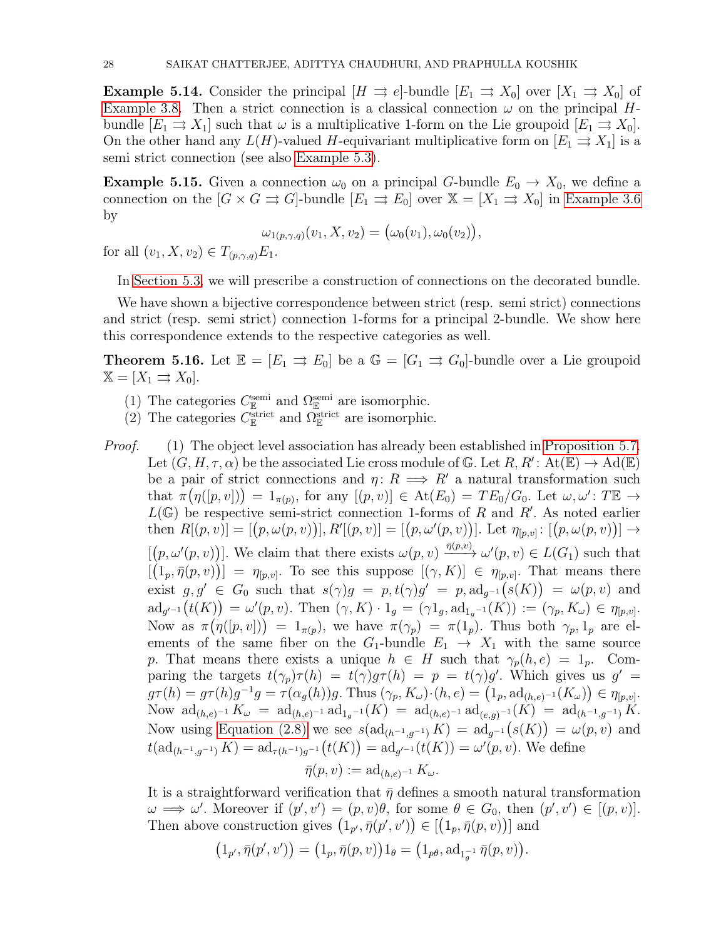**Example 5.14.** Consider the principal  $[H \Rightarrow e]$ -bundle  $[E_1 \Rightarrow X_0]$  over  $[X_1 \Rightarrow X_0]$  of [Example 3.8.](#page-10-0) Then a strict connection is a classical connection  $\omega$  on the principal Hbundle  $[E_1 \rightrightarrows X_1]$  such that  $\omega$  is a multiplicative 1-form on the Lie groupoid  $[E_1 \rightrightarrows X_0]$ . On the other hand any  $L(H)$ -valued H-equivariant multiplicative form on  $[E_1 \rightrightarrows X_1]$  is a semi strict connection (see also [Example 5.3\)](#page-22-0).

**Example 5.15.** Given a connection  $\omega_0$  on a principal G-bundle  $E_0 \to X_0$ , we define a connection on the  $[G \times G \rightrightarrows G]$ -bundle  $[E_1 \rightrightarrows E_0]$  over  $\mathbb{X} = [X_1 \rightrightarrows X_0]$  in [Example 3.6](#page-10-2) by

$$
\omega_{1(p,\gamma,q)}(v_1,X,v_2)=\big(\omega_0(v_1),\omega_0(v_2)\big),
$$

for all  $(v_1, X, v_2) \in T_{(p,\gamma,q)}E_1$ .

In [Section 5.3,](#page-28-0) we will prescribe a construction of connections on the decorated bundle.

We have shown a bijective correspondence between strict (resp. semi strict) connections and strict (resp. semi strict) connection 1-forms for a principal 2-bundle. We show here this correspondence extends to the respective categories as well.

<span id="page-27-0"></span>**Theorem 5.16.** Let  $\mathbb{E} = [E_1 \Rightarrow E_0]$  be a  $\mathbb{G} = [G_1 \Rightarrow G_0]$ -bundle over a Lie groupoid  $\mathbb{X} = [X_1 \rightrightarrows X_0].$ 

- (1) The categories  $C_{\mathbb{E}}^{\text{semi}}$  and  $\Omega_{\mathbb{E}}^{\text{semi}}$  are isomorphic.
- (2) The categories  $C_{\mathbb{E}}^{\text{strict}}$  and  $\Omega_{\mathbb{E}}^{\text{strict}}$  are isomorphic.

*Proof.* (1) The object level association has already been established in [Proposition 5.7.](#page-23-1) Let  $(G, H, \tau, \alpha)$  be the associated Lie cross module of G. Let  $R, R' : \text{At}(\mathbb{E}) \to \text{Ad}(\mathbb{E})$ be a pair of strict connections and  $\eta: R \implies R'$  a natural transformation such that  $\pi(\eta([p,v])) = 1_{\pi(p)}$ , for any  $[(p,v)] \in \text{At}(E_0) = TE_0/G_0$ . Let  $\omega, \omega' : T \mathbb{E} \to$  $L(\mathbb{G})$  be respective semi-strict connection 1-forms of R and R'. As noted earlier  $\text{then} \,\, R[(p,v)] = [(p, \omega(p,v))], R'[(p,v)] = [(p, \omega'(p,v))]. \,\, \text{Let} \,\, \eta_{[p,v]} \colon [(p, \omega(p,v))] \to$  $[(p, \omega'(p, v))]$ . We claim that there exists  $\omega(p, v) \xrightarrow{\bar{\eta}(p, v)} \omega'(p, v) \in L(G_1)$  such that  $[(1_p, \bar{\eta}(p, v))] = \eta_{[p,v]}$ . To see this suppose  $[(\gamma, K)] \in \eta_{[p,v]}$ . That means there exist  $g, g' \in G_0$  such that  $s(\gamma)g = p, t(\gamma)g' = p, ad_{g^{-1}}(s(K)) = \omega(p, v)$  and  $\mathrm{ad}_{g'^{-1}}(t(K)) = \omega'(p, v).$  Then  $(\gamma, K) \cdot 1_g = (\gamma 1_g, \mathrm{ad}_{1_g^{-1}}(K)) := (\gamma_p, K_\omega) \in \eta_{[p, v]}.$ Now as  $\pi(\eta([p,v])) = 1_{\pi(p)}$ , we have  $\pi(\gamma_p) = \pi(1_p)$ . Thus both  $\gamma_p, 1_p$  are elements of the same fiber on the  $G_1$ -bundle  $E_1 \rightarrow X_1$  with the same source p. That means there exists a unique  $h \in H$  such that  $\gamma_p(h, e) = 1_p$ . Comparing the targets  $t(\gamma_p)\tau(h) = t(\gamma)g\tau(h) = p = t(\gamma)g'$ . Which gives us  $g' =$  $g\tau(h) = g\tau(h)g^{-1}g = \tau(\alpha_g(h))g.$  Thus  $(\gamma_p, K_\omega) \cdot (h, e) = (1_p, \mathrm{ad}_{(h, e)^{-1}}(K_\omega)) \in \eta_{[p, v]}.$ Now  $\mathrm{ad}_{(h,e)^{-1}} K_{\omega} = \mathrm{ad}_{(h,e)^{-1}} \mathrm{ad}_{1g^{-1}}(K) = \mathrm{ad}_{(h,e)^{-1}} \mathrm{ad}_{(e,g)^{-1}}(K) = \mathrm{ad}_{(h^{-1},g^{-1})} K.$ Now using [Equation \(2.8\)](#page-7-0) we see  $s(\text{ad}_{(h^{-1},g^{-1})}K) = \text{ad}_{g^{-1}}(s(K)) = \omega(p,v)$  and  $t(\text{ad}_{(h^{-1},g^{-1})} K) = \text{ad}_{\tau(h^{-1})g^{-1}}(t(K)) = \text{ad}_{g'^{-1}}(t(K)) = \omega'(p,v)$ . We define

$$
\bar{\eta}(p,v):=\operatorname{ad}_{(h,e)^{-1}}K_{\omega}.
$$

It is a straightforward verification that  $\bar{\eta}$  defines a smooth natural transformation  $\omega \implies \omega'$ . Moreover if  $(p', v') = (p, v)\theta$ , for some  $\theta \in G_0$ , then  $(p', v') \in [(p, v)]$ . Then above construction gives  $(1_{p'}, \overline{\eta}(p', v')) \in [(1_p, \overline{\eta}(p, v))]$  and

$$
\left(1_{p'},\bar{\eta}(p',v')\right)=\left(1_p,\bar{\eta}(p,v)\right)1_\theta=\left(1_{p\theta},\mathrm{ad}_{1_\theta^{-1}}\,\bar{\eta}(p,v)\right).
$$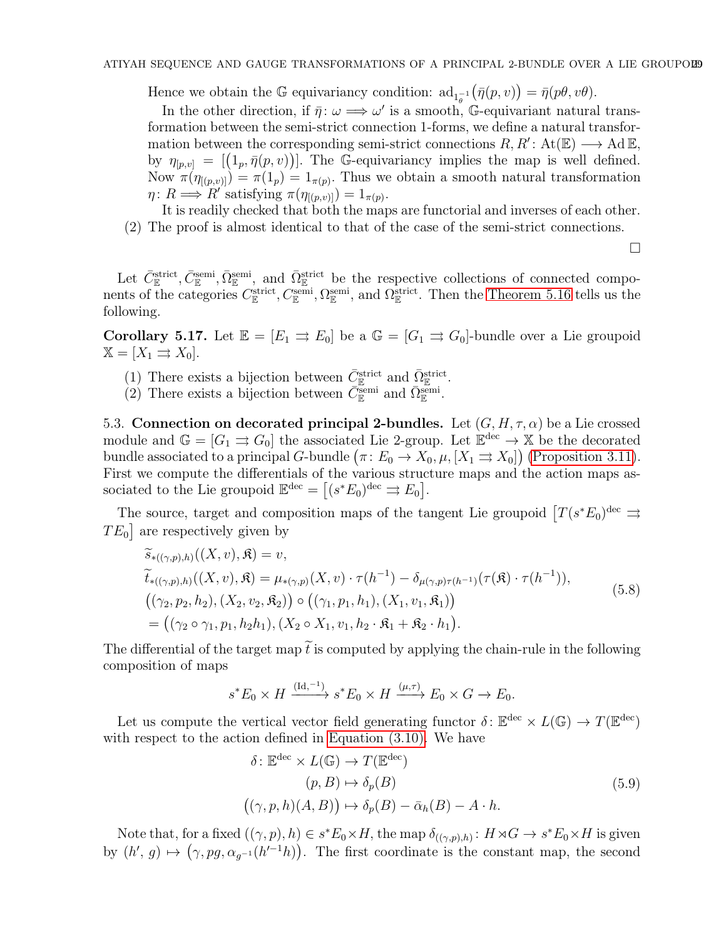Hence we obtain the  $\mathbb G$  equivariancy condition:  $ad_{1_{\theta}^{-1}}$  $(\bar{\eta}(p, v)) = \bar{\eta}(p\theta, v\theta).$ 

In the other direction, if  $\bar{\eta}: \omega \Longrightarrow \omega'$  is a smooth, G-equivariant natural transformation between the semi-strict connection 1-forms, we define a natural transformation between the corresponding semi-strict connections  $R, R' : \text{At}(\mathbb{E}) \longrightarrow \text{Ad}\,\mathbb{E}$ , by  $\eta_{[p,v]} = [(\mathbb{1}_p, \bar{\eta}(p,v))]$ . The G-equivariancy implies the map is well defined. Now  $\pi(\eta_{([p,v])}) = \pi(1_p) = 1_{\pi(p)}$ . Thus we obtain a smooth natural transformation  $\eta: R \Longrightarrow R'$  satisfying  $\pi(\eta_{[(p,v)]}) = 1_{\pi(p)}$ .

It is readily checked that both the maps are functorial and inverses of each other. (2) The proof is almost identical to that of the case of the semi-strict connections.

 $\Box$ 

Let  $\bar{C}_{\mathbb{E}}^{\text{strict}}, \bar{C}_{\mathbb{E}}^{\text{semi}}, \bar{\Omega}_{\mathbb{E}}^{\text{semi}}$ , and  $\bar{\Omega}_{\mathbb{E}}^{\text{strict}}$  be the respective collections of connected components of the categories  $C_{\mathbb{E}}^{\text{strict}}, C_{\mathbb{E}}^{\text{semi}}, \Omega_{\mathbb{E}}^{\text{semi}},$  and  $\Omega_{\mathbb{E}}^{\text{strict}}$ . Then the [Theorem 5.16](#page-27-0) tells us the following.

**Corollary 5.17.** Let  $\mathbb{E} = [E_1 \Rightarrow E_0]$  be a  $\mathbb{G} = [G_1 \Rightarrow G_0]$ -bundle over a Lie groupoid  $\mathbb{X} = [X_1 \rightrightarrows X_0].$ 

- (1) There exists a bijection between  $\bar{C}_{\mathbb{E}}^{\text{strict}}$  and  $\bar{\Omega}_{\mathbb{E}}^{\text{strict}}$ .
- (2) There exists a bijection between  $\bar{C}_{\mathbb{E}}^{\text{semi}}$  and  $\bar{\Omega}_{\mathbb{E}}^{\text{semi}}$ .

<span id="page-28-0"></span>5.3. Connection on decorated principal 2-bundles. Let  $(G, H, \tau, \alpha)$  be a Lie crossed module and  $\mathbb{G} = [G_1 \rightrightarrows G_0]$  the associated Lie 2-group. Let  $\mathbb{E}^{\text{dec}} \to \mathbb{X}$  be the decorated bundle associated to a principal G-bundle  $(\pi: E_0 \to X_0, \mu, [X_1 \to X_0])$  [\(Proposition 3.11\)](#page-13-1). First we compute the differentials of the various structure maps and the action maps associated to the Lie groupoid  $\mathbb{E}^{\text{dec}} = [(s^*E_0)^{\text{dec}} \rightrightarrows E_0].$ 

The source, target and composition maps of the tangent Lie groupoid  $[T(s^*E_0)^{\text{dec}} \rightrightarrows$  $TE_0$  are respectively given by

<span id="page-28-2"></span>
$$
\widetilde{s}_{*((\gamma,p),h)}((X,v),\mathfrak{K}) = v,\n\widetilde{t}_{*((\gamma,p),h)}((X,v),\mathfrak{K}) = \mu_{*(\gamma,p)}(X,v) \cdot \tau(h^{-1}) - \delta_{\mu(\gamma,p)\tau(h^{-1})}(\tau(\mathfrak{K}) \cdot \tau(h^{-1})),\n((\gamma_2,p_2,h_2),(X_2,v_2,\mathfrak{K}_2)) \circ ((\gamma_1,p_1,h_1),(X_1,v_1,\mathfrak{K}_1))\n= ((\gamma_2 \circ \gamma_1,p_1,h_2h_1), (X_2 \circ X_1,v_1,h_2 \cdot \mathfrak{K}_1 + \mathfrak{K}_2 \cdot h_1).
$$
\n(5.8)

The differential of the target map  $\tilde{t}$  is computed by applying the chain-rule in the following composition of maps

$$
s^* E_0 \times H \xrightarrow{(\mathrm{Id}, -1)} s^* E_0 \times H \xrightarrow{(\mu, \tau)} E_0 \times G \to E_0.
$$

Let us compute the vertical vector field generating functor  $\delta: \mathbb{E}^{\text{dec}} \times L(\mathbb{G}) \to T(\mathbb{E}^{\text{dec}})$ with respect to the action defined in [Equation \(3.10\).](#page-13-0) We have

<span id="page-28-1"></span>
$$
\delta: \mathbb{E}^{\text{dec}} \times L(\mathbb{G}) \to T(\mathbb{E}^{\text{dec}})
$$
  
\n
$$
(p, B) \mapsto \delta_p(B)
$$
  
\n
$$
((\gamma, p, h)(A, B)) \mapsto \delta_p(B) - \bar{\alpha}_h(B) - A \cdot h.
$$
\n(5.9)

Note that, for a fixed  $((\gamma, p), h) \in s^*E_0 \times H$ , the map  $\delta_{((\gamma, p), h)} : H \times G \to s^*E_0 \times H$  is given by  $(h', g) \mapsto (\gamma, pg, \alpha_{g^{-1}}(h'^{-1}h))$ . The first coordinate is the constant map, the second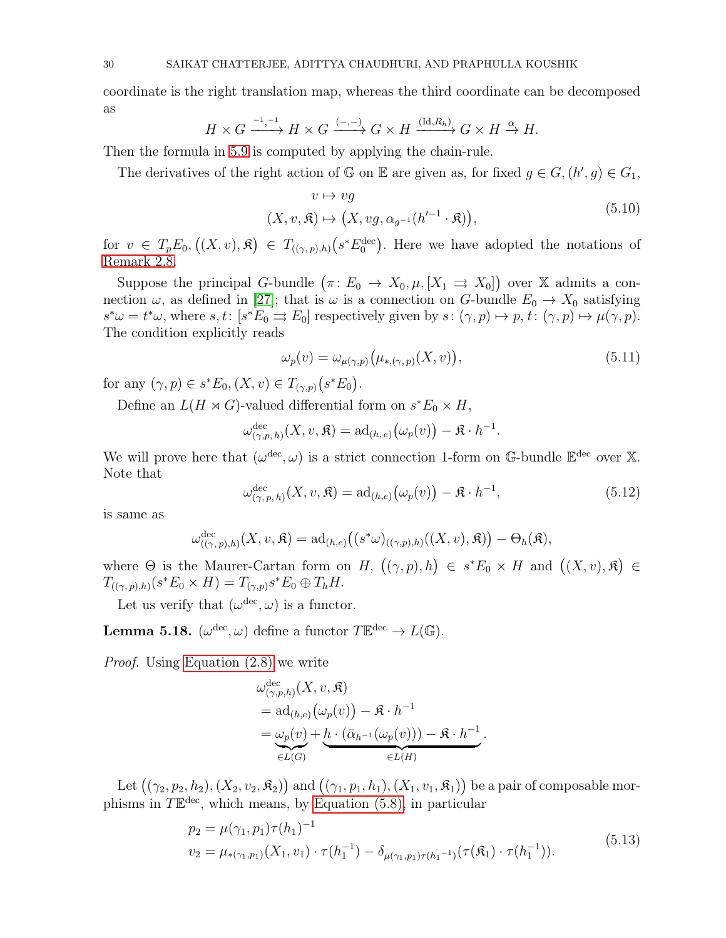coordinate is the right translation map, whereas the third coordinate can be decomposed as

$$
H \times G \xrightarrow{-1, -1} H \times G \xrightarrow{(-, -)} G \times H \xrightarrow{(\text{Id}, R_h)} G \times H \xrightarrow{\alpha} H.
$$

Then the formula in [5.9](#page-28-1) is computed by applying the chain-rule.

The derivatives of the right action of  $\mathbb{G}$  on  $\mathbb{E}$  are given as, for fixed  $g \in G$ ,  $(h', g) \in G_1$ ,

<span id="page-29-3"></span>
$$
v \mapsto v g
$$
  

$$
(X, v, \mathfrak{K}) \mapsto (X, v g, \alpha_{g^{-1}}(h'^{-1} \cdot \mathfrak{K})),
$$
 (5.10)

for  $v \in T_p E_0$ ,  $((X, v), \mathfrak{K}) \in T_{((\gamma, p), h)}(s^* E_0^{\text{dec}})$ . Here we have adopted the notations of [Remark 2.8.](#page-6-0)

Suppose the principal G-bundle  $(\pi: E_0 \to X_0, \mu, [X_1 \to X_0])$  over X admits a connection  $\omega$ , as defined in [\[27\]](#page-37-18); that is  $\omega$  is a connection on G-bundle  $E_0 \to X_0$  satisfying  $s^*\omega = t^*\omega$ , where  $s, t: [s^*E_0 \rightrightarrows E_0]$  respectively given by  $s: (\gamma, p) \mapsto p, t: (\gamma, p) \mapsto \mu(\gamma, p)$ . The condition explicitly reads

<span id="page-29-2"></span>
$$
\omega_p(v) = \omega_{\mu(\gamma, p)}\big(\mu_{*, (\gamma, p)}(X, v)\big),\tag{5.11}
$$

for any  $(\gamma, p) \in s^*E_0$ ,  $(X, v) \in T_{(\gamma, p)}(s^*E_0)$ .

Define an  $L(H \rtimes G)$ -valued differential form on  $s^*E_0 \times H$ ,

$$
\omega_{(\gamma,p,h)}^{\text{dec}}(X,v,\mathfrak{K}) = \text{ad}_{(h,e)}(\omega_p(v)) - \mathfrak{K} \cdot h^{-1}.
$$

<span id="page-29-4"></span>We will prove here that  $(\omega^{\text{dec}}, \omega)$  is a strict connection 1-form on G-bundle  $\mathbb{E}^{\text{dec}}$  over X. Note that

$$
\omega_{(\gamma,p,h)}^{\text{dec}}(X,v,\mathfrak{K}) = \text{ad}_{(h,e)}\big(\omega_p(v)\big) - \mathfrak{K} \cdot h^{-1},\tag{5.12}
$$

is same as

$$
\omega^{\text{dec}}_{((\gamma,p),h)}(X,v,\mathfrak{K}) = \text{ad}_{(h,e)}\big((s^*\omega)_{((\gamma,p),h)}((X,v),\mathfrak{K})\big) - \Theta_h(\mathfrak{K}),
$$

where  $\Theta$  is the Maurer-Cartan form on H,  $((\gamma, p), h) \in s^*E_0 \times H$  and  $((X, v), \mathfrak{K}) \in$  $T_{((\gamma, p), h)}(s^*E_0 \times H) = T_{(\gamma, p)}s^*E_0 \oplus T_hH.$ 

<span id="page-29-0"></span>Let us verify that  $(\omega^{\text{dec}}, \omega)$  is a functor.

**Lemma 5.18.**  $(\omega^{\text{dec}}, \omega)$  define a functor  $T\mathbb{E}^{\text{dec}} \to L(\mathbb{G})$ .

Proof. Using [Equation \(2.8\)](#page-7-0) we write

<span id="page-29-1"></span>
$$
\omega^{\text{dec}}_{(\gamma,p,h)}(X,v,\mathfrak{K})
$$
  
=  $\text{ad}_{(h,e)}(\omega_p(v)) - \mathfrak{K} \cdot h^{-1}$   
=  $\underbrace{\omega_p(v)}_{\in L(G)} + \underbrace{h \cdot (\bar{\alpha}_{h^{-1}}(\omega_p(v))) - \mathfrak{K} \cdot h^{-1}}_{\in L(H)}.$ 

Let  $((\gamma_2, p_2, h_2), (X_2, v_2, \mathfrak{K}_2))$  and  $((\gamma_1, p_1, h_1), (X_1, v_1, \mathfrak{K}_1))$  be a pair of composable morphisms in  $T\mathbb{E}^{\text{dec}}$ , which means, by [Equation \(5.8\),](#page-28-2) in particular

$$
p_2 = \mu(\gamma_1, p_1)\tau(h_1)^{-1}
$$
  
\n
$$
v_2 = \mu_{*(\gamma_1, p_1)}(X_1, v_1) \cdot \tau(h_1^{-1}) - \delta_{\mu(\gamma_1, p_1)\tau(h_1^{-1})}(\tau(\mathfrak{K}_1) \cdot \tau(h_1^{-1})).
$$
\n(5.13)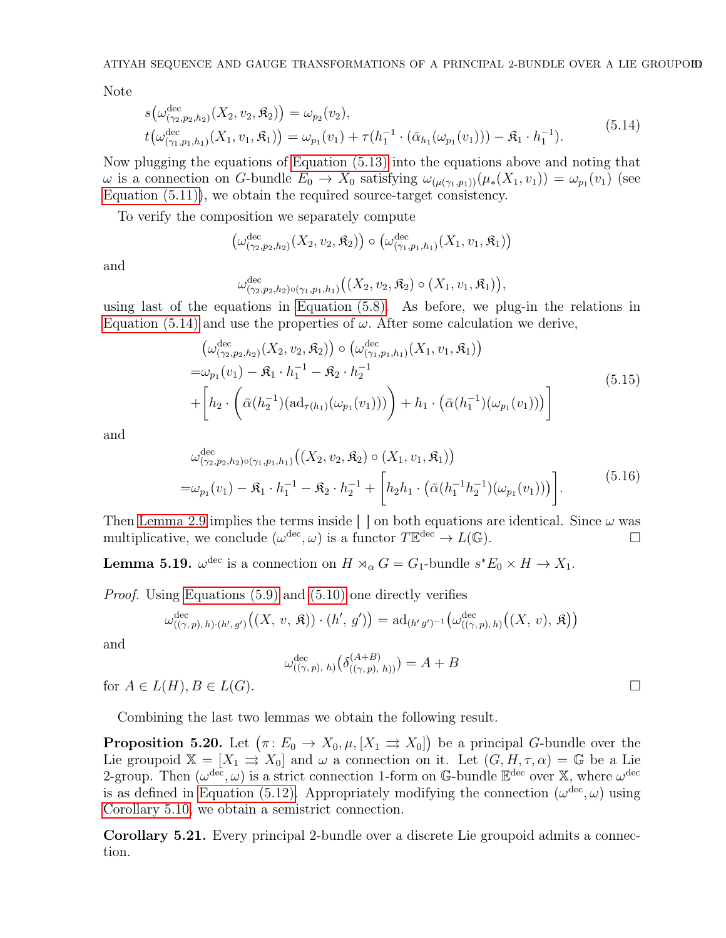Note

<span id="page-30-0"></span>
$$
s(\omega_{(\gamma_2, p_2, h_2)}^{\text{dec}}(X_2, v_2, \mathfrak{K}_2)) = \omega_{p_2}(v_2), t(\omega_{(\gamma_1, p_1, h_1)}^{\text{dec}}(X_1, v_1, \mathfrak{K}_1)) = \omega_{p_1}(v_1) + \tau(h_1^{-1} \cdot (\bar{\alpha}_{h_1}(\omega_{p_1}(v_1))) - \mathfrak{K}_1 \cdot h_1^{-1}).
$$
 (5.14)

Now plugging the equations of [Equation \(5.13\)](#page-29-1) into the equations above and noting that  $\omega$  is a connection on G-bundle  $E_0 \to X_0$  satisfying  $\omega_{(\mu(\gamma_1,p_1))}(\mu_*(X_1,v_1)) = \omega_{p_1}(v_1)$  (see [Equation \(5.11\)\)](#page-29-2), we obtain the required source-target consistency.

To verify the composition we separately compute

$$
\left(\omega_{(\gamma_2,p_2,h_2)}^{\text{dec}}(X_2,v_2,\mathfrak{K}_2)\right)\circ\left(\omega_{(\gamma_1,p_1,h_1)}^{\text{dec}}(X_1,v_1,\mathfrak{K}_1)\right)
$$

and

$$
\omega_{(\gamma_2,p_2,h_2)\circ(\gamma_1,p_1,h_1)}^{\text{dec}}\big((X_2,v_2,\mathfrak{K}_2)\circ(X_1,v_1,\mathfrak{K}_1)\big),
$$

using last of the equations in [Equation \(5.8\).](#page-28-2) As before, we plug-in the relations in [Equation \(5.14\)](#page-30-0) and use the properties of  $\omega$ . After some calculation we derive,

$$
\begin{aligned}\n\left(\omega_{(\gamma_2, p_2, h_2)}^{\text{dec}}(X_2, v_2, \mathfrak{K}_2)\right) & \circ \left(\omega_{(\gamma_1, p_1, h_1)}^{\text{dec}}(X_1, v_1, \mathfrak{K}_1)\right) \\
&= \omega_{p_1}(v_1) - \mathfrak{K}_1 \cdot h_1^{-1} - \mathfrak{K}_2 \cdot h_2^{-1} \\
& + \left[h_2 \cdot \left(\bar{\alpha}(h_2^{-1})(\mathrm{ad}_{\tau(h_1)}(\omega_{p_1}(v_1)))\right) + h_1 \cdot \left(\bar{\alpha}(h_1^{-1})(\omega_{p_1}(v_1))\right)\right]\n\end{aligned} \tag{5.15}
$$

and

$$
\omega_{(\gamma_2, p_2, h_2) \circ (\gamma_1, p_1, h_1)}^{\text{dec}} \left( (X_2, v_2, \mathfrak{K}_2) \circ (X_1, v_1, \mathfrak{K}_1) \right)
$$
  
=  $\omega_{p_1}(v_1) - \mathfrak{K}_1 \cdot h_1^{-1} - \mathfrak{K}_2 \cdot h_2^{-1} + \left[ h_2 h_1 \cdot (\bar{\alpha}(h_1^{-1} h_2^{-1})(\omega_{p_1}(v_1))) \right].$  (5.16)

Then [Lemma 2.9](#page-6-1) implies the terms inside  $\lceil \cdot \rceil$  on both equations are identical. Since  $\omega$  was multiplicative, we conclude  $(\omega^{\text{dec}}, \omega)$  is a functor  $T\mathbb{E}^{\text{dec}} \to L(\mathbb{G})$ .

**Lemma 5.19.**  $\omega^{\text{dec}}$  is a connection on  $H \rtimes_{\alpha} G = G_1$ -bundle  $s^*E_0 \times H \to X_1$ .

*Proof.* Using [Equations \(5.9\)](#page-28-1) and [\(5.10\)](#page-29-3) one directly verifies

$$
\omega_{((\gamma,p),h)\cdot (h',g')}^{\mathrm{dec}}\big((X,\,v,\,\mathfrak{K})\big)\cdot (h',\,g')\big)=\mathrm{ad}_{(h'\,g')^{-1}}\big(\omega_{((\gamma,p),\,h)}^{\mathrm{dec}}\big((X,\,v),\,\mathfrak{K}\big)\big)
$$

and

$$
\omega_{((\gamma,p),\;h)}^{\text{dec}}\big(\delta^{(A+B)}_{((\gamma,p),\;h))}\big)=A+B
$$

for  $A \in L(H)$ ,  $B \in L(G)$ .

<span id="page-30-1"></span>Combining the last two lemmas we obtain the following result.

**Proposition 5.20.** Let  $(\pi: E_0 \to X_0, \mu, [X_1 \rightrightarrows X_0])$  be a principal *G*-bundle over the Lie groupoid  $\mathbb{X} = [X_1 \Rightarrow X_0]$  and  $\omega$  a connection on it. Let  $(G, H, \tau, \alpha) = \mathbb{G}$  be a Lie 2-group. Then  $(\omega^{\text{dec}}, \omega)$  is a strict connection 1-form on G-bundle  $\mathbb{E}^{\text{dec}}$  over X, where  $\omega^{\text{dec}}$ is as defined in [Equation \(5.12\).](#page-29-4) Appropriately modifying the connection  $(\omega^{\text{dec}}, \omega)$  using [Corollary 5.10,](#page-25-0) we obtain a semistrict connection.

<span id="page-30-2"></span>Corollary 5.21. Every principal 2-bundle over a discrete Lie groupoid admits a connection.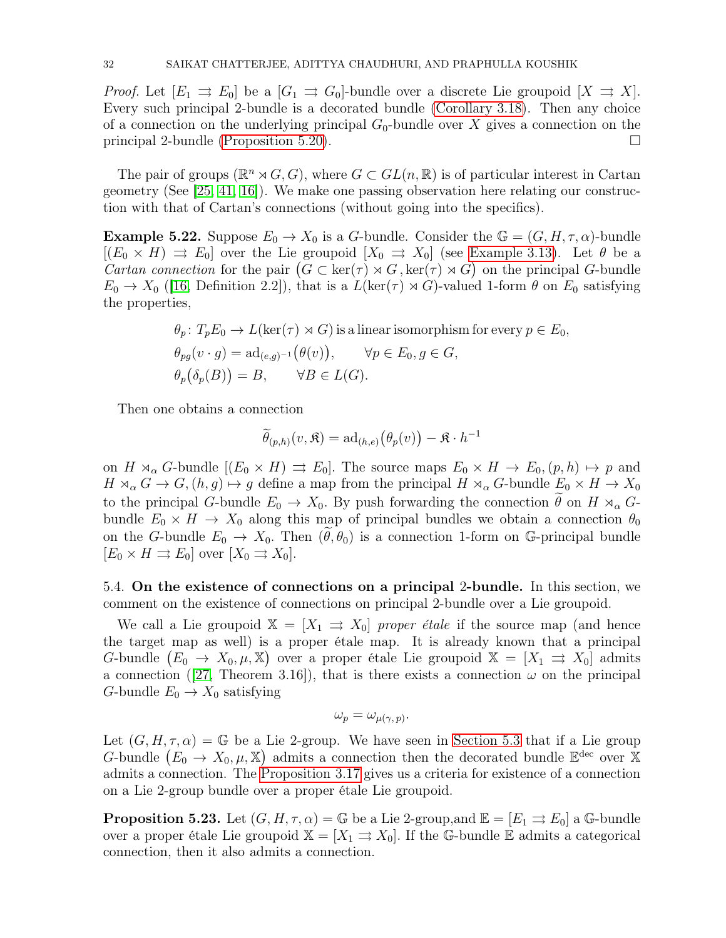*Proof.* Let  $[E_1 \rightrightarrows E_0]$  be a  $[G_1 \rightrightarrows G_0]$ -bundle over a discrete Lie groupoid  $[X \rightrightarrows X]$ . Every such principal 2-bundle is a decorated bundle [\(Corollary 3.18\)](#page-16-0). Then any choice of a connection on the underlying principal  $G_0$ -bundle over X gives a connection on the principal 2-bundle [\(Proposition 5.20\)](#page-30-1).

The pair of groups ( $\mathbb{R}^n \rtimes G$ , G), where  $G \subset GL(n, \mathbb{R})$  is of particular interest in Cartan geometry (See [\[25,](#page-37-26) [41,](#page-38-15) [16\]](#page-37-27)). We make one passing observation here relating our construction with that of Cartan's connections (without going into the specifics).

**Example 5.22.** Suppose  $E_0 \to X_0$  is a G-bundle. Consider the  $\mathbb{G} = (G, H, \tau, \alpha)$ -bundle  $[(E_0 \times H) \Rightarrow E_0]$  over the Lie groupoid  $[X_0 \Rightarrow X_0]$  (see [Example 3.13\)](#page-14-1). Let  $\theta$  be a Cartan connection for the pair  $(G \subset \ker(\tau) \rtimes G, \ker(\tau) \rtimes G)$  on the principal G-bundle  $E_0 \to X_0$  ([\[16,](#page-37-27) Definition 2.2]), that is a  $L(\ker(\tau) \rtimes G)$ -valued 1-form  $\theta$  on  $E_0$  satisfying the properties,

$$
\theta_p: T_p E_0 \to L(\ker(\tau) \rtimes G)
$$
 is a linear isomorphism for every  $p \in E_0$ ,  
\n
$$
\theta_{pg}(v \cdot g) = \mathrm{ad}_{(e,g)^{-1}}(\theta(v)), \qquad \forall p \in E_0, g \in G,
$$
  
\n
$$
\theta_p(\delta_p(B)) = B, \qquad \forall B \in L(G).
$$

Then one obtains a connection

$$
\widetilde{\theta}_{(p,h)}(v,\mathfrak{K}) = \mathrm{ad}_{(h,e)}\big(\theta_p(v)\big) - \mathfrak{K} \cdot h^{-1}
$$

on  $H \rtimes_{\alpha} G$ -bundle  $[(E_0 \times H) \rightrightarrows E_0]$ . The source maps  $E_0 \times H \to E_0$ ,  $(p, h) \mapsto p$  and  $H \rtimes_{\alpha} G \to G$ ,  $(h, g) \mapsto g$  define a map from the principal  $H \rtimes_{\alpha} G$ -bundle  $E_0 \times H \to X_0$ to the principal G-bundle  $E_0 \to X_0$ . By push forwarding the connection  $\hat{\theta}$  on H  $\rtimes_{\alpha} G$ bundle  $E_0 \times H \to X_0$  along this map of principal bundles we obtain a connection  $\theta_0$ on the G-bundle  $E_0 \to X_0$ . Then  $(\tilde{\theta}, \theta_0)$  is a connection 1-form on G-principal bundle  $[E_0 \times H \rightrightarrows E_0]$  over  $[X_0 \rightrightarrows X_0]$ .

5.4. On the existence of connections on a principal 2-bundle. In this section, we comment on the existence of connections on principal 2-bundle over a Lie groupoid.

We call a Lie groupoid  $\mathbb{X} = [X_1 \Rightarrow X_0]$  proper étale if the source map (and hence the target map as well) is a proper étale map. It is already known that a principal G-bundle  $(E_0 \to X_0, \mu, \mathbb{X})$  over a proper étale Lie groupoid  $\mathbb{X} = [X_1 \Rightarrow X_0]$  admits a connection ([\[27,](#page-37-18) Theorem 3.16]), that is there exists a connection  $\omega$  on the principal G-bundle  $E_0 \to X_0$  satisfying

$$
\omega_p = \omega_{\mu(\gamma, p)}.
$$

Let  $(G, H, \tau, \alpha) = \mathbb{G}$  be a Lie 2-group. We have seen in [Section 5.3](#page-28-0) that if a Lie group G-bundle  $(E_0 \to X_0, \mu, \mathbb{X})$  admits a connection then the decorated bundle  $\mathbb{E}^{\text{dec}}$  over X admits a connection. The [Proposition 3.17](#page-16-1) gives us a criteria for existence of a connection on a Lie 2-group bundle over a proper étale Lie groupoid.

**Proposition 5.23.** Let  $(G, H, \tau, \alpha) = \mathbb{G}$  be a Lie 2-group, and  $\mathbb{E} = [E_1 \Rightarrow E_0]$  a G-bundle over a proper étale Lie groupoid  $\mathbb{X} = [X_1 \Rightarrow X_0]$ . If the G-bundle E admits a categorical connection, then it also admits a connection.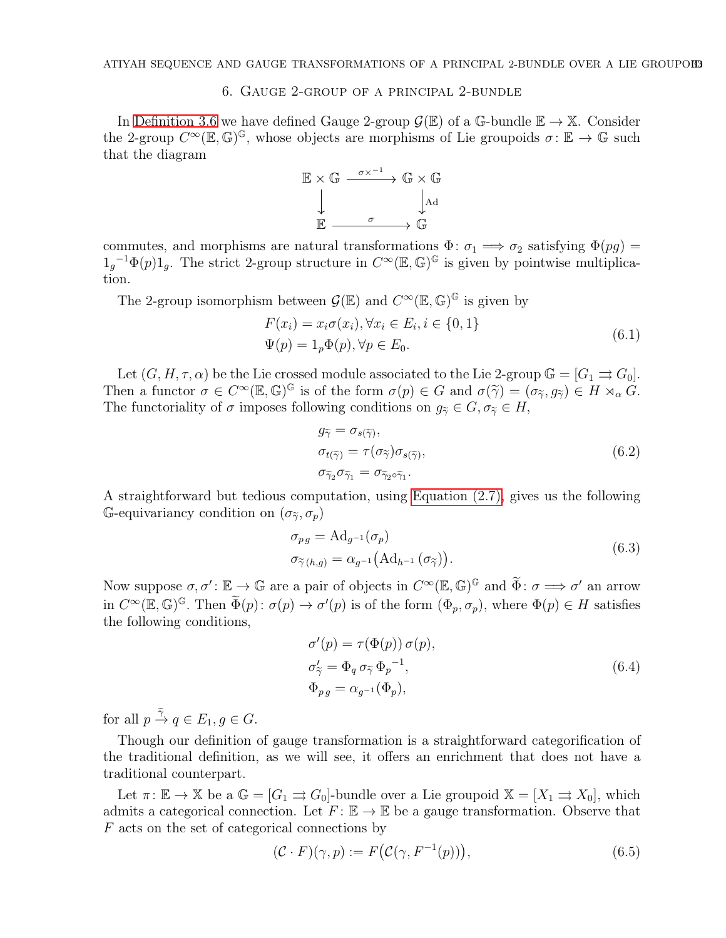# 6. Gauge 2-group of a principal 2-bundle

<span id="page-32-0"></span>In [Definition 3.6](#page-10-4) we have defined Gauge 2-group  $\mathcal{G}(\mathbb{E})$  of a G-bundle  $\mathbb{E} \to \mathbb{X}$ . Consider the 2-group  $C^{\infty}(\mathbb{E}, \mathbb{G})^{\mathbb{G}}$ , whose objects are morphisms of Lie groupoids  $\sigma \colon \mathbb{E} \to \mathbb{G}$  such that the diagram



commutes, and morphisms are natural transformations  $\Phi: \sigma_1 \Longrightarrow \sigma_2$  satisfying  $\Phi(pg) =$  $1_g^{-1}\Phi(p)1_g$ . The strict 2-group structure in  $C^{\infty}(\mathbb{E}, \mathbb{G})^{\mathbb{G}}$  is given by pointwise multiplication.

The 2-group isomorphism between  $\mathcal{G}(\mathbb{E})$  and  $C^{\infty}(\mathbb{E}, \mathbb{G})^{\mathbb{G}}$  is given by

$$
F(x_i) = x_i \sigma(x_i), \forall x_i \in E_i, i \in \{0, 1\}
$$
  

$$
\Psi(p) = 1_p \Phi(p), \forall p \in E_0.
$$
 (6.1)

Let  $(G, H, \tau, \alpha)$  be the Lie crossed module associated to the Lie 2-group  $\mathbb{G} = [G_1 \rightrightarrows G_0]$ . Then a functor  $\sigma \in C^{\infty}(\mathbb{E}, \mathbb{G})^{\mathbb{G}}$  is of the form  $\sigma(p) \in G$  and  $\sigma(\tilde{\gamma}) = (\sigma_{\tilde{\gamma}}, g_{\tilde{\gamma}}) \in H \rtimes_{\alpha} G$ .<br>The functoriality of a intersecondally in a conditional one of  $G = \sigma H$ . The functoriality of  $\sigma$  imposes following conditions on  $g_{\tilde{\gamma}} \in G, \sigma_{\tilde{\gamma}} \in H$ ,

$$
g_{\tilde{\gamma}} = \sigma_{s(\tilde{\gamma})},
$$
  
\n
$$
\sigma_{t(\tilde{\gamma})} = \tau(\sigma_{\tilde{\gamma}})\sigma_{s(\tilde{\gamma})},
$$
  
\n
$$
\sigma_{\tilde{\gamma}_2}\sigma_{\tilde{\gamma}_1} = \sigma_{\tilde{\gamma}_2\circ\tilde{\gamma}_1}.
$$
\n(6.2)

A straightforward but tedious computation, using [Equation](#page-7-1) (2.7), gives us the following G-equivariancy condition on  $(\sigma_{\tilde{\gamma}}, \sigma_p)$ 

<span id="page-32-1"></span>
$$
\sigma_{pg} = \text{Ad}_{g^{-1}}(\sigma_p)
$$
  
\n
$$
\sigma_{\widetilde{\gamma}(h,g)} = \alpha_{g^{-1}}(\text{Ad}_{h^{-1}}(\sigma_{\widetilde{\gamma}})).
$$
\n(6.3)

Now suppose  $\sigma, \sigma' : \mathbb{E} \to \mathbb{G}$  are a pair of objects in  $C^{\infty}(\mathbb{E}, \mathbb{G})^{\mathbb{G}}$  and  $\widetilde{\Phi} : \sigma \Longrightarrow \sigma'$  an arrow in  $C^{\infty}(\mathbb{E}, \mathbb{G})^{\mathbb{G}}$ . Then  $\widetilde{\Phi}(p) : \sigma(p) \to \sigma'(p)$  is of the form  $(\Phi_p, \sigma_p)$ , where  $\Phi(p) \in H$  satisfies the following conditions,

$$
\sigma'(p) = \tau(\Phi(p)) \sigma(p),
$$
  
\n
$$
\sigma'_{\tilde{\gamma}} = \Phi_q \sigma_{\tilde{\gamma}} \Phi_p^{-1},
$$
  
\n
$$
\Phi_{pg} = \alpha_{g^{-1}}(\Phi_p),
$$
\n(6.4)

for all  $p \xrightarrow{\tilde{\gamma}} q \in E_1, g \in G$ .

Though our definition of gauge transformation is a straightforward categorification of the traditional definition, as we will see, it offers an enrichment that does not have a traditional counterpart.

Let  $\pi: \mathbb{E} \to \mathbb{X}$  be a  $\mathbb{G} = [G_1 \rightrightarrows G_0]$ -bundle over a Lie groupoid  $\mathbb{X} = [X_1 \rightrightarrows X_0]$ , which admits a categorical connection. Let  $F: \mathbb{E} \to \mathbb{E}$  be a gauge transformation. Observe that  $F$  acts on the set of categorical connections by

$$
(\mathcal{C} \cdot F)(\gamma, p) := F(\mathcal{C}(\gamma, F^{-1}(p))), \qquad (6.5)
$$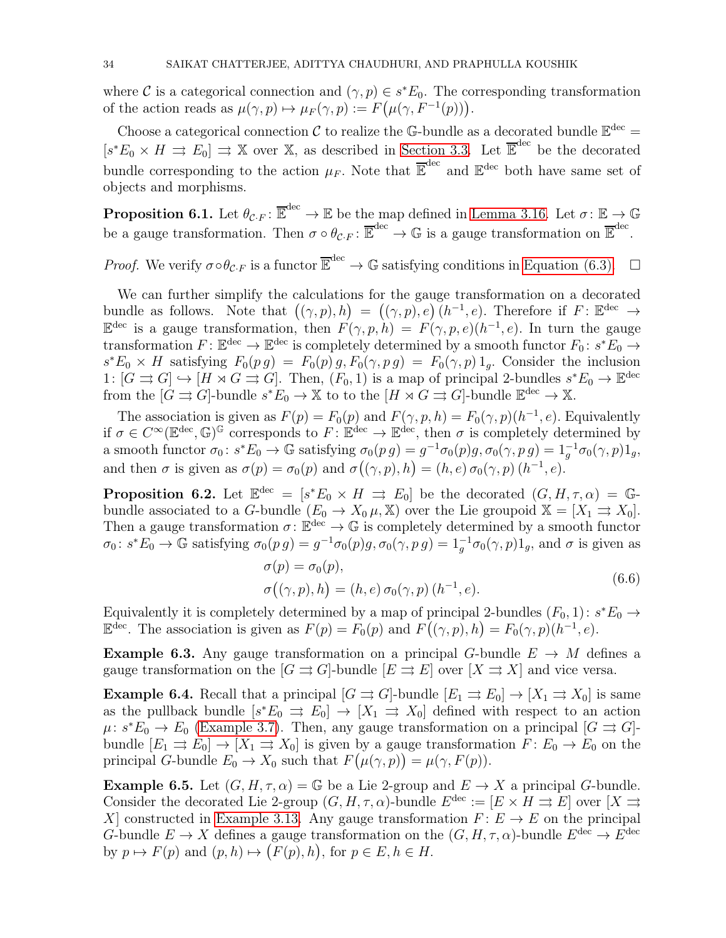where C is a categorical connection and  $(\gamma, p) \in s^*E_0$ . The corresponding transformation of the action reads as  $\mu(\gamma, p) \mapsto \mu_F(\gamma, p) := F(\mu(\gamma, F^{-1}(p))).$ 

Choose a categorical connection C to realize the G-bundle as a decorated bundle  $\mathbb{E}^{\text{dec}}$  =  $[s^*E_0 \times H \Rightarrow E_0] \Rightarrow \mathbb{X}$  over  $\mathbb{X}$ , as described in [Section 3.3.](#page-14-2) Let  $\overline{\mathbb{E}}^{\text{dec}}$  be the decorated bundle corresponding to the action  $\mu_F$ . Note that  $\overline{\mathbb{E}}^{\text{dec}}$  and  $\mathbb{E}^{\text{dec}}$  both have same set of objects and morphisms.

**Proposition 6.1.** Let  $\theta_{\mathcal{C}\cdot F}$ :  $\overline{\mathbb{E}}^{\text{dec}} \to \mathbb{E}$  be the map defined in [Lemma 3.16.](#page-15-0) Let  $\sigma: \mathbb{E} \to \mathbb{G}$ be a gauge transformation. Then  $\sigma \circ \theta_{\mathcal{C}\cdot F} \colon \overline{\mathbb{E}}^{\text{dec}} \to \mathbb{G}$  is a gauge transformation on  $\overline{\mathbb{E}}^{\text{dec}}$ .

*Proof.* We verify  $\sigma \circ \theta_{\mathcal{C}\cdot F}$  is a functor  $\overline{\mathbb{E}}^{\text{dec}} \to \mathbb{G}$  satisfying conditions in [Equation \(6.3\).](#page-32-1)  $\Box$ 

We can further simplify the calculations for the gauge transformation on a decorated bundle as follows. Note that  $((\gamma, p), h) = ((\gamma, p), e)$   $(h^{-1}, e)$ . Therefore if  $F: \mathbb{E}^{\text{dec}} \to$  $\mathbb{E}^{\text{dec}}$  is a gauge transformation, then  $F(\gamma, p, h) = F(\gamma, p, e)(h^{-1}, e)$ . In turn the gauge transformation  $F: \mathbb{E}^{\text{dec}} \to \mathbb{E}^{\text{dec}}$  is completely determined by a smooth functor  $F_0: s^*E_0 \to$  $s^*E_0 \times H$  satisfying  $F_0(p g) = F_0(p) g$ ,  $F_0(\gamma, p g) = F_0(\gamma, p) 1_g$ . Consider the inclusion 1:  $[G \rightrightarrows G] \hookrightarrow [H \rtimes G \rightrightarrows G]$ . Then,  $(F_0, 1)$  is a map of principal 2-bundles  $s^*E_0 \to \mathbb{E}^{\text{dec}}$ from the  $[G \rightrightarrows G]$ -bundle  $s^*E_0 \to \mathbb{X}$  to to the  $[H \rtimes G \rightrightarrows G]$ -bundle  $\mathbb{E}^{\text{dec}} \to \mathbb{X}$ .

The association is given as  $F(p) = F_0(p)$  and  $F(\gamma, p, h) = F_0(\gamma, p)(h^{-1}, e)$ . Equivalently if  $\sigma \in C^{\infty}(\mathbb{E}^{\text{dec}}, \mathbb{G})^{\mathbb{G}}$  corresponds to  $F: \mathbb{E}^{\text{dec}} \to \mathbb{E}^{\text{dec}}$ , then  $\sigma$  is completely determined by a smooth functor  $\sigma_0: s^*E_0 \to \mathbb{G}$  satisfying  $\sigma_0(p g) = g^{-1}\sigma_0(p)g$ ,  $\sigma_0(\gamma, p g) = 1_g^{-1}\sigma_0(\gamma, p)1_g$ , and then  $\sigma$  is given as  $\sigma(p) = \sigma_0(p)$  and  $\sigma((\gamma, p), h) = (h, e) \sigma_0(\gamma, p) (h^{-1}, e)$ .

**Proposition 6.2.** Let  $\mathbb{E}^{\text{dec}} = [s^*E_0 \times H \Rightarrow E_0]$  be the decorated  $(G, H, \tau, \alpha) = \mathbb{G}$ bundle associated to a G-bundle  $(E_0 \to X_0 \mu, \mathbb{X})$  over the Lie groupoid  $\mathbb{X} = [X_1 \Rightarrow X_0]$ . Then a gauge transformation  $\sigma: \mathbb{E}^{\text{dec}} \to \mathbb{G}$  is completely determined by a smooth functor  $\sigma_0: s^*E_0 \to \mathbb{G}$  satisfying  $\sigma_0(p g) = g^{-1}\sigma_0(p)g$ ,  $\sigma_0(\gamma, p g) = 1_g^{-1}\sigma_0(\gamma, p)1_g$ , and  $\sigma$  is given as

$$
\sigma(p) = \sigma_0(p),
$$
  
\n
$$
\sigma((\gamma, p), h) = (h, e) \sigma_0(\gamma, p) (h^{-1}, e).
$$
\n(6.6)

Equivalently it is completely determined by a map of principal 2-bundles  $(F_0, 1)$ :  $s^*E_0 \rightarrow$  $\mathbb{E}^{\text{dec}}$ . The association is given as  $F(p) = F_0(p)$  and  $F((\gamma, p), h) = F_0(\gamma, p)(h^{-1}, e)$ .

**Example 6.3.** Any gauge transformation on a principal G-bundle  $E \rightarrow M$  defines a gauge transformation on the  $[G \rightrightarrows G]$ -bundle  $[E \rightrightarrows E]$  over  $[X \rightrightarrows X]$  and vice versa.

**Example 6.4.** Recall that a principal  $[G \rightrightarrows G]$ -bundle  $[E_1 \rightrightarrows E_0] \to [X_1 \rightrightarrows X_0]$  is same as the pullback bundle  $[s^*E_0 \Rightarrow E_0] \to [X_1 \Rightarrow X_0]$  defined with respect to an action  $\mu: s^*E_0 \to E_0$  [\(Example 3.7\)](#page-10-3). Then, any gauge transformation on a principal  $[G \rightrightarrows G]$ bundle  $[E_1 \rightrightarrows E_0] \to [X_1 \rightrightarrows X_0]$  is given by a gauge transformation  $F: E_0 \to E_0$  on the principal G-bundle  $E_0 \to X_0$  such that  $F(\mu(\gamma, p)) = \mu(\gamma, F(p)).$ 

**Example 6.5.** Let  $(G, H, \tau, \alpha) = \mathbb{G}$  be a Lie 2-group and  $E \to X$  a principal G-bundle. Consider the decorated Lie 2-group  $(G, H, \tau, \alpha)$ -bundle  $E^{\text{dec}} := [E \times H \rightrightarrows E]$  over  $[X \rightrightarrows E]$ X] constructed in [Example 3.13.](#page-14-1) Any gauge transformation  $F: E \to E$  on the principal G-bundle  $E \to X$  defines a gauge transformation on the  $(G, H, \tau, \alpha)$ -bundle  $E^{\text{dec}} \to E^{\text{dec}}$ by  $p \mapsto F(p)$  and  $(p, h) \mapsto (F(p), h)$ , for  $p \in E, h \in H$ .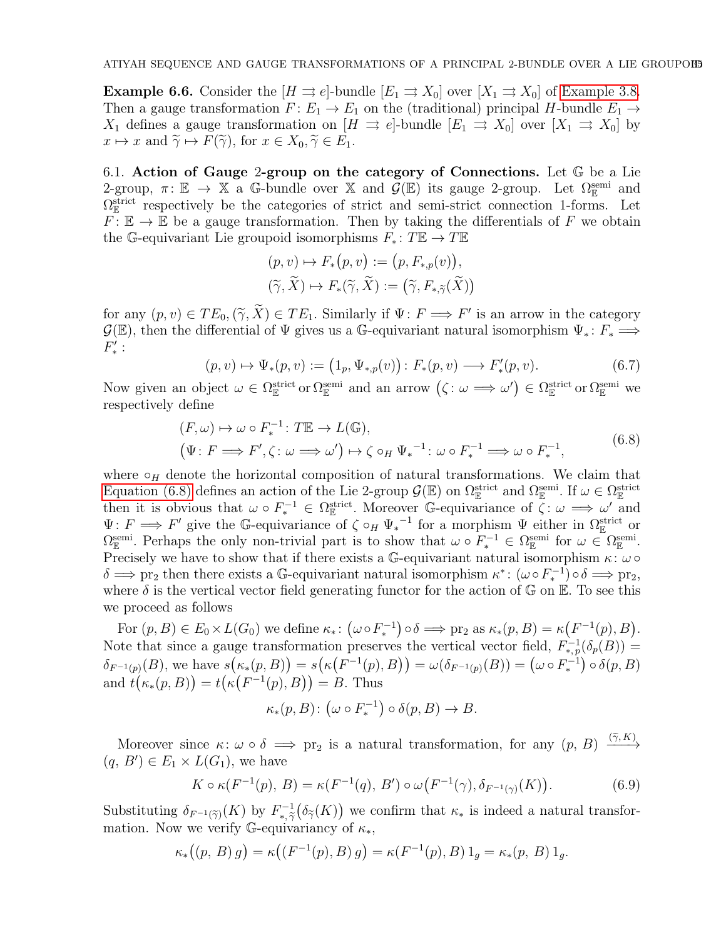**Example 6.6.** Consider the  $[H \rightrightarrows e]$ -bundle  $[E_1 \rightrightarrows X_0]$  over  $[X_1 \rightrightarrows X_0]$  of [Example 3.8.](#page-10-0) Then a gauge transformation  $F: E_1 \to E_1$  on the (traditional) principal H-bundle  $E_1 \to$  $X_1$  defines a gauge transformation on  $[H \Rightarrow e]$ -bundle  $[E_1 \Rightarrow X_0]$  over  $[X_1 \Rightarrow X_0]$  by  $x \mapsto x$  and  $\widetilde{\gamma} \mapsto F(\widetilde{\gamma})$ , for  $x \in X_0, \widetilde{\gamma} \in E_1$ .

6.1. Action of Gauge 2-group on the category of Connections. Let G be a Lie 2-group,  $\pi: \mathbb{E} \to \mathbb{X}$  a G-bundle over  $\mathbb{X}$  and  $\mathcal{G}(\mathbb{E})$  its gauge 2-group. Let  $\Omega_{\mathbb{E}}^{\text{semi}}$  and  $\Omega_{\mathbb{E}}^{\text{strict}}$  respectively be the categories of strict and semi-strict connection 1-forms. Let  $F: \mathbb{E} \to \mathbb{E}$  be a gauge transformation. Then by taking the differentials of F we obtain the G-equivariant Lie groupoid isomorphisms  $F_*: T\mathbb{E} \to T\mathbb{E}$ 

$$
(p, v) \mapsto F_*(p, v) := (p, F_{*,p}(v)),
$$
  

$$
(\widetilde{\gamma}, \widetilde{X}) \mapsto F_*(\widetilde{\gamma}, \widetilde{X}) := (\widetilde{\gamma}, F_{*,\widetilde{\gamma}}(\widetilde{X}))
$$

for any  $(p, v) \in TE_0$ ,  $(\widetilde{\gamma}, \widetilde{X}) \in TE_1$ . Similarly if  $\Psi: F \Longrightarrow F'$  is an arrow in the category  $\mathcal{G}(\mathbb{E})$ , then the differential of  $\Psi$  gives us a G-equivariant natural isomorphism  $\Psi_*\colon F_*\Longrightarrow$  $F'_*$  :

<span id="page-34-0"></span>
$$
(p, v) \mapsto \Psi_*(p, v) := (1_p, \Psi_{*,p}(v)) : F_*(p, v) \longrightarrow F'_*(p, v).
$$
 (6.7)

Now given an object  $\omega \in \Omega_{\mathbb{E}}^{\text{strict}}$  or  $\Omega_{\mathbb{E}}^{\text{semi}}$  and an arrow  $(\zeta : \omega \Longrightarrow \omega') \in \Omega_{\mathbb{E}}^{\text{strict}}$  or  $\Omega_{\mathbb{E}}^{\text{semi}}$  we respectively define

$$
(F, \omega) \mapsto \omega \circ F_*^{-1} : T\mathbb{E} \to L(\mathbb{G}),
$$
  
\n
$$
(\Psi : F \Longrightarrow F', \zeta : \omega \Longrightarrow \omega') \mapsto \zeta \circ_H \Psi_*^{-1} : \omega \circ F_*^{-1} \Longrightarrow \omega \circ F_*^{-1},
$$
\n(6.8)

where  $\circ$ <sub>H</sub> denote the horizontal composition of natural transformations. We claim that [Equation \(6.8\)](#page-34-0) defines an action of the Lie 2-group  $\mathcal{G}(\mathbb{E})$  on  $\Omega_{\mathbb{E}}^{\text{strict}}$  and  $\Omega_{\mathbb{E}}^{\text{semi}}$ . If  $\omega \in \Omega_{\mathbb{E}}^{\text{strict}}$ then it is obvious that  $\omega \circ F_*^{-1} \in \Omega_{\mathbb{E}}^{\text{strict}}$ . Moreover G-equivariance of  $\zeta : \omega \implies \omega'$  and  $\Psi: F \Longrightarrow F'$  give the G-equivariance of  $\zeta \circ_H \Psi_*^{-1}$  for a morphism  $\Psi$  either in  $\Omega_{\mathbb{E}}^{\text{strict}}$  or  $\Omega_{\mathbb{E}}^{\text{semi}}$ . Perhaps the only non-trivial part is to show that  $\omega \circ F_*^{-1} \in \Omega_{\mathbb{E}}^{\text{semi}}$  for  $\omega \in \Omega_{\mathbb{E}}^{\text{semi}}$ . Precisely we have to show that if there exists a G-equivariant natural isomorphism  $\kappa$ :  $\omega \circ$  $\delta \Longrightarrow \text{pr}_2$  then there exists a G-equivariant natural isomorphism  $\kappa^* \colon (\omega \circ F_*^{-1}) \circ \delta \Longrightarrow \text{pr}_2$ , where  $\delta$  is the vertical vector field generating functor for the action of  $\mathbb{G}$  on  $\mathbb{E}$ . To see this we proceed as follows

For  $(p, B) \in E_0 \times L(G_0)$  we define  $\kappa_* \colon (\omega \circ F_*^{-1}) \circ \delta \Longrightarrow \text{pr}_2$  as  $\kappa_*(p, B) = \kappa(F^{-1}(p), B)$ . Note that since a gauge transformation preserves the vertical vector field,  $F_{*,p}^{-1}(\delta_p(B)) =$  $\delta_{F^{-1}(p)}(B)$ , we have  $s(\kappa_*(p,B)) = s(\kappa(F^{-1}(p),B)) = \omega(\delta_{F^{-1}(p)}(B)) = (\omega \circ F_*^{-1}) \circ \delta(p,B)$ and  $t(\kappa_*(p,B)) = t(\kappa(F^{-1}(p),B)) = B$ . Thus

$$
\kappa_*(p,B) \colon \bigl( \omega \circ F_*^{-1} \bigr) \circ \delta(p,B) \to B.
$$

Moreover since  $\kappa: \omega \circ \delta \implies \text{pr}_2$  is a natural transformation, for any  $(p, B) \xrightarrow{(\tilde{\gamma}, K)}$  $(q, B') \in E_1 \times L(G_1)$ , we have

$$
K \circ \kappa(F^{-1}(p), B) = \kappa(F^{-1}(q), B') \circ \omega(F^{-1}(\gamma), \delta_{F^{-1}(\gamma)}(K)).
$$
 (6.9)

<span id="page-34-1"></span>Substituting  $\delta_{F^{-1}(\widetilde{\gamma})}(K)$  by  $F_{*,\widetilde{\gamma}}^{-1}$  $\stackrel{*}{\cdot}$ , $\widetilde{\gamma}$  $(\delta_{\widetilde{\gamma}}(K))$  we confirm that  $\kappa_*$  is indeed a natural transformation. Now we verify G-equivariancy of  $\kappa_*,$ 

$$
\kappa_*((p, B) g) = \kappa((F^{-1}(p), B) g) = \kappa(F^{-1}(p), B) 1_g = \kappa_*(p, B) 1_g.
$$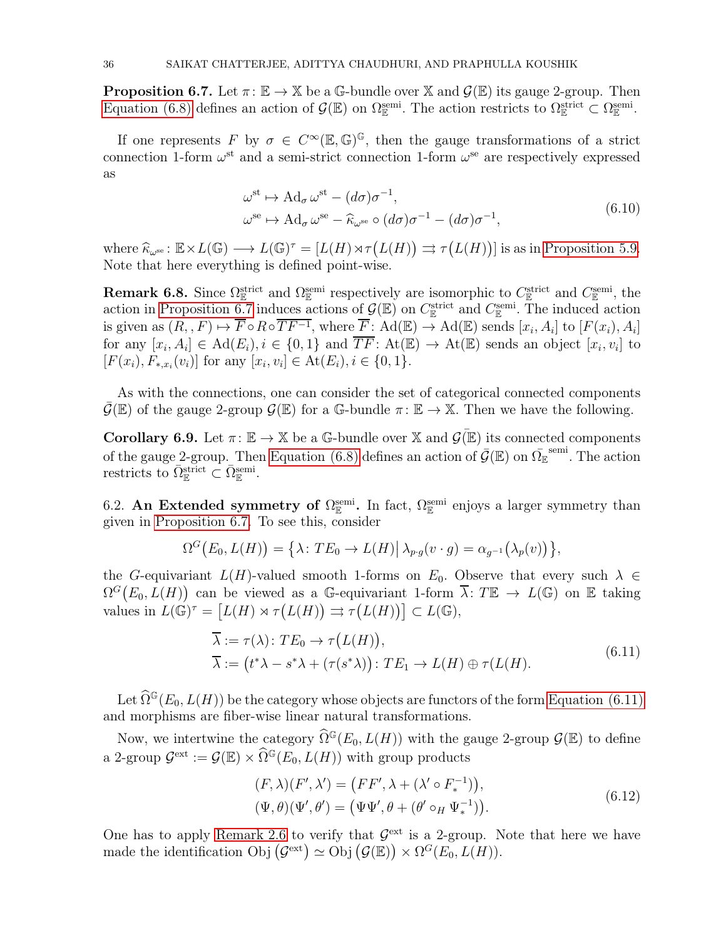**Proposition 6.7.** Let  $\pi: \mathbb{E} \to \mathbb{X}$  be a G-bundle over  $\mathbb{X}$  and  $\mathcal{G}(\mathbb{E})$  its gauge 2-group. Then [Equation \(6.8\)](#page-34-0) defines an action of  $\mathcal{G}(\mathbb{E})$  on  $\Omega_{\mathbb{E}}^{\text{semi}}$ . The action restricts to  $\Omega_{\mathbb{E}}^{\text{strict}} \subset \Omega_{\mathbb{E}}^{\text{semi}}$ .

If one represents F by  $\sigma \in C^{\infty}(\mathbb{E}, \mathbb{G})^{\mathbb{G}}$ , then the gauge transformations of a strict connection 1-form  $\omega^{\text{st}}$  and a semi-strict connection 1-form  $\omega^{\text{se}}$  are respectively expressed as

$$
\omega^{\text{st}} \mapsto \text{Ad}_{\sigma} \,\omega^{\text{st}} - (d\sigma)\sigma^{-1}, \n\omega^{\text{se}} \mapsto \text{Ad}_{\sigma} \,\omega^{\text{se}} - \widehat{\kappa}_{\omega^{\text{se}}} \circ (d\sigma)\sigma^{-1} - (d\sigma)\sigma^{-1},
$$
\n(6.10)

where  $\widehat{\kappa}_{\omega^{\text{se}}} : \mathbb{E} \times L(\mathbb{G}) \longrightarrow L(\mathbb{G})^{\tau} = [L(H) \rtimes \tau(L(H))] \rightrightarrows \tau(L(H))]$  is as in [Proposition 5.9.](#page-25-3) Note that here everything is defined point-wise.

**Remark 6.8.** Since  $\Omega_{\mathbb{E}}^{\text{strict}}$  and  $\Omega_{\mathbb{E}}^{\text{semi}}$  respectively are isomorphic to  $C_{\mathbb{E}}^{\text{strict}}$  and  $C_{\mathbb{E}}^{\text{semi}}$ , the action in [Proposition 6.7](#page-34-1) induces actions of  $\mathcal{G}(\mathbb{E})$  on  $C_{\mathbb{E}}^{\text{strict}}$  and  $C_{\mathbb{E}}^{\text{semi}}$ . The induced action is given as  $(R, F) \mapsto \overline{F} \circ R \circ \overline{T} \overline{F^{-1}}$ , where  $\overline{F}$ : Ad( $\mathbb{E}$ )  $\to$  Ad( $\mathbb{E}$ ) sends  $[x_i, A_i]$  to  $[F(x_i), A_i]$ for any  $[x_i, A_i] \in \text{Ad}(E_i), i \in \{0, 1\}$  and  $\overline{TF}$ :  $\text{At}(\mathbb{E}) \to \text{At}(\mathbb{E})$  sends an object  $[x_i, v_i]$  to  $[F(x_i), F_{*,x_i}(v_i)]$  for any  $[x_i, v_i] \in \text{At}(E_i), i \in \{0, 1\}.$ 

As with the connections, one can consider the set of categorical connected components  $\overline{\mathcal{G}}(\mathbb{E})$  of the gauge 2-group  $\mathcal{G}(\mathbb{E})$  for a G-bundle  $\pi: \mathbb{E} \to \mathbb{X}$ . Then we have the following.

**Corollary 6.9.** Let  $\pi: \mathbb{E} \to \mathbb{X}$  be a G-bundle over  $\mathbb{X}$  and  $\mathcal{G}(\mathbb{E})$  its connected components of the gauge 2-group. Then [Equation \(6.8\)](#page-34-0) defines an action of  $\bar{\mathcal{G}}(\mathbb{E})$  on  $\bar{\Omega_{\mathbb{E}}}^{\text{semi}}$ . The action restricts to  $\overline{\Omega}^{\text{strict}}_{\mathbb{E}} \subset \overline{\Omega}^{\text{semi}}_{\mathbb{E}}$ .

6.2. An Extended symmetry of  $\Omega_{\mathbb{E}}^{\text{semi}}$ . In fact,  $\Omega_{\mathbb{E}}^{\text{semi}}$  enjoys a larger symmetry than given in [Proposition 6.7.](#page-34-1) To see this, consider

$$
\Omega^G(E_0, L(H)) = \{ \lambda \colon TE_0 \to L(H) | \lambda_{p \cdot g}(v \cdot g) = \alpha_{g^{-1}}(\lambda_p(v)) \},
$$

the G-equivariant  $L(H)$ -valued smooth 1-forms on  $E_0$ . Observe that every such  $\lambda \in$  $\Omega^G(E_0, L(H))$  can be viewed as a G-equivariant 1-form  $\overline{\lambda}$ : TE  $\rightarrow L(\mathbb{G})$  on E taking values in  $L(\mathbb{G})^{\tau} = [L(H) \rtimes \tau(L(H))] \rightrightarrows \tau(L(H))] \subset L(\mathbb{G}),$ 

<span id="page-35-0"></span>
$$
\overline{\lambda} := \tau(\lambda) : TE_0 \to \tau(L(H)),
$$
  

$$
\overline{\lambda} := (t^*\lambda - s^*\lambda + (\tau(s^*\lambda)) : TE_1 \to L(H) \oplus \tau(L(H)).
$$
\n(6.11)

Let  $\widehat{\Omega}^{\mathbb{G}}(E_0, L(H))$  be the category whose objects are functors of the form [Equation \(6.11\)](#page-35-0) and morphisms are fiber-wise linear natural transformations.

Now, we intertwine the category  $\widehat{\Omega}^{\mathbb{G}}(E_0, L(H))$  with the gauge 2-group  $\mathcal{G}(\mathbb{E})$  to define a 2-group  $\mathcal{G}^{\text{ext}} := \mathcal{G}(\mathbb{E}) \times \widehat{\Omega}^{\mathbb{G}}(E_0, L(H))$  with group products

$$
(F, \lambda)(F', \lambda') = (FF', \lambda + (\lambda' \circ F_*^{-1})),
$$
  

$$
(\Psi, \theta)(\Psi', \theta') = (\Psi\Psi', \theta + (\theta' \circ_H \Psi_*^{-1})).
$$
\n
$$
(6.12)
$$

One has to apply [Remark 2.6](#page-5-2) to verify that  $\mathcal{G}^{\text{ext}}$  is a 2-group. Note that here we have made the identification Obj  $(\mathcal{G}^{\text{ext}}) \simeq \text{Obj}(\mathcal{G}(\mathbb{E})) \times \Omega^G(E_0, L(H)).$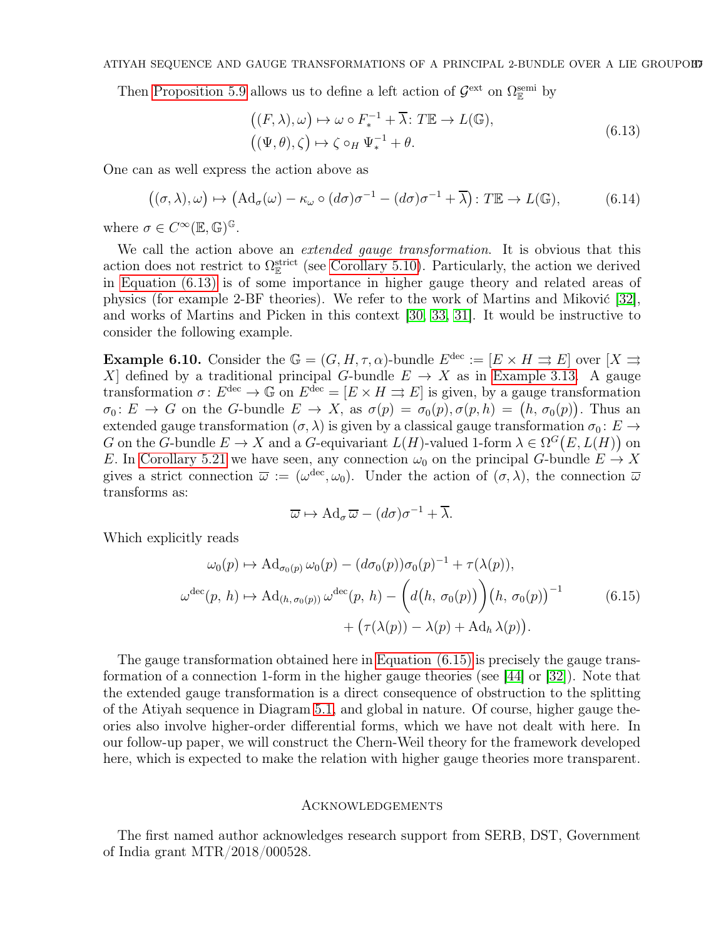Then [Proposition 5.9](#page-25-3) allows us to define a left action of  $\mathcal{G}^{\text{ext}}$  on  $\Omega_{\mathbb{E}}^{\text{semi}}$  by

<span id="page-36-1"></span>
$$
((F,\lambda),\omega) \mapsto \omega \circ F_*^{-1} + \overline{\lambda} : T\mathbb{E} \to L(\mathbb{G}),
$$
  

$$
((\Psi,\theta),\zeta) \mapsto \zeta \circ_H \Psi_*^{-1} + \theta.
$$
 (6.13)

One can as well express the action above as

$$
((\sigma,\lambda),\omega) \mapsto (\mathrm{Ad}_{\sigma}(\omega) - \kappa_{\omega} \circ (d\sigma)\sigma^{-1} - (d\sigma)\sigma^{-1} + \overline{\lambda}): T\mathbb{E} \to L(\mathbb{G}), \tag{6.14}
$$

where  $\sigma \in C^{\infty}(\mathbb{E}, \mathbb{G})^{\mathbb{G}}$ .

We call the action above an *extended gauge transformation*. It is obvious that this action does not restrict to  $\Omega_{\mathbb{E}}^{\text{strict}}$  (see [Corollary 5.10\)](#page-25-0). Particularly, the action we derived in [Equation \(6.13\)](#page-36-1) is of some importance in higher gauge theory and related areas of physics (for example 2-BF theories). We refer to the work of Martins and Miković [\[32\]](#page-38-16), and works of Martins and Picken in this context [\[30,](#page-38-10) [33,](#page-38-11) [31\]](#page-38-5). It would be instructive to consider the following example.

**Example 6.10.** Consider the  $\mathbb{G} = (G, H, \tau, \alpha)$ -bundle  $E^{\text{dec}} := [E \times H \Rightarrow E]$  over  $[X \Rightarrow E]$ X] defined by a traditional principal G-bundle  $E \to X$  as in [Example 3.13.](#page-14-1) A gauge transformation  $\sigma: E^{\text{dec}} \to \mathbb{G}$  on  $E^{\text{dec}} = [E \times H \Rightarrow E]$  is given, by a gauge transformation  $\sigma_0: E \to G$  on the G-bundle  $E \to X$ , as  $\sigma(p) = \sigma_0(p), \sigma(p, h) = (h, \sigma_0(p)).$  Thus an extended gauge transformation  $(\sigma, \lambda)$  is given by a classical gauge transformation  $\sigma_0 \colon E \to$ G on the G-bundle  $E \to X$  and a G-equivariant  $L(H)$ -valued 1-form  $\lambda \in \Omega^G(E, L(H))$  on E. In [Corollary 5.21](#page-30-2) we have seen, any connection  $\omega_0$  on the principal G-bundle  $E \to X$ gives a strict connection  $\overline{\omega} := (\omega^{\text{dec}}, \omega_0)$ . Under the action of  $(\sigma, \lambda)$ , the connection  $\overline{\omega}$ transforms as:

<span id="page-36-2"></span>
$$
\overline{\omega} \mapsto \operatorname{Ad}_{\sigma} \overline{\omega} - (d\sigma)\sigma^{-1} + \overline{\lambda}.
$$

Which explicitly reads

$$
\omega_0(p) \mapsto \mathrm{Ad}_{\sigma_0(p)} \omega_0(p) - (d\sigma_0(p))\sigma_0(p)^{-1} + \tau(\lambda(p)),
$$
  

$$
\omega^{\mathrm{dec}}(p, h) \mapsto \mathrm{Ad}_{(h, \sigma_0(p))} \omega^{\mathrm{dec}}(p, h) - \left(d(h, \sigma_0(p))\right) (h, \sigma_0(p))^{-1} + \left(\tau(\lambda(p)) - \lambda(p) + \mathrm{Ad}_h \lambda(p)\right).
$$
 (6.15)

The gauge transformation obtained here in [Equation \(6.15\)](#page-36-2) is precisely the gauge transformation of a connection 1-form in the higher gauge theories (see [\[44\]](#page-38-17) or [\[32\]](#page-38-16)). Note that the extended gauge transformation is a direct consequence of obstruction to the splitting of the Atiyah sequence in Diagram [5.1,](#page-20-3) and global in nature. Of course, higher gauge theories also involve higher-order differential forms, which we have not dealt with here. In our follow-up paper, we will construct the Chern-Weil theory for the framework developed here, which is expected to make the relation with higher gauge theories more transparent.

#### <span id="page-36-0"></span>Acknowledgements

The first named author acknowledges research support from SERB, DST, Government of India grant MTR/2018/000528.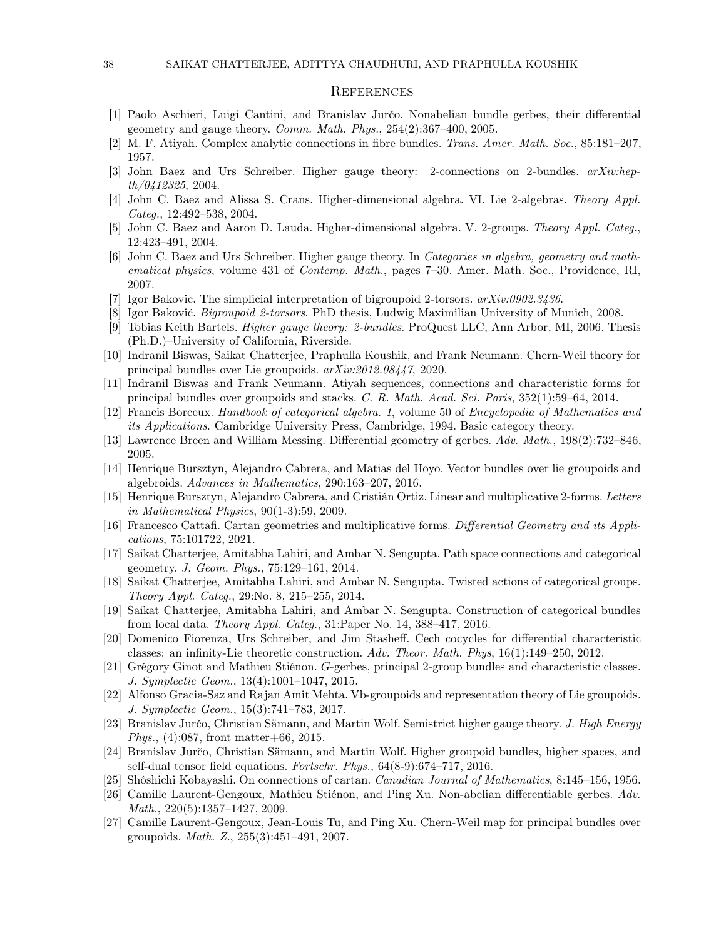### <span id="page-37-0"></span>**REFERENCES**

- <span id="page-37-6"></span>[1] Paolo Aschieri, Luigi Cantini, and Branislav Jurčo. Nonabelian bundle gerbes, their differential geometry and gauge theory. Comm. Math. Phys.,  $254(2):367-400$ ,  $2005$ .
- <span id="page-37-21"></span><span id="page-37-4"></span>[2] M. F. Atiyah. Complex analytic connections in fibre bundles. Trans. Amer. Math. Soc., 85:181–207, 1957.
- <span id="page-37-3"></span>[3] John Baez and Urs Schreiber. Higher gauge theory: 2-connections on 2-bundles. arXiv:hepth/0412325, 2004.
- <span id="page-37-5"></span>[4] John C. Baez and Alissa S. Crans. Higher-dimensional algebra. VI. Lie 2-algebras. Theory Appl. Categ., 12:492–538, 2004.
- <span id="page-37-2"></span>[5] John C. Baez and Aaron D. Lauda. Higher-dimensional algebra. V. 2-groups. Theory Appl. Categ., 12:423–491, 2004.
- [6] John C. Baez and Urs Schreiber. Higher gauge theory. In Categories in algebra, geometry and mathematical physics, volume 431 of Contemp. Math., pages 7–30. Amer. Math. Soc., Providence, RI, 2007.
- <span id="page-37-16"></span><span id="page-37-15"></span>[7] Igor Bakovic. The simplicial interpretation of bigroupoid 2-torsors.  $arXiv:0902.3436$ .
- <span id="page-37-1"></span>[8] Igor Baković. Bigroupoid 2-torsors. PhD thesis, Ludwig Maximilian University of Munich, 2008.
- [9] Tobias Keith Bartels. Higher gauge theory: 2-bundles. ProQuest LLC, Ann Arbor, MI, 2006. Thesis (Ph.D.)–University of California, Riverside.
- <span id="page-37-20"></span><span id="page-37-19"></span>[10] Indranil Biswas, Saikat Chatterjee, Praphulla Koushik, and Frank Neumann. Chern-Weil theory for principal bundles over Lie groupoids. arXiv:2012.08447, 2020.
- [11] Indranil Biswas and Frank Neumann. Atiyah sequences, connections and characteristic forms for principal bundles over groupoids and stacks. C. R. Math. Acad. Sci. Paris, 352(1):59–64, 2014.
- <span id="page-37-23"></span><span id="page-37-9"></span>[12] Francis Borceux. Handbook of categorical algebra. 1, volume 50 of Encyclopedia of Mathematics and its Applications. Cambridge University Press, Cambridge, 1994. Basic category theory.
- <span id="page-37-24"></span>[13] Lawrence Breen and William Messing. Differential geometry of gerbes. Adv. Math., 198(2):732–846, 2005.
- [14] Henrique Bursztyn, Alejandro Cabrera, and Matias del Hoyo. Vector bundles over lie groupoids and algebroids. Advances in Mathematics, 290:163–207, 2016.
- <span id="page-37-25"></span>[15] Henrique Bursztyn, Alejandro Cabrera, and Cristián Ortiz. Linear and multiplicative 2-forms. Letters in Mathematical Physics, 90(1-3):59, 2009.
- <span id="page-37-27"></span>[16] Francesco Cattafi. Cartan geometries and multiplicative forms. Differential Geometry and its Applications, 75:101722, 2021.
- <span id="page-37-11"></span>[17] Saikat Chatterjee, Amitabha Lahiri, and Ambar N. Sengupta. Path space connections and categorical geometry. J. Geom. Phys., 75:129–161, 2014.
- <span id="page-37-13"></span>[18] Saikat Chatterjee, Amitabha Lahiri, and Ambar N. Sengupta. Twisted actions of categorical groups. Theory Appl. Categ., 29:No. 8, 215–255, 2014.
- <span id="page-37-12"></span>[19] Saikat Chatterjee, Amitabha Lahiri, and Ambar N. Sengupta. Construction of categorical bundles from local data. Theory Appl. Categ.,  $31:$ Paper No. 14,  $388-417$ ,  $2016$ .
- <span id="page-37-17"></span>[20] Domenico Fiorenza, Urs Schreiber, and Jim Stasheff. Cech cocycles for differential characteristic classes: an infinity-Lie theoretic construction. Adv. Theor. Math. Phys, 16(1):149–250, 2012.
- <span id="page-37-8"></span>[21] Grégory Ginot and Mathieu Stiénon. G-gerbes, principal 2-group bundles and characteristic classes. J. Symplectic Geom., 13(4):1001–1047, 2015.
- <span id="page-37-22"></span>[22] Alfonso Gracia-Saz and Rajan Amit Mehta. Vb-groupoids and representation theory of Lie groupoids. J. Symplectic Geom., 15(3):741–783, 2017.
- <span id="page-37-10"></span>[23] Branislav Jurčo, Christian Sämann, and Martin Wolf. Semistrict higher gauge theory. J. High Energy *Phys.*, (4):087, front matter+66, 2015.
- <span id="page-37-14"></span>[24] Branislav Jurčo, Christian Sämann, and Martin Wolf. Higher groupoid bundles, higher spaces, and self-dual tensor field equations. Fortschr. Phys., 64(8-9):674–717, 2016.
- <span id="page-37-26"></span><span id="page-37-7"></span>[25] Shôshichi Kobayashi. On connections of cartan. Canadian Journal of Mathematics, 8:145–156, 1956.
- [26] Camille Laurent-Gengoux, Mathieu Stiénon, and Ping Xu. Non-abelian differentiable gerbes. Adv. Math., 220(5):1357–1427, 2009.
- <span id="page-37-18"></span>[27] Camille Laurent-Gengoux, Jean-Louis Tu, and Ping Xu. Chern-Weil map for principal bundles over groupoids. Math. Z., 255(3):451–491, 2007.